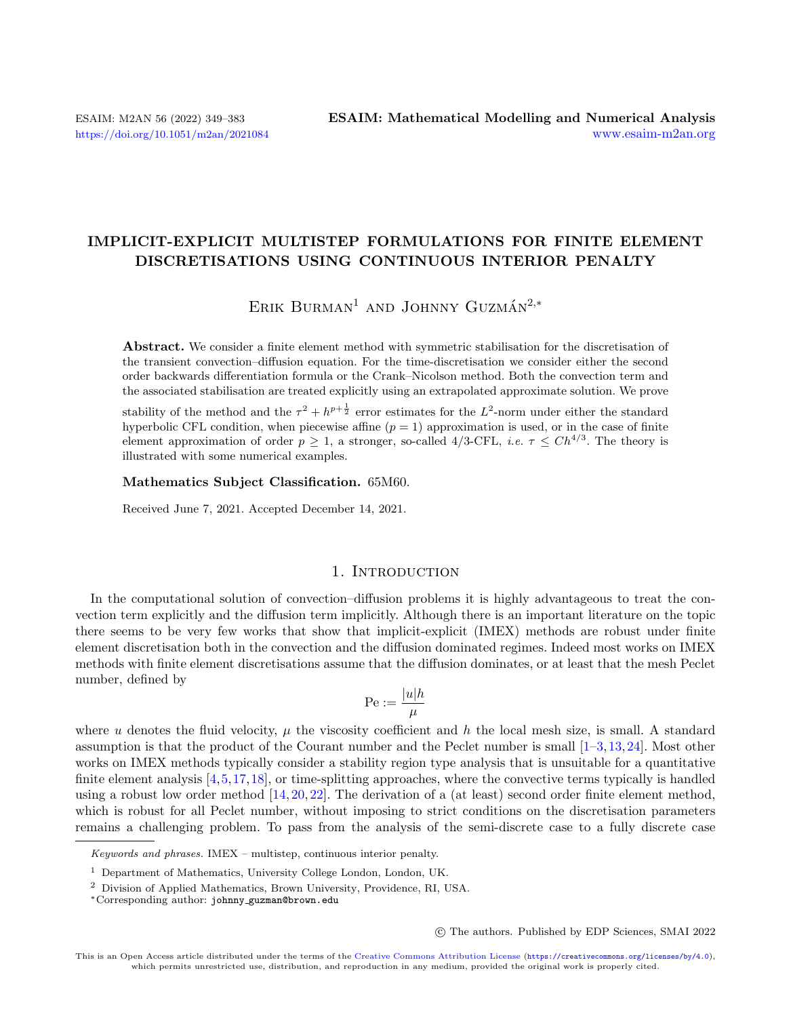# IMPLICIT-EXPLICIT MULTISTEP FORMULATIONS FOR FINITE ELEMENT DISCRETISATIONS USING CONTINUOUS INTERIOR PENALTY

ERIK BURMAN<sup>1</sup> AND JOHNNY GUZMÁN<sup>2,\*</sup>

Abstract. We consider a finite element method with symmetric stabilisation for the discretisation of the transient convection–diffusion equation. For the time-discretisation we consider either the second order backwards differentiation formula or the Crank–Nicolson method. Both the convection term and the associated stabilisation are treated explicitly using an extrapolated approximate solution. We prove

stability of the method and the  $\tau^2 + h^{p+\frac{1}{2}}$  error estimates for the  $L^2$ -norm under either the standard hyperbolic CFL condition, when piecewise affine  $(p = 1)$  approximation is used, or in the case of finite element approximation of order  $p \geq 1$ , a stronger, so-called 4/3-CFL, *i.e.*  $\tau \leq Ch^{4/3}$ . The theory is illustrated with some numerical examples.

Mathematics Subject Classification. 65M60.

Received June 7, 2021. Accepted December 14, 2021.

### 1. INTRODUCTION

In the computational solution of convection–diffusion problems it is highly advantageous to treat the convection term explicitly and the diffusion term implicitly. Although there is an important literature on the topic there seems to be very few works that show that implicit-explicit (IMEX) methods are robust under finite element discretisation both in the convection and the diffusion dominated regimes. Indeed most works on IMEX methods with finite element discretisations assume that the diffusion dominates, or at least that the mesh Peclet number, defined by

$$
\mathrm{Pe}:=\frac{|u|h}{\mu}
$$

where u denotes the fluid velocity,  $\mu$  the viscosity coefficient and h the local mesh size, is small. A standard assumption is that the product of the Courant number and the Peclet number is small [\[1–](#page-33-0)[3,](#page-33-1)[13,](#page-34-0)[24\]](#page-34-1). Most other works on IMEX methods typically consider a stability region type analysis that is unsuitable for a quantitative finite element analysis [\[4,](#page-33-2)[5,](#page-33-3)[17,](#page-34-2)[18\]](#page-34-3), or time-splitting approaches, where the convective terms typically is handled using a robust low order method  $[14, 20, 22]$  $[14, 20, 22]$  $[14, 20, 22]$  $[14, 20, 22]$  $[14, 20, 22]$ . The derivation of a (at least) second order finite element method, which is robust for all Peclet number, without imposing to strict conditions on the discretisation parameters remains a challenging problem. To pass from the analysis of the semi-discrete case to a fully discrete case

○c The authors. Published by EDP Sciences, SMAI 2022

Keywords and phrases. IMEX – multistep, continuous interior penalty.

<sup>1</sup> Department of Mathematics, University College London, London, UK.

<sup>2</sup> Division of Applied Mathematics, Brown University, Providence, RI, USA.

<sup>\*</sup>Corresponding author: johnny [guzman@brown.edu](mailto:johnny_guzman@brown.edu)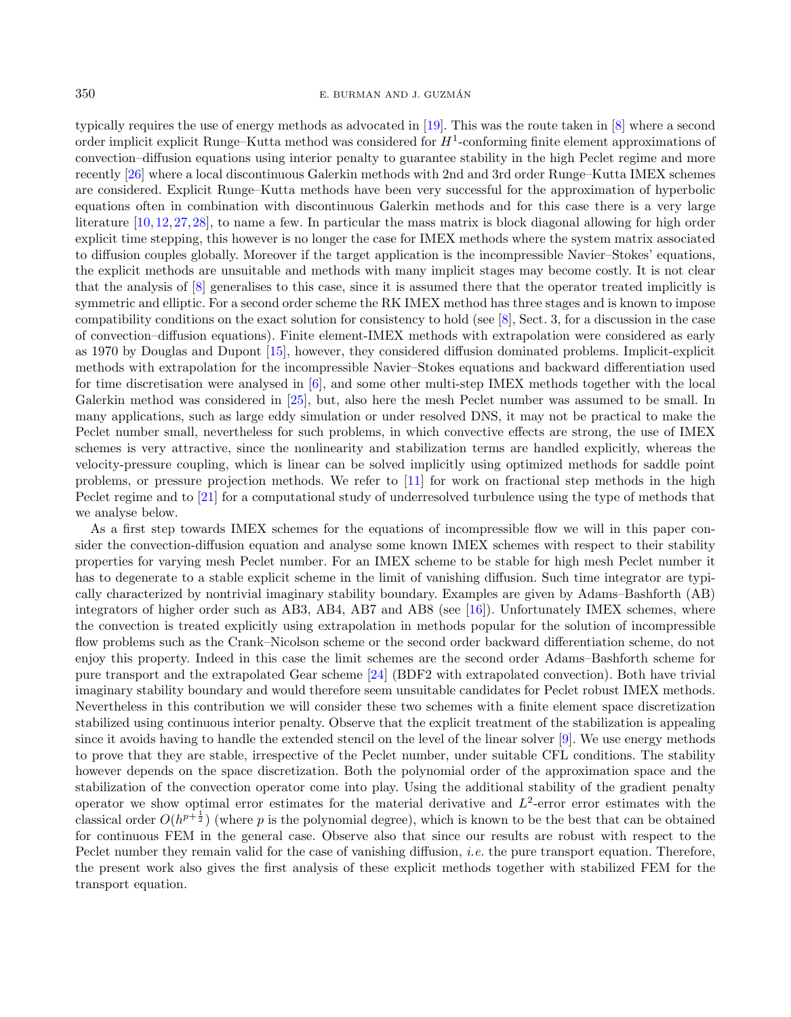#### 350 E. BURMAN AND J. GUZMAN´

typically requires the use of energy methods as advocated in [\[19\]](#page-34-7). This was the route taken in [\[8\]](#page-34-8) where a second order implicit explicit Runge–Kutta method was considered for  $H^1$ -conforming finite element approximations of convection–diffusion equations using interior penalty to guarantee stability in the high Peclet regime and more recently [\[26\]](#page-34-9) where a local discontinuous Galerkin methods with 2nd and 3rd order Runge–Kutta IMEX schemes are considered. Explicit Runge–Kutta methods have been very successful for the approximation of hyperbolic equations often in combination with discontinuous Galerkin methods and for this case there is a very large literature [\[10,](#page-34-10) [12,](#page-34-11) [27,](#page-34-12) [28\]](#page-34-13), to name a few. In particular the mass matrix is block diagonal allowing for high order explicit time stepping, this however is no longer the case for IMEX methods where the system matrix associated to diffusion couples globally. Moreover if the target application is the incompressible Navier–Stokes' equations, the explicit methods are unsuitable and methods with many implicit stages may become costly. It is not clear that the analysis of [\[8\]](#page-34-8) generalises to this case, since it is assumed there that the operator treated implicitly is symmetric and elliptic. For a second order scheme the RK IMEX method has three stages and is known to impose compatibility conditions on the exact solution for consistency to hold (see [\[8\]](#page-34-8), Sect. 3, for a discussion in the case of convection–diffusion equations). Finite element-IMEX methods with extrapolation were considered as early as 1970 by Douglas and Dupont [\[15\]](#page-34-14), however, they considered diffusion dominated problems. Implicit-explicit methods with extrapolation for the incompressible Navier–Stokes equations and backward differentiation used for time discretisation were analysed in [\[6\]](#page-33-4), and some other multi-step IMEX methods together with the local Galerkin method was considered in [\[25\]](#page-34-15), but, also here the mesh Peclet number was assumed to be small. In many applications, such as large eddy simulation or under resolved DNS, it may not be practical to make the Peclet number small, nevertheless for such problems, in which convective effects are strong, the use of IMEX schemes is very attractive, since the nonlinearity and stabilization terms are handled explicitly, whereas the velocity-pressure coupling, which is linear can be solved implicitly using optimized methods for saddle point problems, or pressure projection methods. We refer to [\[11\]](#page-34-16) for work on fractional step methods in the high Peclet regime and to [\[21\]](#page-34-17) for a computational study of underresolved turbulence using the type of methods that we analyse below.

As a first step towards IMEX schemes for the equations of incompressible flow we will in this paper consider the convection-diffusion equation and analyse some known IMEX schemes with respect to their stability properties for varying mesh Peclet number. For an IMEX scheme to be stable for high mesh Peclet number it has to degenerate to a stable explicit scheme in the limit of vanishing diffusion. Such time integrator are typically characterized by nontrivial imaginary stability boundary. Examples are given by Adams–Bashforth (AB) integrators of higher order such as AB3, AB4, AB7 and AB8 (see [\[16\]](#page-34-18)). Unfortunately IMEX schemes, where the convection is treated explicitly using extrapolation in methods popular for the solution of incompressible flow problems such as the Crank–Nicolson scheme or the second order backward differentiation scheme, do not enjoy this property. Indeed in this case the limit schemes are the second order Adams–Bashforth scheme for pure transport and the extrapolated Gear scheme [\[24\]](#page-34-1) (BDF2 with extrapolated convection). Both have trivial imaginary stability boundary and would therefore seem unsuitable candidates for Peclet robust IMEX methods. Nevertheless in this contribution we will consider these two schemes with a finite element space discretization stabilized using continuous interior penalty. Observe that the explicit treatment of the stabilization is appealing since it avoids having to handle the extended stencil on the level of the linear solver [\[9\]](#page-34-19). We use energy methods to prove that they are stable, irrespective of the Peclet number, under suitable CFL conditions. The stability however depends on the space discretization. Both the polynomial order of the approximation space and the stabilization of the convection operator come into play. Using the additional stability of the gradient penalty operator we show optimal error estimates for the material derivative and  $L^2$ -error error estimates with the classical order  $O(h^{p+\frac{1}{2}})$  (where p is the polynomial degree), which is known to be the best that can be obtained for continuous FEM in the general case. Observe also that since our results are robust with respect to the Peclet number they remain valid for the case of vanishing diffusion, *i.e.* the pure transport equation. Therefore, the present work also gives the first analysis of these explicit methods together with stabilized FEM for the transport equation.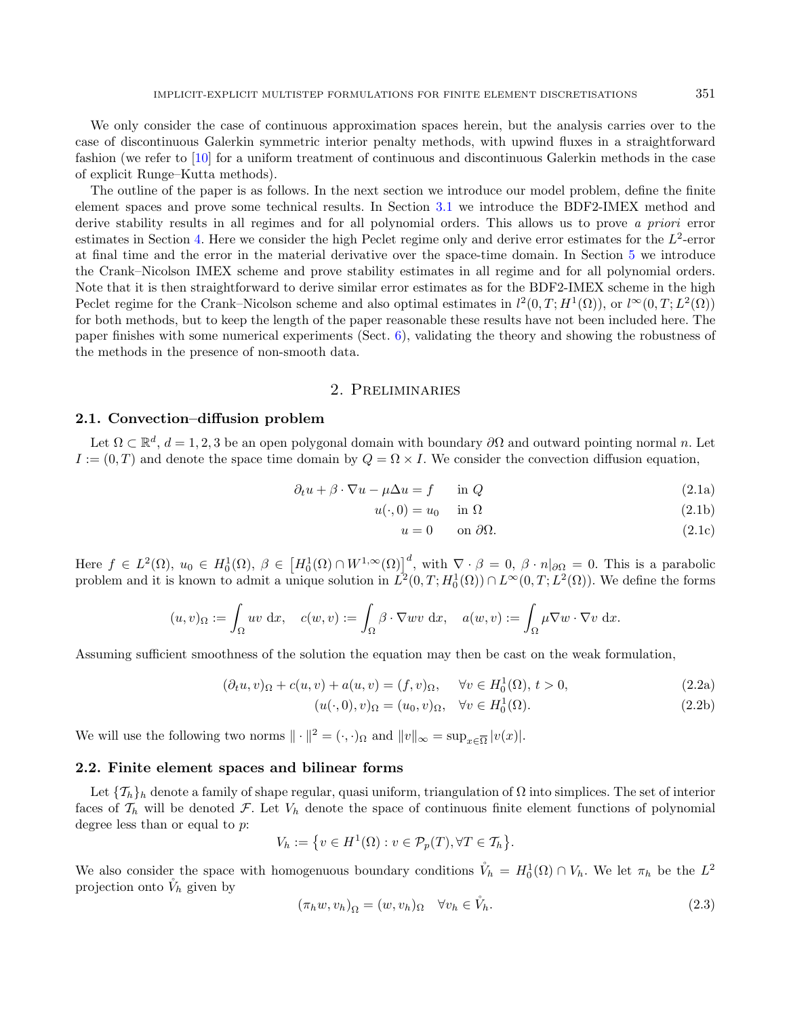We only consider the case of continuous approximation spaces herein, but the analysis carries over to the case of discontinuous Galerkin symmetric interior penalty methods, with upwind fluxes in a straightforward fashion (we refer to [\[10\]](#page-34-10) for a uniform treatment of continuous and discontinuous Galerkin methods in the case of explicit Runge–Kutta methods).

The outline of the paper is as follows. In the next section we introduce our model problem, define the finite element spaces and prove some technical results. In Section [3.1](#page-7-0) we introduce the BDF2-IMEX method and derive stability results in all regimes and for all polynomial orders. This allows us to prove a priori error estimates in Section [4.](#page-14-0) Here we consider the high Peclet regime only and derive error estimates for the  $L^2$ -error at final time and the error in the material derivative over the space-time domain. In Section [5](#page-17-0) we introduce the Crank–Nicolson IMEX scheme and prove stability estimates in all regime and for all polynomial orders. Note that it is then straightforward to derive similar error estimates as for the BDF2-IMEX scheme in the high Peclet regime for the Crank–Nicolson scheme and also optimal estimates in  $l^2(0,T;H^1(\Omega))$ , or  $l^{\infty}(0,T;L^2(\Omega))$ for both methods, but to keep the length of the paper reasonable these results have not been included here. The paper finishes with some numerical experiments (Sect. [6\)](#page-29-0), validating the theory and showing the robustness of the methods in the presence of non-smooth data.

#### 2. Preliminaries

#### 2.1. Convection–diffusion problem

Let  $\Omega \subset \mathbb{R}^d$ ,  $d = 1, 2, 3$  be an open polygonal domain with boundary  $\partial\Omega$  and outward pointing normal n. Let  $I:=(0,T)$  and denote the space time domain by  $Q = \Omega \times I$ . We consider the convection diffusion equation,

$$
\partial_t u + \beta \cdot \nabla u - \mu \Delta u = f \qquad \text{in } Q \tag{2.1a}
$$

$$
u(\cdot,0) = u_0 \quad \text{in } \Omega \tag{2.1b}
$$

<span id="page-2-1"></span><span id="page-2-0"></span>
$$
u = 0 \qquad \text{on } \partial\Omega. \tag{2.1c}
$$

Here  $f \in L^2(\Omega)$ ,  $u_0 \in H_0^1(\Omega)$ ,  $\beta \in \left[H_0^1(\Omega) \cap W^{1,\infty}(\Omega)\right]^d$ , with  $\nabla \cdot \beta = 0$ ,  $\beta \cdot n|_{\partial \Omega} = 0$ . This is a parabolic problem and it is known to admit a unique solution in  $L^2(0,T;H_0^1(\Omega)) \cap L^\infty(0,T;L^2(\Omega))$ . We define the forms

$$
(u,v)_{\Omega} := \int_{\Omega} uv \, dx, \quad c(w,v) := \int_{\Omega} \beta \cdot \nabla wv \, dx, \quad a(w,v) := \int_{\Omega} \mu \nabla w \cdot \nabla v \, dx.
$$

Assuming sufficient smoothness of the solution the equation may then be cast on the weak formulation,

$$
(\partial_t u, v)_{\Omega} + c(u, v) + a(u, v) = (f, v)_{\Omega}, \quad \forall v \in H_0^1(\Omega), t > 0,
$$
\n
$$
(2.2a)
$$

$$
(u(\cdot,0),v)_{\Omega} = (u_0,v)_{\Omega}, \quad \forall v \in H_0^1(\Omega). \tag{2.2b}
$$

We will use the following two norms  $\|\cdot\|^2 = (\cdot, \cdot)_{\Omega}$  and  $\|v\|_{\infty} = \sup_{x \in \overline{\Omega}} |v(x)|$ .

#### 2.2. Finite element spaces and bilinear forms

Let  $\{\mathcal{T}_h\}_h$  denote a family of shape regular, quasi uniform, triangulation of  $\Omega$  into simplices. The set of interior faces of  $\mathcal{T}_h$  will be denoted  $\mathcal{F}$ . Let  $V_h$  denote the space of continuous finite element functions of polynomial degree less than or equal to  $p$ :

$$
V_h := \{ v \in H^1(\Omega) : v \in \mathcal{P}_p(T), \forall T \in \mathcal{T}_h \}.
$$

We also consider the space with homogenuous boundary conditions  $\mathring{V}_h = H_0^1(\Omega) \cap V_h$ . We let  $\pi_h$  be the  $L^2$ projection onto  $\tilde{V}_h$  given by

$$
(\pi_h w, v_h)_{\Omega} = (w, v_h)_{\Omega} \quad \forall v_h \in \mathring{V}_h.
$$
\n
$$
(2.3)
$$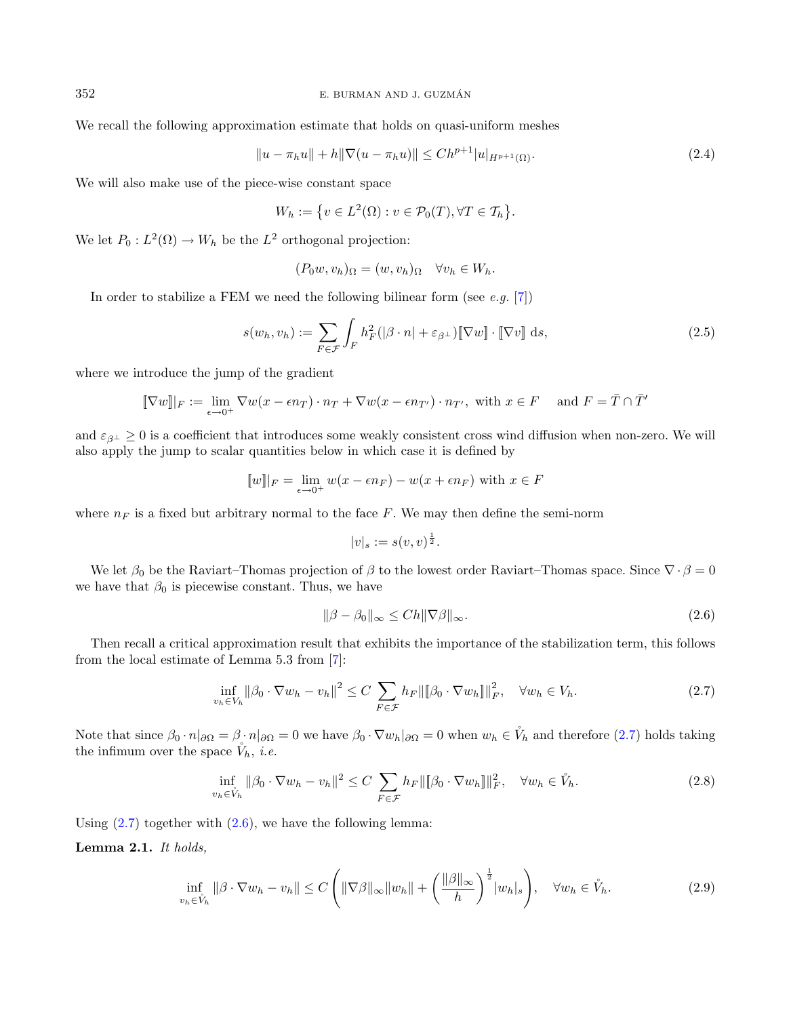We recall the following approximation estimate that holds on quasi-uniform meshes

$$
||u - \pi_h u|| + h||\nabla(u - \pi_h u)|| \le Ch^{p+1} |u|_{H^{p+1}(\Omega)}.
$$
\n(2.4)

We will also make use of the piece-wise constant space

$$
W_h := \{ v \in L^2(\Omega) : v \in \mathcal{P}_0(T), \forall T \in \mathcal{T}_h \}.
$$

We let  $P_0 : L^2(\Omega) \to W_h$  be the  $L^2$  orthogonal projection:

$$
(P_0 w, v_h)_{\Omega} = (w, v_h)_{\Omega} \quad \forall v_h \in W_h.
$$

In order to stabilize a FEM we need the following bilinear form (see  $e.g.$  [\[7\]](#page-33-5))

$$
s(w_h, v_h) := \sum_{F \in \mathcal{F}} \int_F h_F^2(|\beta \cdot n| + \varepsilon_{\beta^\perp}) [\nabla w] \cdot [\nabla v] ds,
$$
\n(2.5)

where we introduce the jump of the gradient

$$
[\![\nabla w]\!] \! |_{F} := \lim_{\epsilon \to 0^+} \nabla w(x - \epsilon n_T) \cdot n_T + \nabla w(x - \epsilon n_{T'}) \cdot n_{T'}, \text{ with } x \in F \quad \text{ and } F = \overline{T} \cap \overline{T'}
$$

and  $\varepsilon_{\beta^{\perp}} \geq 0$  is a coefficient that introduces some weakly consistent cross wind diffusion when non-zero. We will also apply the jump to scalar quantities below in which case it is defined by

$$
[w]|_F = \lim_{\epsilon \to 0^+} w(x - \epsilon n_F) - w(x + \epsilon n_F)
$$
 with  $x \in F$ 

where  $n_F$  is a fixed but arbitrary normal to the face F. We may then define the semi-norm

<span id="page-3-1"></span><span id="page-3-0"></span>
$$
|v|_s := s(v,v)^{\frac{1}{2}}.
$$

We let  $\beta_0$  be the Raviart–Thomas projection of  $\beta$  to the lowest order Raviart–Thomas space. Since  $\nabla \cdot \beta = 0$ we have that  $\beta_0$  is piecewise constant. Thus, we have

<span id="page-3-3"></span>
$$
\|\beta - \beta_0\|_{\infty} \le C h \|\nabla \beta\|_{\infty}.
$$
\n(2.6)

Then recall a critical approximation result that exhibits the importance of the stabilization term, this follows from the local estimate of Lemma 5.3 from [\[7\]](#page-33-5):

<span id="page-3-2"></span>
$$
\inf_{v_h \in V_h} \|\beta_0 \cdot \nabla w_h - v_h\|^2 \le C \sum_{F \in \mathcal{F}} h_F \|\[\beta_0 \cdot \nabla w_h\]\|^2_F, \quad \forall w_h \in V_h.
$$
\n(2.7)

Note that since  $\beta_0 \cdot n|_{\partial \Omega} = \beta \cdot n|_{\partial \Omega} = 0$  we have  $\beta_0 \cdot \nabla w_h|_{\partial \Omega} = 0$  when  $w_h \in V_h$  and therefore [\(2.7\)](#page-3-0) holds taking the infimum over the space  $\dot{V}_h$ , *i.e.* 

$$
\inf_{v_h \in \hat{V}_h} \|\beta_0 \cdot \nabla w_h - v_h\|^2 \le C \sum_{F \in \mathcal{F}} h_F \|\[\beta_0 \cdot \nabla w_h\]\|_F^2, \quad \forall w_h \in \mathring{V}_h. \tag{2.8}
$$

Using  $(2.7)$  together with  $(2.6)$ , we have the following lemma:

Lemma 2.1. It holds,

$$
\inf_{v_h \in \mathring{V}_h} \|\beta \cdot \nabla w_h - v_h\| \le C \left( \|\nabla \beta\|_{\infty} \|w_h\| + \left(\frac{\|\beta\|_{\infty}}{h}\right)^{\frac{1}{2}} |w_h|_s \right), \quad \forall w_h \in \mathring{V}_h. \tag{2.9}
$$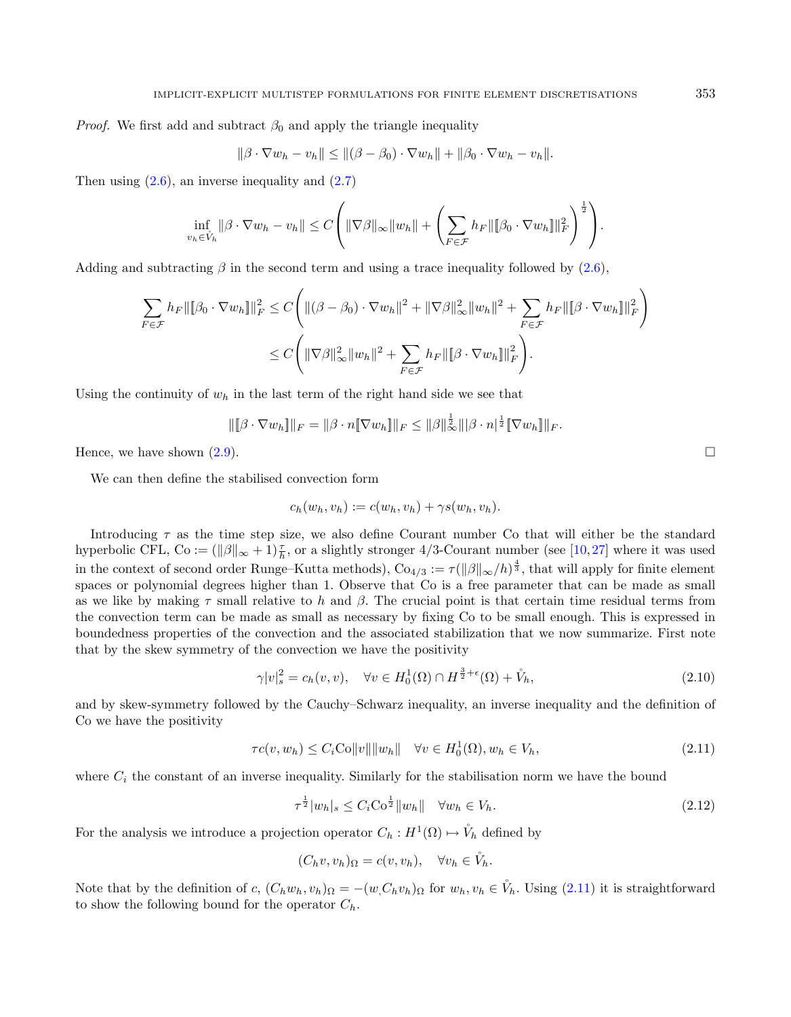*Proof.* We first add and subtract  $\beta_0$  and apply the triangle inequality

$$
\|\beta \cdot \nabla w_h - v_h\| \le \|(\beta - \beta_0) \cdot \nabla w_h\| + \|\beta_0 \cdot \nabla w_h - v_h\|.
$$

Then using  $(2.6)$ , an inverse inequality and  $(2.7)$ 

$$
\inf_{v_h \in \hat{V}_h} \|\beta \cdot \nabla w_h - v_h\| \le C \left( \|\nabla \beta\|_{\infty} \|w_h\| + \left( \sum_{F \in \mathcal{F}} h_F \|\|\beta_0 \cdot \nabla w_h\|\|_F^2 \right)^{\frac{1}{2}} \right).
$$

Adding and subtracting  $\beta$  in the second term and using a trace inequality followed by [\(2.6\)](#page-3-1),

$$
\sum_{F \in \mathcal{F}} h_F \|\|\beta_0 \cdot \nabla w_h\|\|_F^2 \le C \Bigg( \|(\beta - \beta_0) \cdot \nabla w_h\|^2 + \|\nabla \beta\|_\infty^2 \|w_h\|^2 + \sum_{F \in \mathcal{F}} h_F \|\|\beta \cdot \nabla w_h\|\|_F^2 \Bigg)
$$
  

$$
\le C \Bigg( \|\nabla \beta\|_\infty^2 \|w_h\|^2 + \sum_{F \in \mathcal{F}} h_F \|\|\beta \cdot \nabla w_h\|\|_F^2 \Bigg).
$$

Using the continuity of  $w_h$  in the last term of the right hand side we see that

$$
\|[\![\beta \cdot \nabla w_h]\!] \|_F = \|\beta \cdot n[\![\nabla w_h]\!] \|_F \leq \|\beta\|_{\infty}^{\frac{1}{2}} \|\beta \cdot n|^{\frac{1}{2}}[\![\nabla w_h]\!] \|_F.
$$

Hence, we have shown  $(2.9)$ .

We can then define the stabilised convection form

<span id="page-4-2"></span><span id="page-4-0"></span>
$$
c_h(w_h, v_h) := c(w_h, v_h) + \gamma s(w_h, v_h).
$$

Introducing  $\tau$  as the time step size, we also define Courant number Co that will either be the standard hyperbolic CFL, Co :=  $(\|\beta\|_{\infty} + 1) \frac{\tau}{h}$ , or a slightly stronger 4/3-Courant number (see [\[10,](#page-34-10)[27\]](#page-34-12) where it was used in the context of second order Runge–Kutta methods),  $Co_{4/3} := \tau(||\beta||_{\infty}/h)^{\frac{4}{3}}$ , that will apply for finite element spaces or polynomial degrees higher than 1. Observe that Co is a free parameter that can be made as small as we like by making  $\tau$  small relative to h and  $\beta$ . The crucial point is that certain time residual terms from the convection term can be made as small as necessary by fixing Co to be small enough. This is expressed in boundedness properties of the convection and the associated stabilization that we now summarize. First note that by the skew symmetry of the convection we have the positivity

$$
\gamma |v|_s^2 = c_h(v, v), \quad \forall v \in H_0^1(\Omega) \cap H^{\frac{3}{2} + \epsilon}(\Omega) + \mathring{V}_h,
$$
\n(2.10)

and by skew-symmetry followed by the Cauchy–Schwarz inequality, an inverse inequality and the definition of Co we have the positivity

$$
\tau c(v, w_h) \le C_i \text{Co} \|v\| \|w_h\| \quad \forall v \in H_0^1(\Omega), w_h \in V_h,
$$
\n
$$
(2.11)
$$

where  $C_i$  the constant of an inverse inequality. Similarly for the stabilisation norm we have the bound

$$
\tau^{\frac{1}{2}}|w_h|_s \le C_i \text{Co}^{\frac{1}{2}}\|w_h\| \quad \forall w_h \in V_h. \tag{2.12}
$$

For the analysis we introduce a projection operator  $C_h : H^1(\Omega) \mapsto V_h$  defined by

$$
(C_h v, v_h)_{\Omega} = c(v, v_h), \quad \forall v_h \in \mathring{V}_h.
$$

Note that by the definition of c,  $(C_h w_h, v_h)_{\Omega} = -(w, C_h v_h)_{\Omega}$  for  $w_h, v_h \in V_h$ . Using [\(2.11\)](#page-4-0) it is straightforward to show the following bound for the operator  $C_h$ .

<span id="page-4-1"></span>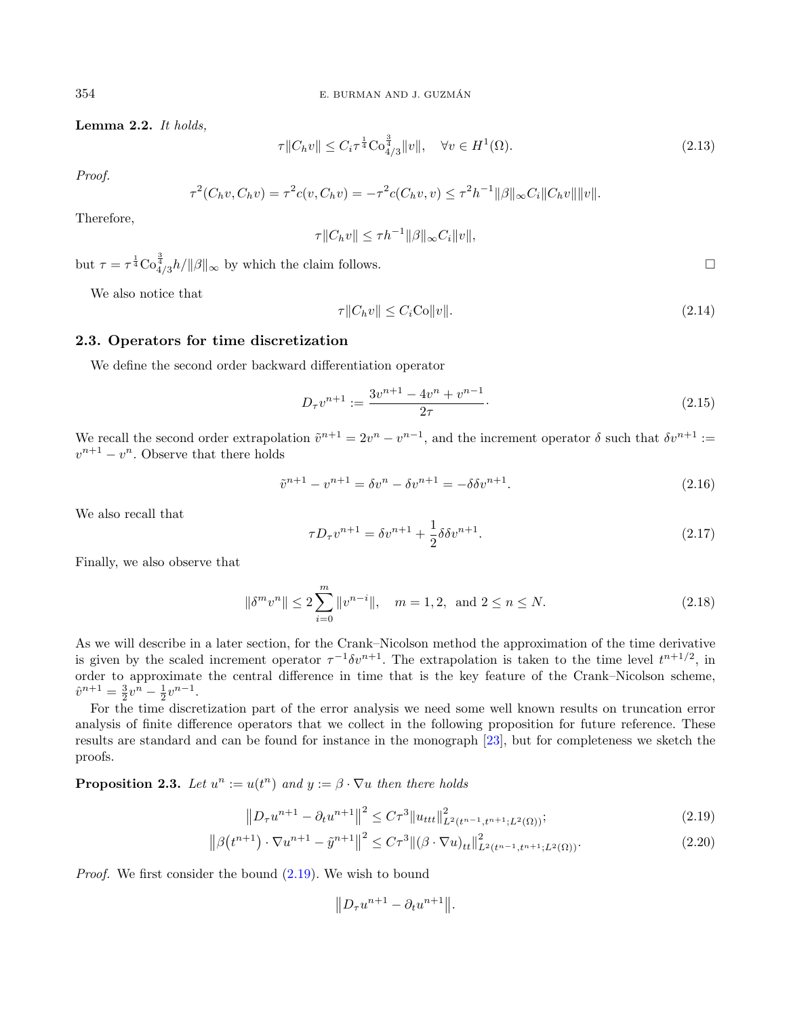Lemma 2.2. It holds,

<span id="page-5-5"></span>
$$
\tau \|C_h v\| \le C_i \tau^{\frac{1}{4}} C_{4/3}^{\frac{3}{4}} \|v\|, \quad \forall v \in H^1(\Omega). \tag{2.13}
$$

Proof.

$$
\tau^{2}(C_{h}v, C_{h}v) = \tau^{2}c(v, C_{h}v) = -\tau^{2}c(C_{h}v, v) \leq \tau^{2}h^{-1}||\beta||_{\infty}C_{i}||C_{h}v|| ||v||.
$$

Therefore,

<span id="page-5-3"></span>
$$
\tau ||C_h v|| \leq \tau h^{-1} ||\beta||_{\infty} C_i ||v||,
$$

but  $\tau = \tau^{\frac{1}{4}} \text{Co}_{4/3}^{\frac{3}{4}} h / ||\beta||_{\infty}$  by which the claim follows.

<span id="page-5-1"></span>We also notice that

$$
\tau \|C_h v\| \le C_i \text{Co} \|v\|. \tag{2.14}
$$

#### 2.3. Operators for time discretization

We define the second order backward differentiation operator

$$
D_{\tau}v^{n+1} := \frac{3v^{n+1} - 4v^n + v^{n-1}}{2\tau}.
$$
\n(2.15)

We recall the second order extrapolation  $\tilde{v}^{n+1} = 2v^n - v^{n-1}$ , and the increment operator  $\delta$  such that  $\delta v^{n+1}$  :=  $v^{n+1} - v^n$ . Observe that there holds

$$
\tilde{v}^{n+1} - v^{n+1} = \delta v^n - \delta v^{n+1} = -\delta \delta v^{n+1}.
$$
\n(2.16)

We also recall that

<span id="page-5-2"></span><span id="page-5-0"></span>
$$
\tau D_{\tau} v^{n+1} = \delta v^{n+1} + \frac{1}{2} \delta \delta v^{n+1}.
$$
\n(2.17)

Finally, we also observe that

$$
\|\delta^m v^n\| \le 2 \sum_{i=0}^m \|v^{n-i}\|, \quad m = 1, 2, \text{ and } 2 \le n \le N. \tag{2.18}
$$

As we will describe in a later section, for the Crank–Nicolson method the approximation of the time derivative is given by the scaled increment operator  $\tau^{-1} \delta v^{n+1}$ . The extrapolation is taken to the time level  $t^{n+1/2}$ , in order to approximate the central difference in time that is the key feature of the Crank–Nicolson scheme,  $\hat{v}^{n+1} = \frac{3}{2}v^n - \frac{1}{2}v^{n-1}.$ 

For the time discretization part of the error analysis we need some well known results on truncation error analysis of finite difference operators that we collect in the following proposition for future reference. These results are standard and can be found for instance in the monograph [\[23\]](#page-34-20), but for completeness we sketch the proofs.

**Proposition 2.3.** Let  $u^n := u(t^n)$  and  $y := \beta \cdot \nabla u$  then there holds

$$
||D_{\tau}u^{n+1} - \partial_t u^{n+1}||^2 \leq C\tau^3 ||u_{ttt}||^2_{L^2(t^{n-1}, t^{n+1}; L^2(\Omega))};
$$
\n(2.19)

$$
\left\|\beta(t^{n+1})\cdot\nabla u^{n+1} - \tilde{y}^{n+1}\right\|^2 \le C\tau^3 \left\|(\beta \cdot \nabla u)_{tt}\right\|^2_{L^2(t^{n-1}, t^{n+1}; L^2(\Omega))}.\tag{2.20}
$$

Proof. We first consider the bound [\(2.19\)](#page-5-0). We wish to bound

 $||D_{\tau}u^{n+1} - \partial_t u^{n+1}||.$ 

<span id="page-5-4"></span>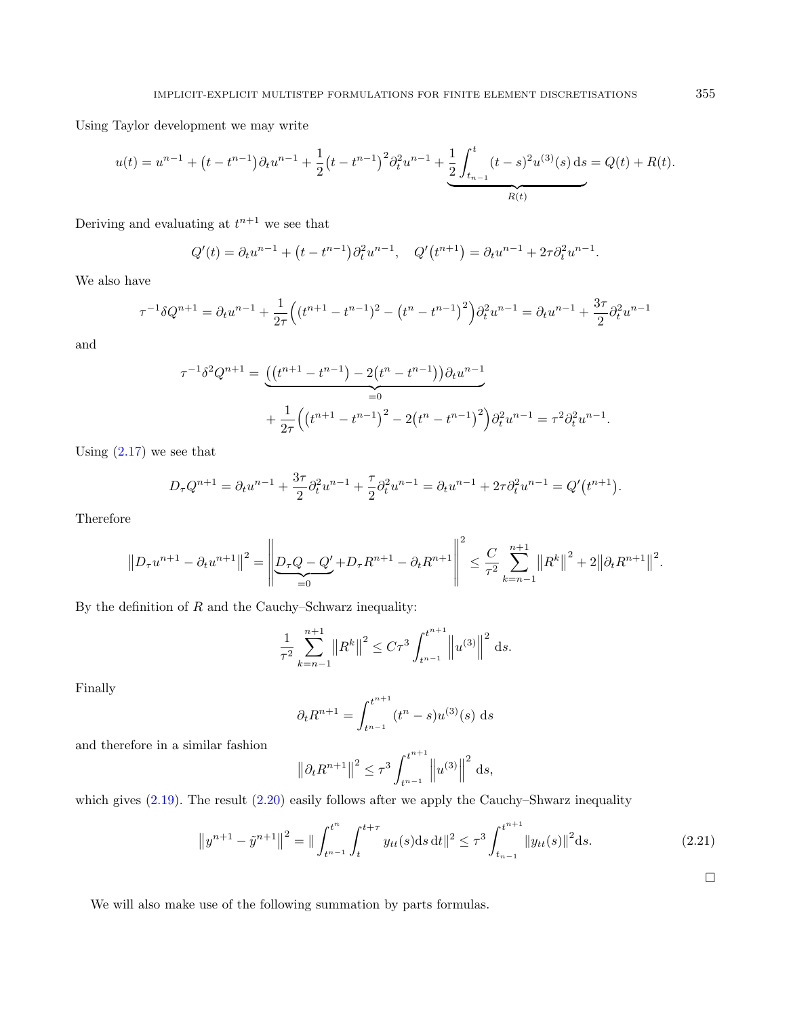Using Taylor development we may write

$$
u(t) = u^{n-1} + \left(t - t^{n-1}\right)\partial_t u^{n-1} + \frac{1}{2}\left(t - t^{n-1}\right)^2 \partial_t^2 u^{n-1} + \underbrace{\frac{1}{2} \int_{t_{n-1}}^t (t-s)^2 u^{(3)}(s) \, ds}_{R(t)} = Q(t) + R(t).
$$

Deriving and evaluating at  $t^{n+1}$  we see that

$$
Q'(t) = \partial_t u^{n-1} + (t - t^{n-1}) \partial_t^2 u^{n-1}, \quad Q'(t^{n+1}) = \partial_t u^{n-1} + 2\tau \partial_t^2 u^{n-1}.
$$

We also have

$$
\tau^{-1}\delta Q^{n+1} = \partial_t u^{n-1} + \frac{1}{2\tau} \left( (t^{n+1} - t^{n-1})^2 - (t^n - t^{n-1})^2 \right) \partial_t^2 u^{n-1} = \partial_t u^{n-1} + \frac{3\tau}{2} \partial_t^2 u^{n-1}
$$

and

$$
\tau^{-1} \delta^2 Q^{n+1} = \underbrace{\left( \left( t^{n+1} - t^{n-1} \right) - 2 \left( t^n - t^{n-1} \right) \right) \partial_t u^{n-1}}_{=0} + \frac{1}{2\tau} \left( \left( t^{n+1} - t^{n-1} \right)^2 - 2 \left( t^n - t^{n-1} \right)^2 \right) \partial_t^2 u^{n-1} = \tau^2 \partial_t^2 u^{n-1}.
$$

Using  $(2.17)$  we see that

$$
D_{\tau}Q^{n+1} = \partial_t u^{n-1} + \frac{3\tau}{2}\partial_t^2 u^{n-1} + \frac{\tau}{2}\partial_t^2 u^{n-1} = \partial_t u^{n-1} + 2\tau \partial_t^2 u^{n-1} = Q'(t^{n+1}).
$$

Therefore

$$
\left\|D_{\tau}u^{n+1}-\partial_{t}u^{n+1}\right\|^{2}=\left\|\underline{D_{\tau}Q-Q'}{=}D_{\tau}R^{n+1}-\partial_{t}R^{n+1}\right\|^{2}\leq \frac{C}{\tau^{2}}\sum_{k=n-1}^{n+1}\left\|R^{k}\right\|^{2}+2\left\|\partial_{t}R^{n+1}\right\|^{2}.
$$

By the definition of  $R$  and the Cauchy–Schwarz inequality:

$$
\frac{1}{\tau^2} \sum_{k=n-1}^{n+1} ||R^k||^2 \le C\tau^3 \int_{t^{n-1}}^{t^{n+1}} ||u^{(3)}||^2 ds.
$$

Finally

$$
\partial_t R^{n+1} = \int_{t^{n-1}}^{t^{n+1}} (t^n - s) u^{(3)}(s) \, ds
$$

and therefore in a similar fashion

$$
\left\|\partial_t R^{n+1}\right\|^2 \le \tau^3 \int_{t^{n-1}}^{t^{n+1}} \left\|u^{(3)}\right\|^2 \,\mathrm{d}s,
$$

which gives  $(2.19)$ . The result  $(2.20)$  easily follows after we apply the Cauchy–Shwarz inequality

$$
\left\|y^{n+1} - \tilde{y}^{n+1}\right\|^2 = \left\|\int_{t^{n-1}}^{t^n} \int_t^{t+\tau} y_{tt}(s)ds \, dt\right\|^2 \le \tau^3 \int_{t_{n-1}}^{t^{n+1}} \left\|y_{tt}(s)\right\|^2 ds. \tag{2.21}
$$

 $\Box$ 

We will also make use of the following summation by parts formulas.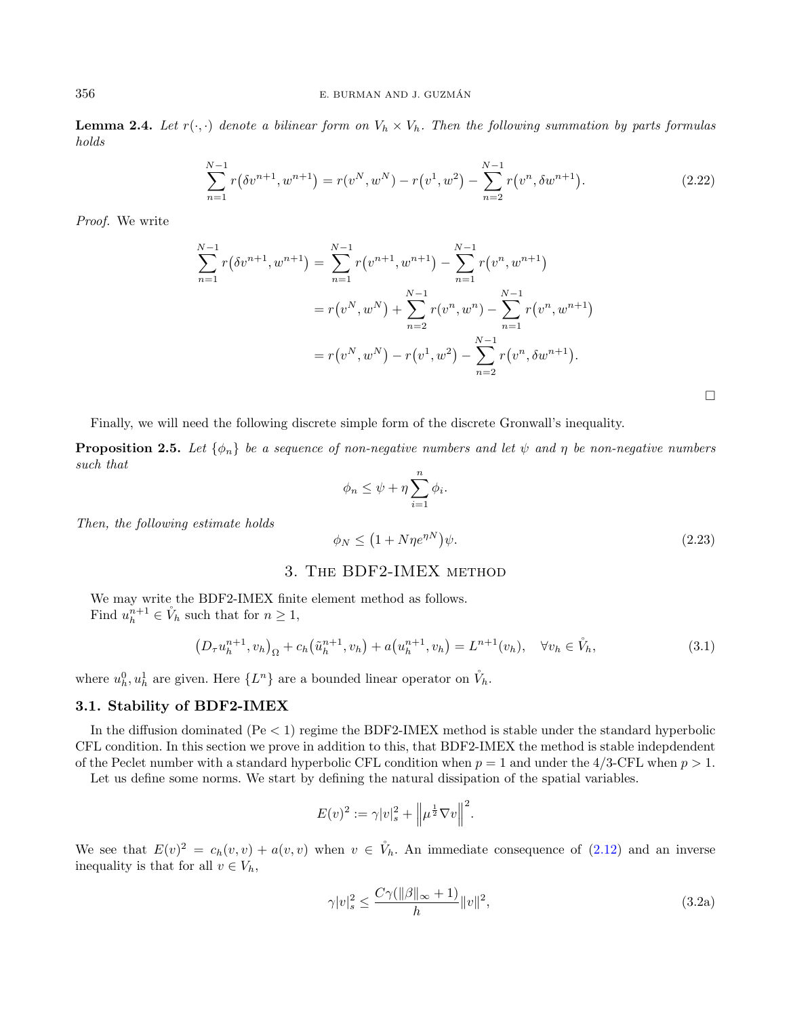**Lemma 2.4.** Let  $r(\cdot, \cdot)$  denote a bilinear form on  $V_h \times V_h$ . Then the following summation by parts formulas holds

<span id="page-7-3"></span>
$$
\sum_{n=1}^{N-1} r(\delta v^{n+1}, w^{n+1}) = r(v^N, w^N) - r(v^1, w^2) - \sum_{n=2}^{N-1} r(v^n, \delta w^{n+1}).
$$
\n(2.22)

Proof. We write

<span id="page-7-2"></span>
$$
\sum_{n=1}^{N-1} r(\delta v^{n+1}, w^{n+1}) = \sum_{n=1}^{N-1} r(v^{n+1}, w^{n+1}) - \sum_{n=1}^{N-1} r(v^n, w^{n+1})
$$
  
=  $r(v^N, w^N) + \sum_{n=2}^{N-1} r(v^n, w^n) - \sum_{n=1}^{N-1} r(v^n, w^{n+1})$   
=  $r(v^N, w^N) - r(v^1, w^2) - \sum_{n=2}^{N-1} r(v^n, \delta w^{n+1}).$ 

Finally, we will need the following discrete simple form of the discrete Gronwall's inequality.

**Proposition 2.5.** Let  $\{\phi_n\}$  be a sequence of non-negative numbers and let  $\psi$  and  $\eta$  be non-negative numbers such that

<span id="page-7-1"></span>
$$
\phi_n \le \psi + \eta \sum_{i=1}^n \phi_i.
$$

Then, the following estimate holds

$$
\phi_N \le \left(1 + N\eta e^{\eta N}\right)\psi. \tag{2.23}
$$

# 3. The BDF2-IMEX method

We may write the BDF2-IMEX finite element method as follows. Find  $u_h^{n+1} \in V_h$  such that for  $n \geq 1$ ,

<span id="page-7-4"></span>
$$
(D_{\tau}u_h^{n+1}, v_h)_{\Omega} + c_h(\tilde{u}_h^{n+1}, v_h) + a(u_h^{n+1}, v_h) = L^{n+1}(v_h), \quad \forall v_h \in \tilde{V}_h,
$$
\n(3.1)

where  $u_h^0, u_h^1$  are given. Here  $\{L^n\}$  are a bounded linear operator on  $\mathring{V}_h$ .

#### <span id="page-7-0"></span>3.1. Stability of BDF2-IMEX

In the diffusion dominated ( $Pe < 1$ ) regime the BDF2-IMEX method is stable under the standard hyperbolic CFL condition. In this section we prove in addition to this, that BDF2-IMEX the method is stable indepdendent of the Peclet number with a standard hyperbolic CFL condition when  $p = 1$  and under the 4/3-CFL when  $p > 1$ .

Let us define some norms. We start by defining the natural dissipation of the spatial variables.

$$
E(v)^{2} := \gamma |v|_{s}^{2} + \left\|\mu^{\frac{1}{2}}\nabla v\right\|^{2}.
$$

We see that  $E(v)^2 = c_h(v, v) + a(v, v)$  when  $v \in V_h$ . An immediate consequence of [\(2.12\)](#page-4-1) and an inverse inequality is that for all  $v \in V_h$ ,

$$
\gamma |v|_s^2 \le \frac{C\gamma(\|\beta\|_{\infty} + 1)}{h} \|v\|^2,\tag{3.2a}
$$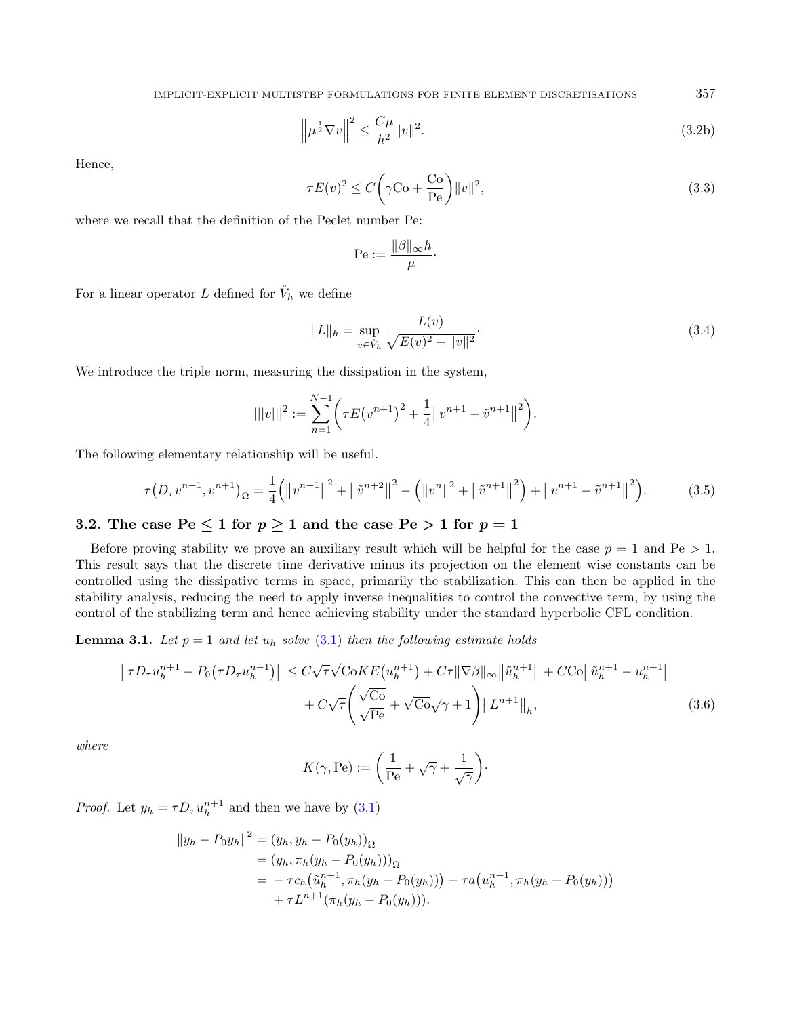<span id="page-8-1"></span>IMPLICIT-EXPLICIT MULTISTEP FORMULATIONS FOR FINITE ELEMENT DISCRETISATIONS 357

<span id="page-8-0"></span>
$$
\left\|\mu^{\frac{1}{2}}\nabla v\right\|^2 \le \frac{C\mu}{h^2} \|v\|^2. \tag{3.2b}
$$

Hence,

$$
\tau E(v)^2 \le C \left(\gamma \text{Co} + \frac{\text{Co}}{\text{Pe}}\right) ||v||^2,\tag{3.3}
$$

where we recall that the definition of the Peclet number Pe:

<span id="page-8-2"></span>
$$
\mathrm{Pe}:=\frac{\|\beta\|_\infty h}{\mu}
$$

<span id="page-8-4"></span><span id="page-8-3"></span>·

For a linear operator L defined for  $\mathring{V}_h$  we define

$$
||L||_h = \sup_{v \in \hat{V}_h} \frac{L(v)}{\sqrt{E(v)^2 + ||v||^2}}.
$$
\n(3.4)

We introduce the triple norm, measuring the dissipation in the system,

$$
|||v|||^2 := \sum_{n=1}^{N-1} \left( \tau E(v^{n+1})^2 + \frac{1}{4} ||v^{n+1} - \tilde{v}^{n+1}||^2 \right).
$$

The following elementary relationship will be useful.

$$
\tau(D_{\tau}v^{n+1},v^{n+1})_{\Omega} = \frac{1}{4}(\|v^{n+1}\|^2 + \|\tilde{v}^{n+2}\|^2 - (\|v^n\|^2 + \|\tilde{v}^{n+1}\|^2) + \|v^{n+1} - \tilde{v}^{n+1}\|^2).
$$
 (3.5)

# 3.2. The case  $Pe \le 1$  for  $p \ge 1$  and the case  $Pe > 1$  for  $p = 1$

Before proving stability we prove an auxiliary result which will be helpful for the case  $p = 1$  and  $Pe > 1$ . This result says that the discrete time derivative minus its projection on the element wise constants can be controlled using the dissipative terms in space, primarily the stabilization. This can then be applied in the stability analysis, reducing the need to apply inverse inequalities to control the convective term, by using the control of the stabilizing term and hence achieving stability under the standard hyperbolic CFL condition.

**Lemma 3.1.** Let  $p = 1$  and let  $u_h$  solve [\(3.1\)](#page-7-1) then the following estimate holds

$$
\| \tau D_{\tau} u_h^{n+1} - P_0(\tau D_{\tau} u_h^{n+1}) \| \le C\sqrt{\tau} \sqrt{\cosh E(u_h^{n+1})} + C\tau \|\nabla \beta\|_{\infty} \|\tilde{u}_h^{n+1}\| + C\text{Co} \|\tilde{u}_h^{n+1} - u_h^{n+1}\| + C\sqrt{\tau} \left(\frac{\sqrt{\cosh E(u_h^{n+1})} + C\overline{\cos E(u_h^{n+1})} + C\overline{\cos E(u_h^{n+1})} + C\overline{\cos E(u_h^{n+1})} + C\overline{\cos E(u_h^{n+1})} + C\overline{\cos E(u_h^{n+1})} + C\overline{\cos E(u_h^{n+1})} + C\overline{\cos E(u_h^{n+1})} + C\overline{\cos E(u_h^{n+1})} + C\overline{\cos E(u_h^{n+1})} + C\overline{\cos E(u_h^{n+1})} + C\overline{\cos E(u_h^{n+1})} + C\overline{\cos E(u_h^{n+1})} + C\overline{\cos E(u_h^{n+1})} + C\overline{\cos E(u_h^{n+1})} + C\overline{\cos E(u_h^{n+1})} + C\overline{\cos E(u_h^{n+1})} + C\overline{\cos E(u_h^{n+1})} + C\overline{\cos E(u_h^{n+1})} + C\overline{\cos E(u_h^{n+1})} + C\overline{\cos E(u_h^{n+1})} + C\overline{\cos E(u_h^{n+1})} + C\overline{\cos E(u_h^{n+1})} + C\overline{\cos E(u_h^{n+1})} + C\overline{\cos E(u_h^{n+1})} + C\overline{\cos E(u_h^{n+1})} + C\overline{\cos E(u_h^{n+1})} + C\overline{\cos E(u_h^{n+1})} + C\overline{\cos E(u_h^{n+1})} + C\overline{\cos E(u_h^{n+1})} + C\overline{\cos E(u_h^{n+1})} + C\overline{\cos E(u_h^{n+1})} + C\overline{\cos E(u_h^{n+1})} + C\overline{\cos E(u_h^{n+1})} + C\overline{\cos E(u_h^{n+1})} + C\overline{\cos E(u_h^{n+1})} + C\overline{\cos E(u_h^{n+1})} + C\overline{\cos E(u_h^{n+1})} + C\overline{\cos E(u_h^{n+1})} + C\overline{\cos
$$

where

$$
K(\gamma, \text{Pe}) := \left(\frac{1}{\text{Pe}} + \sqrt{\gamma} + \frac{1}{\sqrt{\gamma}}\right).
$$

*Proof.* Let  $y_h = \tau D_{\tau} u_h^{n+1}$  and then we have by [\(3.1\)](#page-7-1)

$$
\begin{aligned} ||y_h - P_0 y_h||^2 &= (y_h, y_h - P_0(y_h))_{\Omega} \\ &= (y_h, \pi_h(y_h - P_0(y_h)))_{\Omega} \\ &= -\tau c_h \big(\tilde{u}_h^{n+1}, \pi_h(y_h - P_0(y_h))\big) - \tau a \big(u_h^{n+1}, \pi_h(y_h - P_0(y_h))\big) \\ &+ \tau L^{n+1} (\pi_h(y_h - P_0(y_h))). \end{aligned}
$$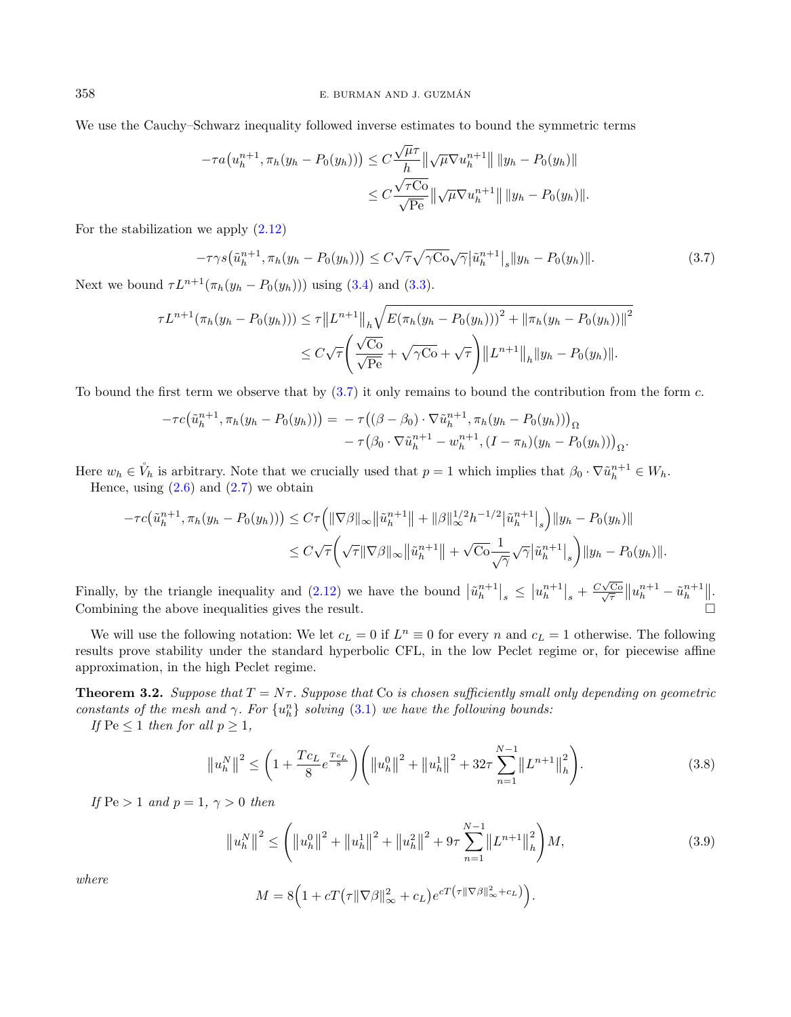We use the Cauchy–Schwarz inequality followed inverse estimates to bound the symmetric terms

<span id="page-9-0"></span>
$$
-\tau a(u_h^{n+1}, \pi_h(y_h - P_0(y_h))) \leq C \frac{\sqrt{\mu}\tau}{h} \|\sqrt{\mu} \nabla u_h^{n+1}\| \, \|y_h - P_0(y_h)\|
$$
  

$$
\leq C \frac{\sqrt{\tau C_0}}{\sqrt{Pe}} \|\sqrt{\mu} \nabla u_h^{n+1}\| \, \|y_h - P_0(y_h)\|.
$$

For the stabilization we apply  $(2.12)$ 

$$
-\tau\gamma s(\tilde{u}_h^{n+1}, \pi_h(y_h - P_0(y_h))) \le C\sqrt{\tau}\sqrt{\gamma C_0} \sqrt{\gamma} |\tilde{u}_h^{n+1}|_s \|y_h - P_0(y_h)\|.
$$
 (3.7)

Next we bound  $\tau L^{n+1}(\pi_h(y_h - P_0(y_h)))$  using [\(3.4\)](#page-8-0) and [\(3.3\)](#page-8-1).

$$
\tau L^{n+1}(\pi_h(y_h - P_0(y_h))) \le \tau \|L^{n+1}\|_h \sqrt{E(\pi_h(y_h - P_0(y_h)))^2 + \|\pi_h(y_h - P_0(y_h))\|^2}
$$
  

$$
\le C\sqrt{\tau} \left(\frac{\sqrt{C_0}}{\sqrt{Pe}} + \sqrt{\gamma C_0} + \sqrt{\tau}\right) \|L^{n+1}\|_h \|y_h - P_0(y_h)\|.
$$

To bound the first term we observe that by  $(3.7)$  it only remains to bound the contribution from the form c.

$$
- \tau c(\tilde{u}_h^{n+1}, \pi_h(y_h - P_0(y_h))) = - \tau((\beta - \beta_0) \cdot \nabla \tilde{u}_h^{n+1}, \pi_h(y_h - P_0(y_h)))_{\Omega} - \tau(\beta_0 \cdot \nabla \tilde{u}_h^{n+1} - w_h^{n+1}, (I - \pi_h)(y_h - P_0(y_h)))_{\Omega}.
$$

Here  $w_h \in V_h$  is arbitrary. Note that we crucially used that  $p = 1$  which implies that  $\beta_0 \cdot \nabla \tilde{u}_h^{n+1} \in W_h$ . Hence, using  $(2.6)$  and  $(2.7)$  we obtain

$$
- \tau c(\tilde{u}_h^{n+1}, \pi_h(y_h - P_0(y_h))) \leq C \tau \left( \|\nabla \beta\|_{\infty} \|\tilde{u}_h^{n+1}\| + \|\beta\|_{\infty}^{1/2} h^{-1/2} |\tilde{u}_h^{n+1}|_s \right) \|y_h - P_0(y_h)\|
$$
  

$$
\leq C \sqrt{\tau} \left( \sqrt{\tau} \|\nabla \beta\|_{\infty} \|\tilde{u}_h^{n+1}\| + \sqrt{C\sigma} \frac{1}{\sqrt{\gamma}} \sqrt{\gamma} |\tilde{u}_h^{n+1}|_s \right) \|y_h - P_0(y_h)\|.
$$

Finally, by the triangle inequality and [\(2.12\)](#page-4-1) we have the bound  $|\tilde{u}_h^{n+1}|_s \leq |u_h^{n+1}|_s + \frac{C\sqrt{2}}{\sqrt{2}}$  $\frac{\sqrt{C_0}}{\sqrt{\tau}} \|u_h^{n+1} - \tilde{u}_h^{n+1}\|.$ Combining the above inequalities gives the result.

We will use the following notation: We let  $c_L = 0$  if  $L^n \equiv 0$  for every n and  $c_L = 1$  otherwise. The following results prove stability under the standard hyperbolic CFL, in the low Peclet regime or, for piecewise affine approximation, in the high Peclet regime.

<span id="page-9-3"></span>**Theorem 3.2.** Suppose that  $T = N\tau$ . Suppose that Co is chosen sufficiently small only depending on geometric constants of the mesh and  $\gamma$ . For  $\{u_h^n\}$  solving  $(3.1)$  we have the following bounds:

If  $\text{Pe} \leq 1$  then for all  $p \geq 1$ ,

<span id="page-9-2"></span><span id="page-9-1"></span>
$$
\left\|u_{h}^{N}\right\|^{2} \leq \left(1 + \frac{Tc_{L}}{8}e^{\frac{Tc_{L}}{8}}\right)\left(\left\|u_{h}^{0}\right\|^{2} + \left\|u_{h}^{1}\right\|^{2} + 32\tau\sum_{n=1}^{N-1}\left\|L^{n+1}\right\|_{h}^{2}\right).
$$
\n(3.8)

If  $\text{Pe} > 1$  and  $p = 1, \gamma > 0$  then

$$
\left\|u_{h}^{N}\right\|^{2} \leq \left(\left\|u_{h}^{0}\right\|^{2} + \left\|u_{h}^{1}\right\|^{2} + \left\|u_{h}^{2}\right\|^{2} + 9\tau \sum_{n=1}^{N-1} \left\|L^{n+1}\right\|_{h}^{2}\right) M, \tag{3.9}
$$

where

$$
M = 8\Big(1 + cT\big(\tau\|\nabla\beta\|_{\infty}^2 + c_L\big)e^{cT\big(\tau\|\nabla\beta\|_{\infty}^2 + c_L\big)}\Big).
$$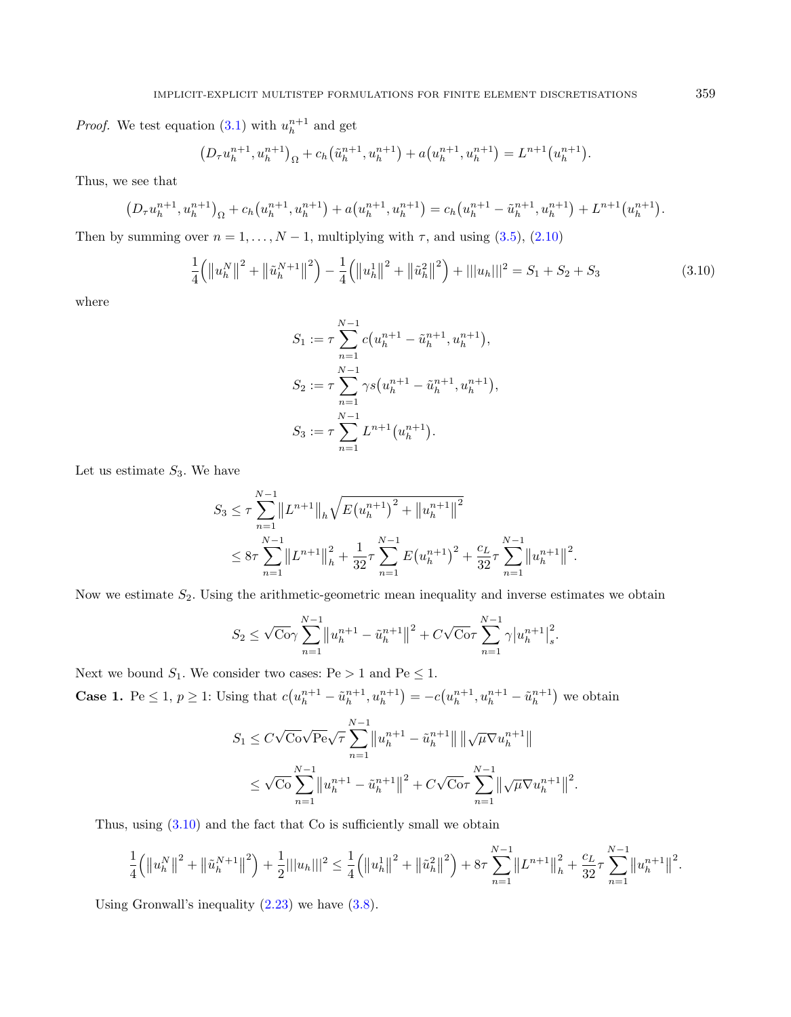*Proof.* We test equation  $(3.1)$  with  $u_h^{n+1}$  and get

$$
(D_{\tau}u_h^{n+1}, u_h^{n+1})_{\Omega} + c_h(\tilde{u}_h^{n+1}, u_h^{n+1}) + a(u_h^{n+1}, u_h^{n+1}) = L^{n+1}(u_h^{n+1}).
$$

Thus, we see that

$$
(D_{\tau}u_h^{n+1}, u_h^{n+1})_{\Omega} + c_h(u_h^{n+1}, u_h^{n+1}) + a(u_h^{n+1}, u_h^{n+1}) = c_h(u_h^{n+1} - \tilde{u}_h^{n+1}, u_h^{n+1}) + L^{n+1}(u_h^{n+1}).
$$

Then by summing over  $n = 1, ..., N - 1$ , multiplying with  $\tau$ , and using [\(3.5\)](#page-8-2), [\(2.10\)](#page-4-2)

$$
\frac{1}{4} \left( \left\| u_h^N \right\|^2 + \left\| \tilde{u}_h^{N+1} \right\|^2 \right) - \frac{1}{4} \left( \left\| u_h^1 \right\|^2 + \left\| \tilde{u}_h^2 \right\|^2 \right) + \left\| |u_h| \right\|^2 = S_1 + S_2 + S_3 \tag{3.10}
$$

.

where

<span id="page-10-0"></span>
$$
S_1 := \tau \sum_{n=1}^{N-1} c(u_h^{n+1} - \tilde{u}_h^{n+1}, u_h^{n+1}),
$$
  
\n
$$
S_2 := \tau \sum_{n=1}^{N-1} \gamma s(u_h^{n+1} - \tilde{u}_h^{n+1}, u_h^{n+1}),
$$
  
\n
$$
S_3 := \tau \sum_{n=1}^{N-1} L^{n+1}(u_h^{n+1}).
$$

Let us estimate  $S_3$ . We have

$$
S_3 \leq \tau \sum_{n=1}^{N-1} \|L^{n+1}\|_h \sqrt{E(u_h^{n+1})^2 + \|u_h^{n+1}\|^2}
$$
  
 
$$
\leq 8\tau \sum_{n=1}^{N-1} \|L^{n+1}\|_h^2 + \frac{1}{32}\tau \sum_{n=1}^{N-1} E(u_h^{n+1})^2 + \frac{c_L}{32}\tau \sum_{n=1}^{N-1} \|u_h^{n+1}\|^2
$$

Now we estimate  $S_2$ . Using the arithmetic-geometric mean inequality and inverse estimates we obtain

$$
S_2 \le \sqrt{\mathbf{C}}_0 \gamma \sum_{n=1}^{N-1} \left\| u_h^{n+1} - \tilde{u}_h^{n+1} \right\|^2 + C\sqrt{\mathbf{C}}_0 \tau \sum_{n=1}^{N-1} \gamma \left| u_h^{n+1} \right|_s^2.
$$

Next we bound  $S_1$ . We consider two cases: Pe > 1 and Pe  $\leq 1$ . **Case 1.** Pe  $\leq 1$ ,  $p \geq 1$ : Using that  $c(u_h^{n+1} - \tilde{u}_h^{n+1}, u_h^{n+1}) = -c(u_h^{n+1}, u_h^{n+1} - \tilde{u}_h^{n+1})$  we obtain

$$
S_1 \leq C\sqrt{\mathcal{C}o}\sqrt{\mathcal{P}e}\sqrt{\tau} \sum_{n=1}^{N-1} \left\|u_h^{n+1} - \tilde{u}_h^{n+1}\right\| \left\|\sqrt{\mu}\nabla u_h^{n+1}\right\|
$$
  

$$
\leq \sqrt{\mathcal{C}o} \sum_{n=1}^{N-1} \left\|u_h^{n+1} - \tilde{u}_h^{n+1}\right\|^2 + C\sqrt{\mathcal{C}o}\tau \sum_{n=1}^{N-1} \left\|\sqrt{\mu}\nabla u_h^{n+1}\right\|^2.
$$

Thus, using  $(3.10)$  and the fact that Co is sufficiently small we obtain

$$
\frac{1}{4} (||u_h^N||^2 + ||\tilde{u}_h^{N+1}||^2) + \frac{1}{2} |||u_h||^2 \leq \frac{1}{4} (||u_h^1||^2 + ||\tilde{u}_h^2||^2) + 8\tau \sum_{n=1}^{N-1} ||L^{n+1}||_h^2 + \frac{c_L}{32} \tau \sum_{n=1}^{N-1} ||u_h^{n+1}||^2.
$$

Using Gronwall's inequality [\(2.23\)](#page-7-2) we have [\(3.8\)](#page-9-1).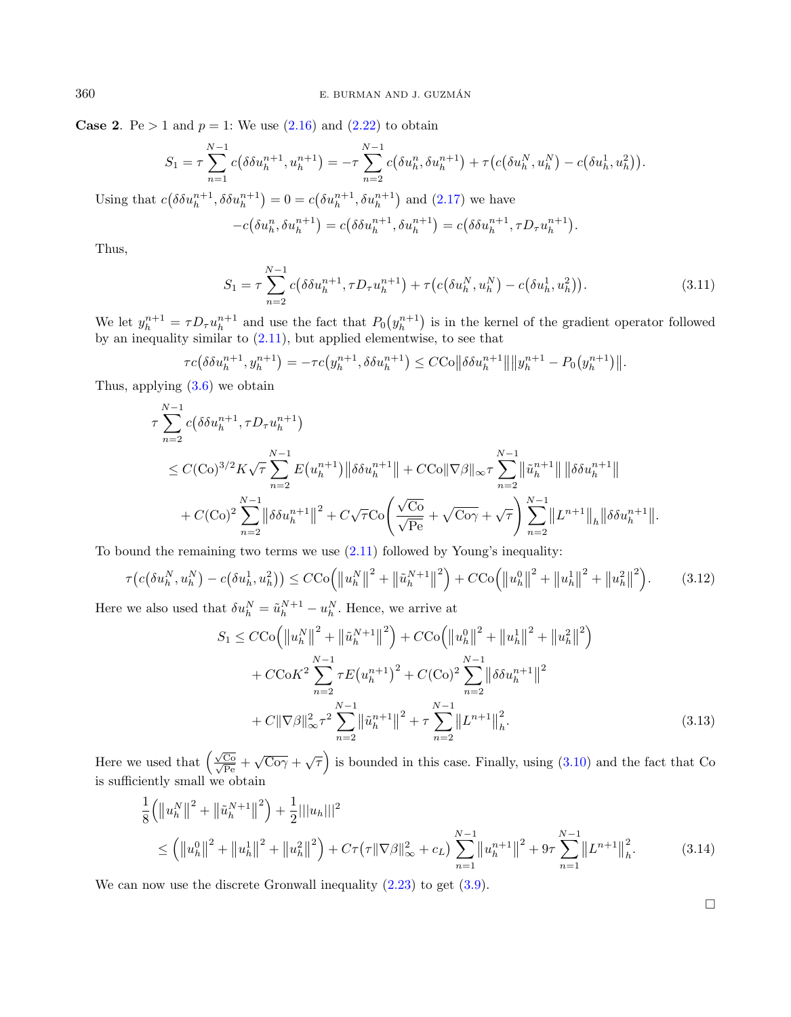**Case 2.** Pe  $> 1$  and  $p = 1$ : We use  $(2.16)$  and  $(2.22)$  to obtain

$$
S_1 = \tau \sum_{n=1}^{N-1} c(\delta \delta u_h^{n+1}, u_h^{n+1}) = -\tau \sum_{n=2}^{N-1} c(\delta u_h^n, \delta u_h^{n+1}) + \tau (c(\delta u_h^N, u_h^N) - c(\delta u_h^1, u_h^2)).
$$

Using that  $c(\delta \delta u_h^{n+1}, \delta \delta u_h^{n+1}) = 0 = c(\delta u_h^{n+1}, \delta u_h^{n+1})$  and  $(2.17)$  we have

<span id="page-11-0"></span>
$$
-c(\delta u_h^n, \delta u_h^{n+1}) = c(\delta \delta u_h^{n+1}, \delta u_h^{n+1}) = c(\delta \delta u_h^{n+1}, \tau D_\tau u_h^{n+1}).
$$

Thus,

<span id="page-11-1"></span>
$$
S_1 = \tau \sum_{n=2}^{N-1} c(\delta \delta u_h^{n+1}, \tau D_\tau u_h^{n+1}) + \tau (c(\delta u_h^N, u_h^N) - c(\delta u_h^1, u_h^2)).
$$
\n(3.11)

We let  $y_h^{n+1} = \tau D_\tau u_h^{n+1}$  and use the fact that  $P_0(y_h^{n+1})$  is in the kernel of the gradient operator followed by an inequality similar to  $(2.11)$ , but applied elementwise, to see that

$$
\tau c(\delta \delta u_h^{n+1}, y_h^{n+1}) = -\tau c\big(y_h^{n+1}, \delta \delta u_h^{n+1}\big) \le C C \sigma \|\delta \delta u_h^{n+1}\| \|y_h^{n+1} - P_0\big(y_h^{n+1}\big)\|.
$$

Thus, applying [\(3.6\)](#page-8-3) we obtain

$$
\tau \sum_{n=2}^{N-1} c(\delta \delta u_h^{n+1}, \tau D_{\tau} u_h^{n+1})
$$
  
\n
$$
\leq C(\text{Co})^{3/2} K \sqrt{\tau} \sum_{n=2}^{N-1} E(u_h^{n+1}) \|\delta \delta u_h^{n+1}\| + C\text{Co} \|\nabla \beta\|_{\infty} \tau \sum_{n=2}^{N-1} \|\tilde{u}_h^{n+1}\| \|\delta \delta u_h^{n+1}\|
$$
  
\n
$$
+ C(\text{Co})^2 \sum_{n=2}^{N-1} \|\delta \delta u_h^{n+1}\|^2 + C\sqrt{\tau} \text{Co} \left(\frac{\sqrt{\text{Co}}}{\sqrt{\text{Pe}}} + \sqrt{\text{Co}\gamma} + \sqrt{\tau}\right) \sum_{n=2}^{N-1} \|L^{n+1}\|_{h} \|\delta \delta u_h^{n+1}\|.
$$

To bound the remaining two terms we use [\(2.11\)](#page-4-0) followed by Young's inequality:

$$
\tau(c(\delta u_h^N, u_h^N) - c(\delta u_h^1, u_h^2)) \leq C \text{Co}\left(\left\|u_h^N\right\|^2 + \left\|\tilde{u}_h^{N+1}\right\|^2\right) + C \text{Co}\left(\left\|u_h^0\right\|^2 + \left\|u_h^1\right\|^2 + \left\|u_h^2\right\|^2\right). \tag{3.12}
$$

Here we also used that  $\delta u_h^N = \tilde{u}_h^{N+1} - u_h^N$ . Hence, we arrive at

$$
S_1 \leq CCo\left(\left\|u_h^N\right\|^2 + \left\|\tilde{u}_h^{N+1}\right\|^2\right) + CCo\left(\left\|u_h^0\right\|^2 + \left\|u_h^1\right\|^2 + \left\|u_h^2\right\|^2\right) + CCoK^2 \sum_{n=2}^{N-1} \tau E\left(u_h^{n+1}\right)^2 + C(Co)^2 \sum_{n=2}^{N-1} \left\|\delta\delta u_h^{n+1}\right\|^2 + C\|\nabla\beta\|_{\infty}^2 \tau^2 \sum_{n=2}^{N-1} \left\|\tilde{u}_h^{n+1}\right\|^2 + \tau \sum_{n=2}^{N-1} \left\|L^{n+1}\right\|_h^2.
$$
 (3.13)

Here we used that  $(\frac{\sqrt{Co}}{\sqrt{Pe}} + \sqrt{Co\gamma} + \sqrt{\tau})$  is bounded in this case. Finally, using [\(3.10\)](#page-10-0) and the fact that Co is sufficiently small we obtain

$$
\frac{1}{8} (||u_h^N||^2 + ||\tilde{u}_h^{N+1}||^2) + \frac{1}{2} |||u_h||^2
$$
\n
$$
\leq (||u_h^0||^2 + ||u_h^1||^2 + ||u_h^2||^2) + C\tau(\tau ||\nabla\beta||_{\infty}^2 + c_L) \sum_{n=1}^{N-1} ||u_h^{n+1}||^2 + 9\tau \sum_{n=1}^{N-1} ||L^{n+1}||_h^2.
$$
\n(3.14)

We can now use the discrete Gronwall inequality  $(2.23)$  to get  $(3.9)$ .

 $\Box$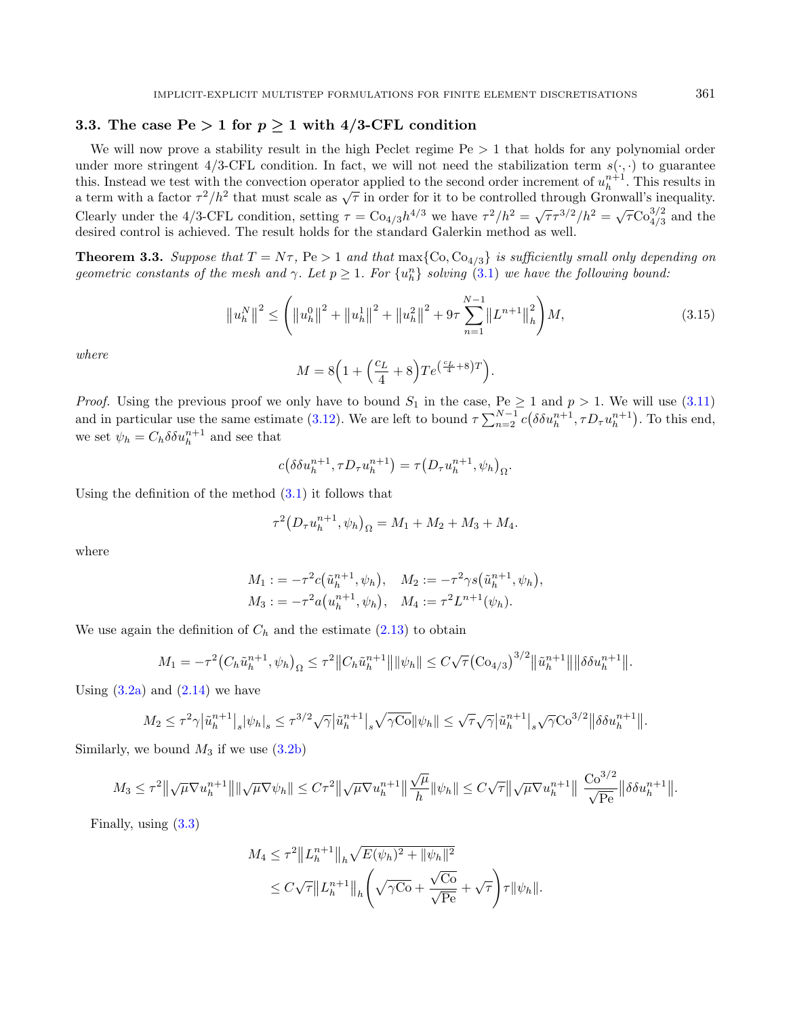## 3.3. The case  $Pe > 1$  for  $p \ge 1$  with 4/3-CFL condition

We will now prove a stability result in the high Peclet regime  $Pe > 1$  that holds for any polynomial order under more stringent 4/3-CFL condition. In fact, we will not need the stabilization term  $s(\cdot, \cdot)$  to guarantee this. Instead we test with the convection operator applied to the second order increment of  $u_h^{n+1}$ . This results in this. Instead we test with the convection operator applied to the second order increment or  $u_h$ . This results in a term with a factor  $\tau^2/h^2$  that must scale as  $\sqrt{\tau}$  in order for it to be controlled through Gronwall Clearly under the 4/3-CFL condition, setting  $\tau = \text{Co}_{4/3} h^{4/3}$  we have  $\tau^2/h^2 = \sqrt{\tau} \tau^{3/2}/h^2 = \sqrt{\tau} \text{Co}_{4/3}^{3/2}$  and the desired control is achieved. The result holds for the standard Galerkin method as well.

**Theorem 3.3.** Suppose that  $T = N\tau$ ,  $Pe > 1$  and that  $\max\{Co, Co_{4/3}\}\$ is sufficiently small only depending on geometric constants of the mesh and  $\gamma$ . Let  $p \geq 1$ . For  $\{u_h^n\}$  solving  $(3.1)$  we have the following bound:

$$
\left\|u_{h}^{N}\right\|^{2} \leq \left(\left\|u_{h}^{0}\right\|^{2} + \left\|u_{h}^{1}\right\|^{2} + \left\|u_{h}^{2}\right\|^{2} + 9\tau \sum_{n=1}^{N-1} \left\|L^{n+1}\right\|_{h}^{2}\right)M, \tag{3.15}
$$

where

<span id="page-12-1"></span><span id="page-12-0"></span>
$$
M = 8\Big(1 + \Big(\frac{c_L}{4} + 8\Big)Te^{\left(\frac{c_L}{4} + 8\right)T}\Big).
$$

*Proof.* Using the previous proof we only have to bound  $S_1$  in the case, Pe  $\geq 1$  and  $p > 1$ . We will use [\(3.11\)](#page-11-0) and in particular use the same estimate [\(3.12\)](#page-11-1). We are left to bound  $\tau \sum_{n=2}^{N-1} c(\delta \delta u_h^{n+1}, \tau D_{\tau} u_h^{n+1})$ . To this end, we set  $\psi_h = C_h \delta \delta u_h^{n+1}$  and see that

$$
c(\delta \delta u_h^{n+1}, \tau D_\tau u_h^{n+1}) = \tau (D_\tau u_h^{n+1}, \psi_h)_{\Omega}.
$$

Using the definition of the method [\(3.1\)](#page-7-1) it follows that

$$
\tau^{2} (D_{\tau} u_{h}^{n+1}, \psi_{h})_{\Omega} = M_{1} + M_{2} + M_{3} + M_{4}.
$$

where

$$
M_1 := -\tau^2 c(\tilde{u}_h^{n+1}, \psi_h), \quad M_2 := -\tau^2 \gamma s(\tilde{u}_h^{n+1}, \psi_h), M_3 := -\tau^2 a(u_h^{n+1}, \psi_h), \quad M_4 := \tau^2 L^{n+1}(\psi_h).
$$

We use again the definition of  $C_h$  and the estimate [\(2.13\)](#page-5-4) to obtain

$$
M_1 = -\tau^2 \big(C_h \tilde{u}_h^{n+1}, \psi_h\big)_{\Omega} \le \tau^2 \|C_h \tilde{u}_h^{n+1}\| \|\psi_h\| \le C\sqrt{\tau} \big(Co_{4/3}\big)^{3/2} \|\tilde{u}_h^{n+1}\| \|\delta \delta u_h^{n+1}\|.
$$

Using  $(3.2a)$  and  $(2.14)$  we have

$$
M_2 \le \tau^2 \gamma |\tilde{u}_h^{n+1}|_s |\psi_h|_s \le \tau^{3/2} \sqrt{\gamma} |\tilde{u}_h^{n+1}|_s \sqrt{\gamma \text{Co}} ||\psi_h|| \le \sqrt{\tau} \sqrt{\gamma} |\tilde{u}_h^{n+1}|_s \sqrt{\gamma} \text{Co}^{3/2} ||\delta \delta u_h^{n+1}||.
$$

Similarly, we bound  $M_3$  if we use  $(3.2b)$ 

$$
M_3 \leq \tau^2 \|\sqrt{\mu} \nabla u_h^{n+1}\| \|\sqrt{\mu} \nabla \psi_h\| \leq C \tau^2 \|\sqrt{\mu} \nabla u_h^{n+1}\| \frac{\sqrt{\mu}}{h} \|\psi_h\| \leq C \sqrt{\tau} \|\sqrt{\mu} \nabla u_h^{n+1}\| \frac{\text{Co}^{3/2}}{\sqrt{\text{Pe}}} \|\delta \delta u_h^{n+1}\|.
$$

Finally, using [\(3.3\)](#page-8-1)

$$
M_4 \leq \tau^2 ||L_h^{n+1}||_h \sqrt{E(\psi_h)^2 + ||\psi_h||^2}
$$
  
 
$$
\leq C\sqrt{\tau} ||L_h^{n+1}||_h \left(\sqrt{\gamma C_0} + \frac{\sqrt{C_0}}{\sqrt{Pe}} + \sqrt{\tau}\right) \tau ||\psi_h||.
$$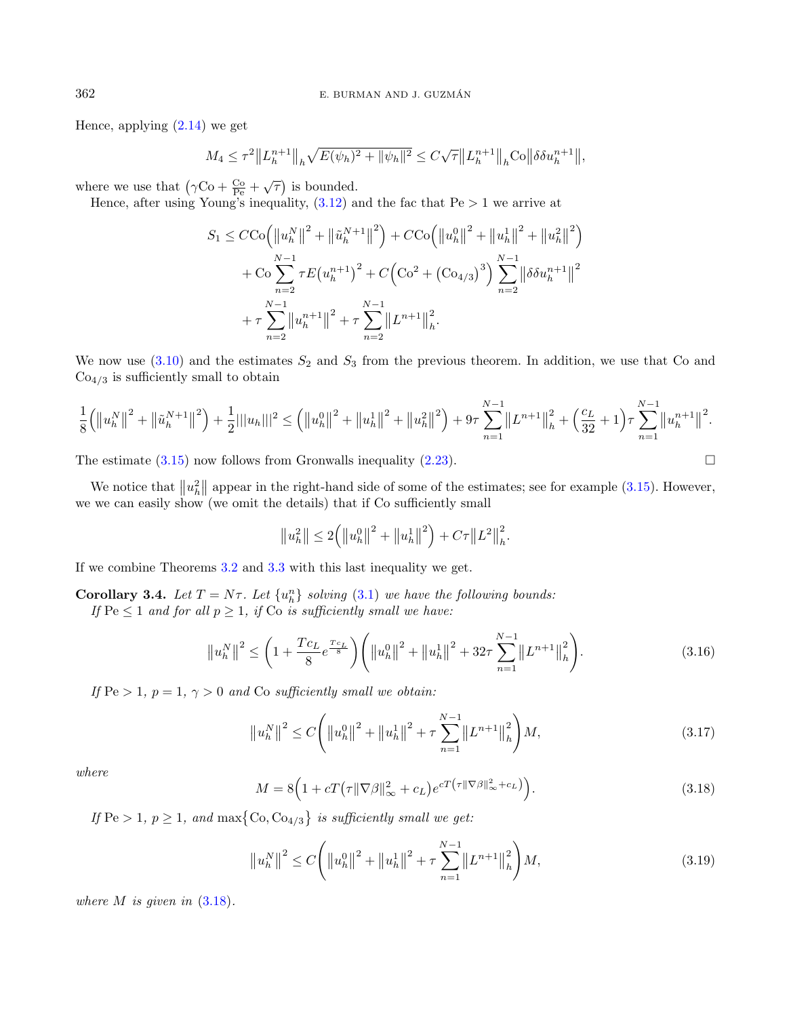Hence, applying  $(2.14)$  we get

$$
M_4 \le \tau^2 ||L_h^{n+1}||_h \sqrt{E(\psi_h)^2 + ||\psi_h||^2} \le C\sqrt{\tau} ||L_h^{n+1}||_h \text{Co} ||\delta \delta u_h^{n+1}||,
$$

where we use that  $(\gamma \text{Co} + \frac{\text{Co}}{\text{Pe}} + \sqrt{\tau})$  is bounded.

Hence, after using Young's inequality,  $(3.12)$  and the fac that  $Pe > 1$  we arrive at

$$
S_1 \leq C \text{Co} \left( \left\| u_h^N \right\|^2 + \left\| \tilde{u}_h^{N+1} \right\|^2 \right) + C \text{Co} \left( \left\| u_h^0 \right\|^2 + \left\| u_h^1 \right\|^2 + \left\| u_h^2 \right\|^2 \right) + \text{Co} \sum_{n=2}^{N-1} \tau E (u_h^{n+1})^2 + C \left( \text{Co}^2 + (\text{Co}_{4/3})^3 \right) \sum_{n=2}^{N-1} \left\| \delta \delta u_h^{n+1} \right\|^2 + \tau \sum_{n=2}^{N-1} \left\| u_h^{n+1} \right\|^2 + \tau \sum_{n=2}^{N-1} \left\| L^{n+1} \right\|_h^2.
$$

We now use  $(3.10)$  and the estimates  $S_2$  and  $S_3$  from the previous theorem. In addition, we use that Co and  $Co<sub>4/3</sub>$  is sufficiently small to obtain

$$
\frac{1}{8}(\left\|u_{h}^{N}\right\|^{2}+\left\|\tilde{u}_{h}^{N+1}\right\|^{2})+\frac{1}{2}|||u_{h}|||^{2}\leq \left(\left\|u_{h}^{0}\right\|^{2}+\left\|u_{h}^{1}\right\|^{2}+\left\|u_{h}^{2}\right\|^{2}\right)+9\tau\sum_{n=1}^{N-1}\left\|L^{n+1}\right\|_{h}^{2}+\left(\frac{c_{L}}{32}+1\right)\tau\sum_{n=1}^{N-1}\left\|u_{h}^{n+1}\right\|^{2}.
$$

The estimate  $(3.15)$  now follows from Gronwalls inequality  $(2.23)$ .

We notice that  $||u_h^2||$  appear in the right-hand side of some of the estimates; see for example [\(3.15\)](#page-12-0). However, we we can easily show (we omit the details) that if Co sufficiently small

<span id="page-13-2"></span><span id="page-13-1"></span>
$$
||u_h^2|| \leq 2(|u_h^0||^2 + ||u_h^1||^2) + C\tau ||L^2||_h^2.
$$

If we combine Theorems [3.2](#page-9-3) and [3.3](#page-12-1) with this last inequality we get.

**Corollary 3.4.** Let  $T = N\tau$ . Let  $\{u_n^n\}$  solving [\(3.1\)](#page-7-1) we have the following bounds:

<span id="page-13-0"></span>If  $\text{Pe} \leq 1$  and for all  $p \geq 1$ , if  $\text{Co}$  is sufficiently small we have:

$$
\left\|u_{h}^{N}\right\|^{2} \leq \left(1 + \frac{Tc_{L}}{8}e^{\frac{Tc_{L}}{8}}\right)\left(\left\|u_{h}^{0}\right\|^{2} + \left\|u_{h}^{1}\right\|^{2} + 32\tau\sum_{n=1}^{N-1}\left\|L^{n+1}\right\|_{h}^{2}\right).
$$
\n(3.16)

If  $Pe > 1$ ,  $p = 1$ ,  $\gamma > 0$  and Co sufficiently small we obtain:

$$
\left\|u_{h}^{N}\right\|^{2} \leq C\Bigg(\left\|u_{h}^{0}\right\|^{2} + \left\|u_{h}^{1}\right\|^{2} + \tau \sum_{n=1}^{N-1} \left\|L^{n+1}\right\|_{h}^{2}\Bigg)M,
$$
\n(3.17)

where

$$
M = 8\left(1 + cT\left(\tau\|\nabla\beta\|_{\infty}^2 + c_L\right)e^{cT\left(\tau\|\nabla\beta\|_{\infty}^2 + c_L\right)}\right). \tag{3.18}
$$

If  $\text{Pe} > 1$ ,  $p \geq 1$ , and  $\max \{ \text{Co}, \text{Co}_{4/3} \}$  is sufficiently small we get:

$$
\left\|u_{h}^{N}\right\|^{2} \leq C\Bigg(\left\|u_{h}^{0}\right\|^{2} + \left\|u_{h}^{1}\right\|^{2} + \tau \sum_{n=1}^{N-1} \left\|L^{n+1}\right\|_{h}^{2}\Bigg)M,
$$
\n(3.19)

where  $M$  is given in  $(3.18)$ .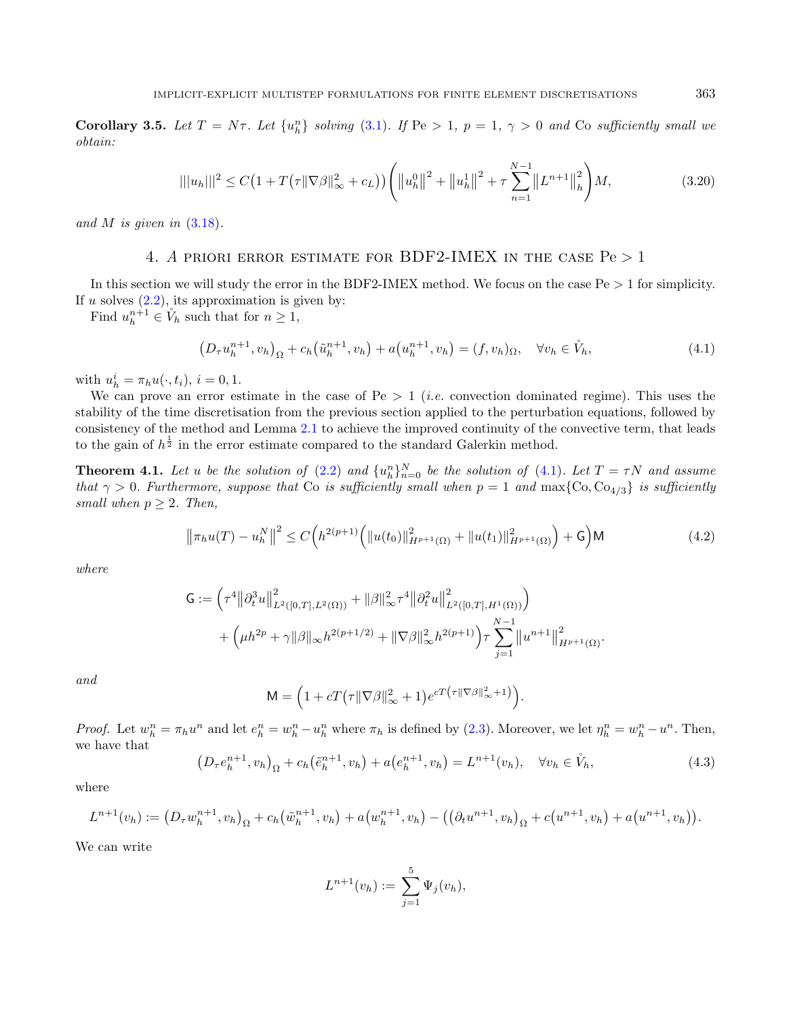**Corollary 3.5.** Let  $T = N\tau$ . Let  $\{u_n^n\}$  solving [\(3.1\)](#page-7-1). If  $Pe > 1$ ,  $p = 1$ ,  $\gamma > 0$  and Co sufficiently small we obtain:

<span id="page-14-3"></span><span id="page-14-1"></span>
$$
|||u_h|||^2 \le C\left(1 + T\left(\tau \|\nabla \beta\|_{\infty}^2 + c_L\right)\right) \left(||u_h^0||^2 + ||u_h^1||^2 + \tau \sum_{n=1}^{N-1} ||L^{n+1}||_h^2\right) M,\tag{3.20}
$$

<span id="page-14-0"></span>and  $M$  is given in  $(3.18)$ .

## 4. A PRIORI ERROR ESTIMATE FOR BDF2-IMEX IN THE CASE  $Pe > 1$

In this section we will study the error in the BDF2-IMEX method. We focus on the case  $Pe > 1$  for simplicity. If  $u$  solves  $(2.2)$ , its approximation is given by:

Find  $u_h^{n+1} \in V_h$  such that for  $n \geq 1$ ,

<span id="page-14-5"></span><span id="page-14-4"></span>
$$
(D_{\tau}u_h^{n+1}, v_h)_{\Omega} + c_h(\tilde{u}_h^{n+1}, v_h) + a(u_h^{n+1}, v_h) = (f, v_h)_{\Omega}, \quad \forall v_h \in \tilde{V}_h,
$$
\n(4.1)

with  $u_h^i = \pi_h u(\cdot, t_i), i = 0, 1.$ 

We can prove an error estimate in the case of Pe  $> 1$  (*i.e.* convection dominated regime). This uses the stability of the time discretisation from the previous section applied to the perturbation equations, followed by consistency of the method and Lemma [2.1](#page-3-3) to achieve the improved continuity of the convective term, that leads to the gain of  $h^{\frac{1}{2}}$  in the error estimate compared to the standard Galerkin method.

**Theorem 4.1.** Let u be the solution of  $(2.2)$  and  $\{u_n^n\}_{n=0}^N$  be the solution of  $(4.1)$ . Let  $T = \tau N$  and assume that  $\gamma > 0$ . Furthermore, suppose that Co is sufficiently small when  $p = 1$  and  $\max\{ \text{Co}, \text{Co}_{4/3} \}$  is sufficiently small when  $p \geq 2$ . Then,

<span id="page-14-2"></span>
$$
\left\|\pi_h u(T) - u_h^N\right\|^2 \le C\left(h^{2(p+1)}\left(\|u(t_0)\|_{H^{p+1}(\Omega)}^2 + \|u(t_1)\|_{H^{p+1}(\Omega)}^2\right) + \mathsf{G}\right) \mathsf{M} \tag{4.2}
$$

where

$$
G := \left(\tau^4 \left\|\partial_t^3 u\right\|_{L^2([0,T],L^2(\Omega))}^2 + \|\beta\|_{\infty}^2 \tau^4 \left\|\partial_t^2 u\right\|_{L^2([0,T],H^1(\Omega))}^2\right) + \left(\mu h^{2p} + \gamma \|\beta\|_{\infty} h^{2(p+1/2)} + \|\nabla \beta\|_{\infty}^2 h^{2(p+1)}\right) \tau \sum_{j=1}^{N-1} \left\|u^{n+1}\right\|_{H^{p+1}(\Omega)}^2.
$$

and

$$
\mathsf{M} = \left(1 + cT\big(\tau\|\nabla\beta\|_{\infty}^2 + 1\big)e^{cT\big(\tau\|\nabla\beta\|_{\infty}^2 + 1\big)}\right).
$$

*Proof.* Let  $w_h^n = \pi_h u^n$  and let  $e_h^n = w_h^n - u_h^n$  where  $\pi_h$  is defined by [\(2.3\)](#page-2-1). Moreover, we let  $\eta_h^n = w_h^n - u^n$ . Then, we have that

$$
(D_{\tau}e_h^{n+1}, v_h)_{\Omega} + c_h(\tilde{e}_h^{n+1}, v_h) + a(e_h^{n+1}, v_h) = L^{n+1}(v_h), \quad \forall v_h \in \mathring{V}_h,
$$
\n(4.3)

where

$$
L^{n+1}(v_h) := (D_{\tau}w_h^{n+1}, v_h)_{\Omega} + c_h(\tilde{w}_h^{n+1}, v_h) + a(w_h^{n+1}, v_h) - ((\partial_t u^{n+1}, v_h)_{\Omega} + c(u^{n+1}, v_h) + a(u^{n+1}, v_h)).
$$

We can write

$$
L^{n+1}(v_h) := \sum_{j=1}^5 \Psi_j(v_h),
$$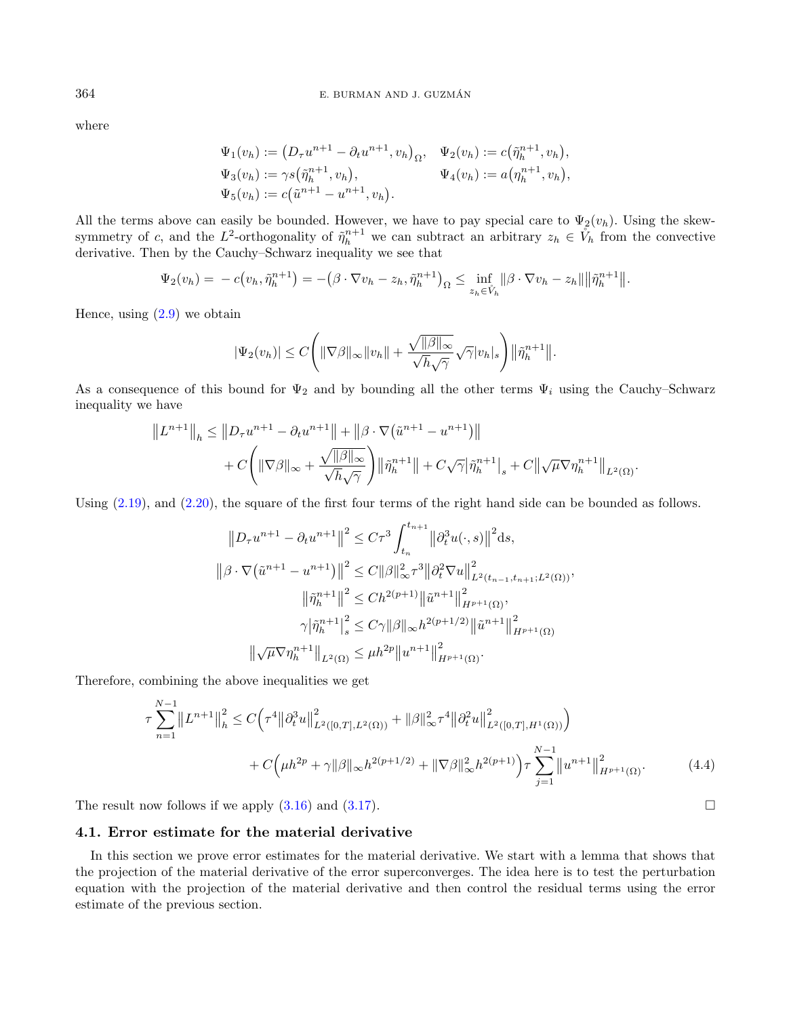where

$$
\Psi_1(v_h) := (D_\tau u^{n+1} - \partial_t u^{n+1}, v_h)_{\Omega}, \quad \Psi_2(v_h) := c(\tilde{\eta}_h^{n+1}, v_h), \n\Psi_3(v_h) := \gamma s(\tilde{\eta}_h^{n+1}, v_h), \qquad \Psi_4(v_h) := a(\eta_h^{n+1}, v_h), \n\Psi_5(v_h) := c(\tilde{u}^{n+1} - u^{n+1}, v_h).
$$

All the terms above can easily be bounded. However, we have to pay special care to  $\Psi_2(v_h)$ . Using the skewsymmetry of c, and the L<sup>2</sup>-orthogonality of  $\tilde{\eta}_h^{n+1}$  we can subtract an arbitrary  $z_h \in V_h$  from the convective derivative. Then by the Cauchy–Schwarz inequality we see that

$$
\Psi_2(v_h) = -c(v_h, \tilde{\eta}_h^{n+1}) = -(\beta \cdot \nabla v_h - z_h, \tilde{\eta}_h^{n+1})_{\Omega} \le \inf_{z_h \in \hat{V}_h} ||\beta \cdot \nabla v_h - z_h|| ||\tilde{\eta}_h^{n+1}||.
$$

Hence, using  $(2.9)$  we obtain

$$
|\Psi_2(v_h)| \leq C \Bigg( \|\nabla \beta\|_{\infty} \|v_h\| + \frac{\sqrt{\|\beta\|_{\infty}}}{\sqrt{h}\sqrt{\gamma}} \sqrt{\gamma}|v_h|_s \Bigg) \|\tilde{\eta}_h^{n+1}\|.
$$

As a consequence of this bound for  $\Psi_2$  and by bounding all the other terms  $\Psi_i$  using the Cauchy–Schwarz inequality we have

$$
||L^{n+1}||_h \le ||D_\tau u^{n+1} - \partial_t u^{n+1}|| + ||\beta \cdot \nabla (\tilde{u}^{n+1} - u^{n+1})||
$$
  
+  $C \left( ||\nabla \beta||_{\infty} + \frac{\sqrt{||\beta||_{\infty}}}{\sqrt{h}\sqrt{\gamma}} \right) ||\tilde{\eta}_h^{n+1}|| + C\sqrt{\gamma} |\tilde{\eta}_h^{n+1}|_s + C||\sqrt{\mu} \nabla \eta_h^{n+1}||_{L^2(\Omega)}.$ 

Using  $(2.19)$ , and  $(2.20)$ , the square of the first four terms of the right hand side can be bounded as follows.

<span id="page-15-0"></span>
$$
||D_{\tau}u^{n+1} - \partial_{t}u^{n+1}||^{2} \leq C\tau^{3} \int_{t_{n}}^{t_{n+1}} ||\partial_{t}^{3}u(\cdot,s)||^{2} ds,
$$
  

$$
||\beta \cdot \nabla (\tilde{u}^{n+1} - u^{n+1})||^{2} \leq C ||\beta||_{\infty}^{2} \tau^{3} ||\partial_{t}^{2} \nabla u||^{2}_{L^{2}(t_{n-1}, t_{n+1}; L^{2}(\Omega))},
$$
  

$$
||\tilde{\eta}_{h}^{n+1}||^{2} \leq Ch^{2(p+1)} ||\tilde{u}^{n+1}||_{H^{p+1}(\Omega)}^{2},
$$
  

$$
\gamma |\tilde{\eta}_{h}^{n+1}|_{s}^{2} \leq C\gamma ||\beta||_{\infty} h^{2(p+1/2)} ||\tilde{u}^{n+1}||_{H^{p+1}(\Omega)}^{2}
$$
  

$$
||\sqrt{\mu} \nabla \eta_{h}^{n+1}||_{L^{2}(\Omega)} \leq \mu h^{2p} ||u^{n+1}||_{H^{p+1}(\Omega)}^{2}.
$$

Therefore, combining the above inequalities we get

<span id="page-15-1"></span>
$$
\tau \sum_{n=1}^{N-1} \|L^{n+1}\|_{h}^{2} \le C \Big(\tau^{4} \|\partial_{t}^{3} u\|_{L^{2}([0,T],L^{2}(\Omega))}^{2} + \|\beta\|_{\infty}^{2} \tau^{4} \|\partial_{t}^{2} u\|_{L^{2}([0,T],H^{1}(\Omega))}^{2}\Big) \n+ C \Big(\mu h^{2p} + \gamma \|\beta\|_{\infty} h^{2(p+1/2)} + \|\nabla \beta\|_{\infty}^{2} h^{2(p+1)}\Big) \tau \sum_{j=1}^{N-1} \|u^{n+1}\|_{H^{p+1}(\Omega)}^{2}.
$$
\n(4.4)

The result now follows if we apply  $(3.16)$  and  $(3.17)$ .

## 4.1. Error estimate for the material derivative

In this section we prove error estimates for the material derivative. We start with a lemma that shows that the projection of the material derivative of the error superconverges. The idea here is to test the perturbation equation with the projection of the material derivative and then control the residual terms using the error estimate of the previous section.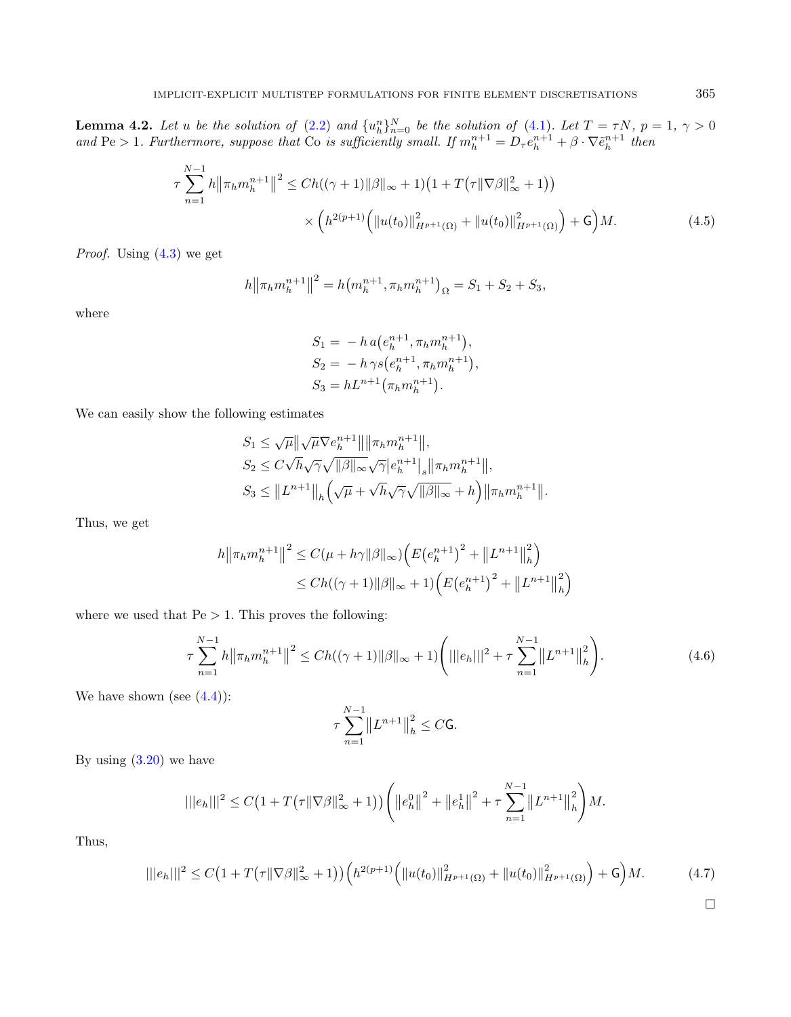**Lemma 4.2.** Let u be the solution of  $(2.2)$  and  $\{u_n^n\}_{n=0}^N$  be the solution of  $(4.1)$ . Let  $T = \tau N$ ,  $p = 1$ ,  $\gamma > 0$ and Pe > 1. Furthermore, suppose that Co is sufficiently small. If  $m_h^{n+1} = D_\tau e_h^{n+1} + \beta \cdot \nabla \tilde{e}_h^{n+1}$  then

$$
\tau \sum_{n=1}^{N-1} h \|\pi_h m_h^{n+1}\|^2 \le Ch((\gamma+1)\|\beta\|_{\infty} + 1)(1 + T(\tau \|\nabla \beta\|_{\infty}^2 + 1))
$$
  
 
$$
\times \left( h^{2(p+1)} \left( \|u(t_0)\|_{H^{p+1}(\Omega)}^2 + \|u(t_0)\|_{H^{p+1}(\Omega)}^2 \right) + \mathsf{G} \right) M. \tag{4.5}
$$

*Proof.* Using  $(4.3)$  we get

$$
h \| \pi_h m_h^{n+1} \|^2 = h \big( m_h^{n+1}, \pi_h m_h^{n+1} \big)_{\Omega} = S_1 + S_2 + S_3,
$$

where

<span id="page-16-1"></span>
$$
S_1 = -h a(e_h^{n+1}, \pi_h m_h^{n+1}),
$$
  
\n
$$
S_2 = -h \gamma s(e_h^{n+1}, \pi_h m_h^{n+1}),
$$
  
\n
$$
S_3 = hL^{n+1}(\pi_h m_h^{n+1}).
$$

We can easily show the following estimates

$$
S_1 \leq \sqrt{\mu} \|\sqrt{\mu} \nabla e_h^{n+1}\| \|\pi_h m_h^{n+1}\|,
$$
  
\n
$$
S_2 \leq C\sqrt{h}\sqrt{\gamma}\sqrt{\|\beta\|_{\infty}}\sqrt{\gamma}|e_h^{n+1}|_s \|\pi_h m_h^{n+1}\|,
$$
  
\n
$$
S_3 \leq \|L^{n+1}\|_h \Big(\sqrt{\mu} + \sqrt{h}\sqrt{\gamma}\sqrt{\|\beta\|_{\infty}} + h\Big) \|\pi_h m_h^{n+1}\|.
$$

Thus, we get

$$
h \| \pi_h m_h^{n+1} \|^2 \le C(\mu + h\gamma \|\beta\|_{\infty}) \Big( E(e_h^{n+1})^2 + \|L^{n+1}\|_h^2 \Big) \le Ch((\gamma + 1) \|\beta\|_{\infty} + 1) \Big( E(e_h^{n+1})^2 + \|L^{n+1}\|_h^2 \Big)
$$

where we used that  $Pe > 1$ . This proves the following:

$$
\tau \sum_{n=1}^{N-1} h \|\pi_h m_h^{n+1}\|^2 \le Ch((\gamma+1)\|\beta\|_{\infty} + 1) \Big( |||e_h|||^2 + \tau \sum_{n=1}^{N-1} ||L^{n+1}||_h^2 \Big). \tag{4.6}
$$

We have shown (see  $(4.4)$ ):

$$
\tau \sum_{n=1}^{N-1} ||L^{n+1}||_h^2 \leq C \mathsf{G}.
$$

By using  $(3.20)$  we have

$$
|||e_h|||^2 \leq C\left(1 + T\left(\tau \|\nabla \beta\|_{\infty}^2 + 1\right)\right) \left( \left\|e_h^0\right\|^2 + \left\|e_h^1\right\|^2 + \tau \sum_{n=1}^{N-1} \left\|L^{n+1}\right\|_h^2 \right) M.
$$

Thus,

$$
|||e_h|||^2 \le C\big(1 + T\big(\tau \|\nabla \beta\|_{\infty}^2 + 1\big)\big) \Big(h^{2(p+1)}\Big(\|u(t_0)\|_{H^{p+1}(\Omega)}^2 + \|u(t_0)\|_{H^{p+1}(\Omega)}^2\Big) + \mathsf{G}\Big)M. \tag{4.7}
$$

<span id="page-16-0"></span> $\Box$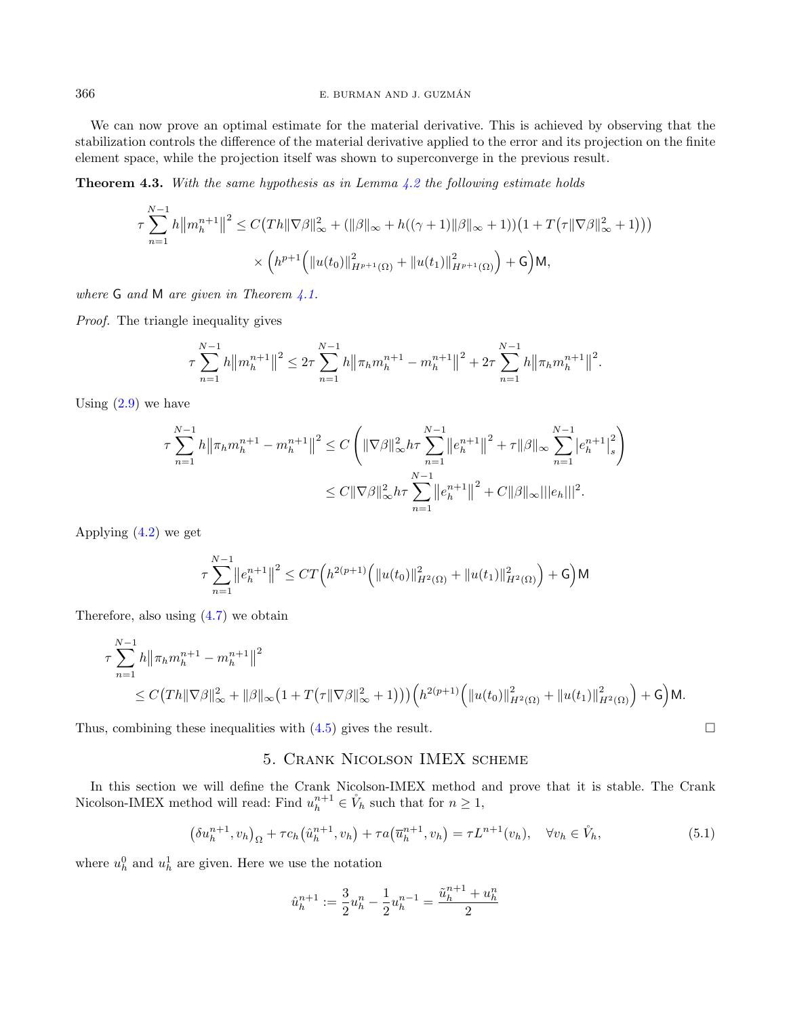We can now prove an optimal estimate for the material derivative. This is achieved by observing that the stabilization controls the difference of the material derivative applied to the error and its projection on the finite element space, while the projection itself was shown to superconverge in the previous result.

**Theorem 4.3.** With the same hypothesis as in Lemma  $4.2$  the following estimate holds

$$
\tau \sum_{n=1}^{N-1} h \|m_h^{n+1}\|^2 \le C\big(Th \|\nabla \beta\|_{\infty}^2 + (\|\beta\|_{\infty} + h((\gamma + 1)\|\beta\|_{\infty} + 1))\big(1 + T\big(\tau \|\nabla \beta\|_{\infty}^2 + 1\big)\big)\big)
$$

$$
\times \Big(h^{p+1}\Big(\|u(t_0)\|_{H^{p+1}(\Omega)}^2 + \|u(t_1)\|_{H^{p+1}(\Omega)}^2\Big) + \mathsf{G}\Big) \mathsf{M},
$$

where **G** and **M** are given in Theorem [4.1.](#page-14-4)

Proof. The triangle inequality gives

$$
\tau \sum_{n=1}^{N-1} h \left\| m_h^{n+1} \right\|^2 \leq 2\tau \sum_{n=1}^{N-1} h \left\| \pi_h m_h^{n+1} - m_h^{n+1} \right\|^2 + 2\tau \sum_{n=1}^{N-1} h \left\| \pi_h m_h^{n+1} \right\|^2.
$$

Using  $(2.9)$  we have

$$
\tau \sum_{n=1}^{N-1} h \|\pi_h m_h^{n+1} - m_h^{n+1}\|^2 \le C \left( \|\nabla \beta\|_{\infty}^2 h \tau \sum_{n=1}^{N-1} \|e_h^{n+1}\|^2 + \tau \|\beta\|_{\infty} \sum_{n=1}^{N-1} |e_h^{n+1}|_s^2 \right)
$$
  

$$
\le C \|\nabla \beta\|_{\infty}^2 h \tau \sum_{n=1}^{N-1} \|e_h^{n+1}\|^2 + C \|\beta\|_{\infty} ||e_h|||^2.
$$

Applying [\(4.2\)](#page-14-5) we get

$$
\tau \sum_{n=1}^{N-1} \left\| e_h^{n+1} \right\|^2 \le CT \left( h^{2(p+1)} \left( \left\| u(t_0) \right\|_{H^2(\Omega)}^2 + \left\| u(t_1) \right\|_{H^2(\Omega)}^2 \right) + \mathsf{G} \right) \mathsf{M}
$$

Therefore, also using  $(4.7)$  we obtain

$$
\tau \sum_{n=1}^{N-1} h \|\pi_h m_h^{n+1} - m_h^{n+1}\|^2
$$
  
\n
$$
\leq C (Th \|\nabla \beta\|_{\infty}^2 + \|\beta\|_{\infty} (1 + T(\tau \|\nabla \beta\|_{\infty}^2 + 1))) (h^{2(p+1)} \left( \|u(t_0)\|_{H^2(\Omega)}^2 + \|u(t_1)\|_{H^2(\Omega)}^2 \right) + G ) \mathsf{M}.
$$

<span id="page-17-0"></span>Thus, combining these inequalities with  $(4.5)$  gives the result.

## 5. Crank Nicolson IMEX scheme

In this section we will define the Crank Nicolson-IMEX method and prove that it is stable. The Crank Nicolson-IMEX method will read: Find  $u_h^{n+1} \in V_h$  such that for  $n \geq 1$ ,

$$
(\delta u_h^{n+1}, v_h)_{\Omega} + \tau c_h (\hat{u}_h^{n+1}, v_h) + \tau a(\overline{u}_h^{n+1}, v_h) = \tau L^{n+1}(v_h), \quad \forall v_h \in \mathring{V}_h,
$$
\n(5.1)

where  $u_h^0$  and  $u_h^1$  are given. Here we use the notation

$$
\hat{u}_h^{n+1} := \frac{3}{2}u_h^n - \frac{1}{2}u_h^{n-1} = \frac{\tilde{u}_h^{n+1} + u_h^n}{2}
$$

<span id="page-17-1"></span>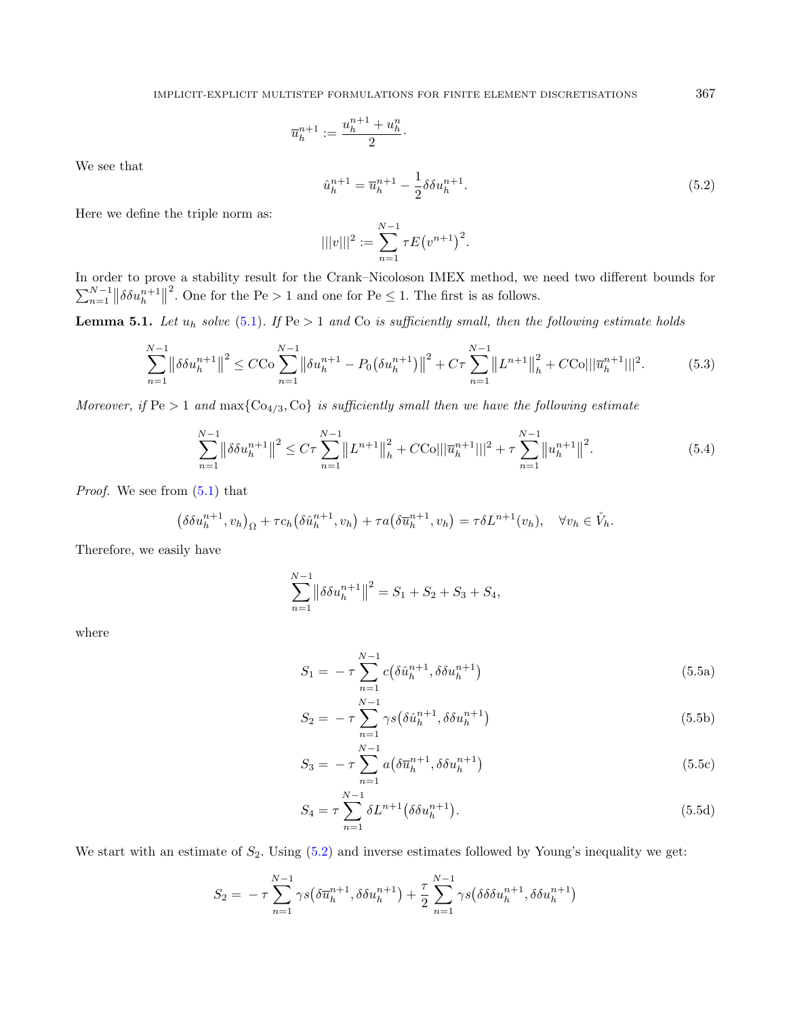$$
\overline{u}_h^{n+1} := \frac{u_h^{n+1} + u_h^n}{2}.
$$

<span id="page-18-0"></span>We see that

$$
\hat{u}_h^{n+1} = \overline{u}_h^{n+1} - \frac{1}{2} \delta \delta u_h^{n+1}.
$$
\n(5.2)

Here we define the triple norm as:

$$
|||v|||^2 := \sum_{n=1}^{N-1} \tau E(v^{n+1})^2.
$$

In order to prove a stability result for the Crank–Nicoloson IMEX method, we need two different bounds for  $\sum_{n=1}^{N-1} ||\delta \delta u_h^{n+1}||$ <sup>2</sup>. One for the Pe > 1 and one for Pe  $\leq$  1. The first is as follows.

**Lemma 5.1.** Let  $u_h$  solve [\(5.1\)](#page-17-1). If Pe > 1 and Co is sufficiently small, then the following estimate holds

$$
\sum_{n=1}^{N-1} \left\| \delta \delta u_h^{n+1} \right\|^2 \le C C \sigma \sum_{n=1}^{N-1} \left\| \delta u_h^{n+1} - P_0 \left( \delta u_h^{n+1} \right) \right\|^2 + C \tau \sum_{n=1}^{N-1} \left\| L^{n+1} \right\|_h^2 + C C \sigma \left\| |\overline{u}_h^{n+1}| \right\|^2. \tag{5.3}
$$

<span id="page-18-3"></span>Moreover, if  $Pe > 1$  and  $\max\{Co_{4/3}, Co\}$  is sufficiently small then we have the following estimate

$$
\sum_{n=1}^{N-1} \left\| \delta \delta u_h^{n+1} \right\|^2 \le C\tau \sum_{n=1}^{N-1} \left\| L^{n+1} \right\|_h^2 + C \text{Col} \left\| \overline{u}_h^{n+1} \right\|^2 + \tau \sum_{n=1}^{N-1} \left\| u_h^{n+1} \right\|^2. \tag{5.4}
$$

Proof. We see from [\(5.1\)](#page-17-1) that

$$
(\delta \delta u_h^{n+1}, v_h)_{\Omega} + \tau c_h (\delta \hat{u}_h^{n+1}, v_h) + \tau a(\delta \overline{u}_h^{n+1}, v_h) = \tau \delta L^{n+1}(v_h), \quad \forall v_h \in \mathring{V}_h.
$$

Therefore, we easily have

$$
\sum_{n=1}^{N-1} \left\| \delta \delta u_h^{n+1} \right\|^2 = S_1 + S_2 + S_3 + S_4,
$$

where

$$
S_1 = -\tau \sum_{n=1}^{N-1} c(\delta \hat{u}_h^{n+1}, \delta \delta u_h^{n+1})
$$
\n(5.5a)

$$
S_2 = -\tau \sum_{n=1}^{N-1} \gamma s \left( \delta \hat{u}_h^{n+1}, \delta \delta u_h^{n+1} \right) \tag{5.5b}
$$

$$
S_3 = -\tau \sum_{n=1}^{N-1} a(\delta \overline{u}_h^{n+1}, \delta \delta u_h^{n+1})
$$
\n(5.5c)

$$
S_4 = \tau \sum_{n=1}^{N-1} \delta L^{n+1} \left( \delta \delta u_h^{n+1} \right). \tag{5.5d}
$$

We start with an estimate of  $S_2$ . Using  $(5.2)$  and inverse estimates followed by Young's inequality we get:

$$
S_2 = -\tau \sum_{n=1}^{N-1} \gamma s \big(\delta \overline{u}_h^{n+1}, \delta \delta u_h^{n+1}\big) + \frac{\tau}{2} \sum_{n=1}^{N-1} \gamma s \big(\delta \delta \delta u_h^{n+1}, \delta \delta u_h^{n+1}\big)
$$

<span id="page-18-2"></span><span id="page-18-1"></span>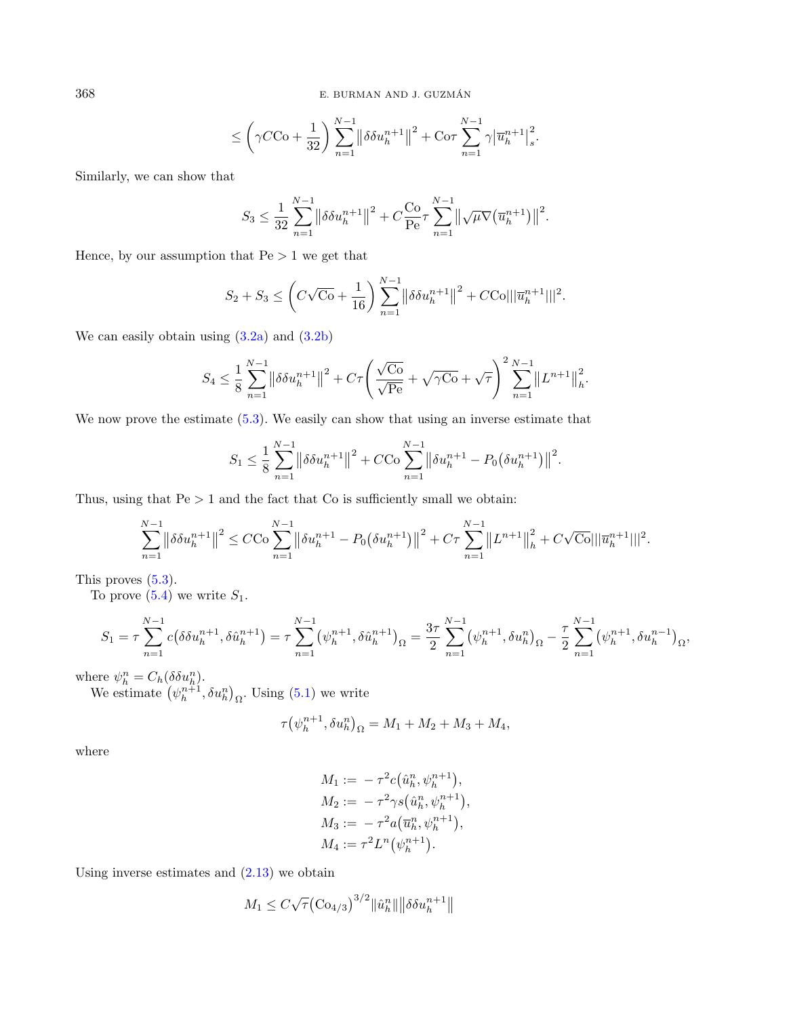368 E. BURMAN AND J. GUZMAN´

$$
\leq \bigg(\gamma C \mathrm{Co} + \frac{1}{32}\bigg) \sum_{n=1}^{N-1} \big\|\delta \delta u^{n+1}_h\big\|^2 + \mathrm{Co}\tau \sum_{n=1}^{N-1} \gamma \big|\overline{u}^{n+1}_h\big|^2_s.
$$

Similarly, we can show that

$$
S_3 \leq \frac{1}{32} \sum_{n=1}^{N-1} \left\| \delta \delta u_h^{n+1} \right\|^2 + C \frac{\text{Co}}{\text{Pe}} \tau \sum_{n=1}^{N-1} \left\| \sqrt{\mu} \nabla (\overline{u}_h^{n+1}) \right\|^2.
$$

Hence, by our assumption that  $Pe > 1$  we get that

$$
S_2 + S_3 \le \left( C\sqrt{\varepsilon_0} + \frac{1}{16} \right) \sum_{n=1}^{N-1} \left\| \delta \delta u_h^{n+1} \right\|^2 + C\text{Col} ||\overline{u}_h^{n+1}||^2.
$$

We can easily obtain using [\(3.2a\)](#page-7-1) and [\(3.2b\)](#page-7-4)

$$
S_4 \leq \frac{1}{8} \sum_{n=1}^{N-1} \left\| \delta \delta u_h^{n+1} \right\|^2 + C\tau \left( \frac{\sqrt{\text{Co}}}{\sqrt{\text{Pe}}} + \sqrt{\gamma \text{Co}} + \sqrt{\tau} \right)^2 \sum_{n=1}^{N-1} \left\| L^{n+1} \right\|_h^2.
$$

We now prove the estimate  $(5.3)$ . We easily can show that using an inverse estimate that

$$
S_1 \leq \frac{1}{8} \sum_{n=1}^{N-1} \left\| \delta \delta u_h^{n+1} \right\|^2 + C C \sigma \sum_{n=1}^{N-1} \left\| \delta u_h^{n+1} - P_0 \left( \delta u_h^{n+1} \right) \right\|^2.
$$

Thus, using that  $Pe > 1$  and the fact that Co is sufficiently small we obtain:

$$
\sum_{n=1}^{N-1} \left\| \delta \delta u_h^{n+1} \right\|^2 \leq C C \sigma \sum_{n=1}^{N-1} \left\| \delta u_h^{n+1} - P_0 \left( \delta u_h^{n+1} \right) \right\|^2 + C \tau \sum_{n=1}^{N-1} \left\| L^{n+1} \right\|_h^2 + C \sqrt{C \sigma} ||\overline{u}_h^{n+1}||^2.
$$

This proves [\(5.3\)](#page-18-1).

To prove  $(5.4)$  we write  $S_1$ .

$$
S_1 = \tau \sum_{n=1}^{N-1} c(\delta \delta u_h^{n+1}, \delta \hat{u}_h^{n+1}) = \tau \sum_{n=1}^{N-1} (\psi_h^{n+1}, \delta \hat{u}_h^{n+1})_{\Omega} = \frac{3\tau}{2} \sum_{n=1}^{N-1} (\psi_h^{n+1}, \delta u_h^{n})_{\Omega} - \frac{\tau}{2} \sum_{n=1}^{N-1} (\psi_h^{n+1}, \delta u_h^{n-1})_{\Omega},
$$

where  $\psi_h^n = C_h(\delta \delta u_h^n)$ .

We estimate  $(\psi_h^{n+1}, \delta u_h^n)_{\Omega}$ . Using [\(5.1\)](#page-17-1) we write

$$
\tau(\psi_h^{n+1}, \delta u_h^n)_{\Omega} = M_1 + M_2 + M_3 + M_4,
$$

where

$$
M_1 := -\tau^2 c(\hat{u}_h^n, \psi_h^{n+1}),
$$
  
\n
$$
M_2 := -\tau^2 \gamma s(\hat{u}_h^n, \psi_h^{n+1}),
$$
  
\n
$$
M_3 := -\tau^2 a(\overline{u}_h^n, \psi_h^{n+1}),
$$
  
\n
$$
M_4 := \tau^2 L^n(\psi_h^{n+1}).
$$

Using inverse estimates and  $(2.13)$  we obtain

$$
M_1 \leq C\sqrt{\tau} \big( \text{Co}_{4/3} \big)^{3/2} ||\hat{u}_h^n|| \big| |\delta \delta u_h^{n+1}||
$$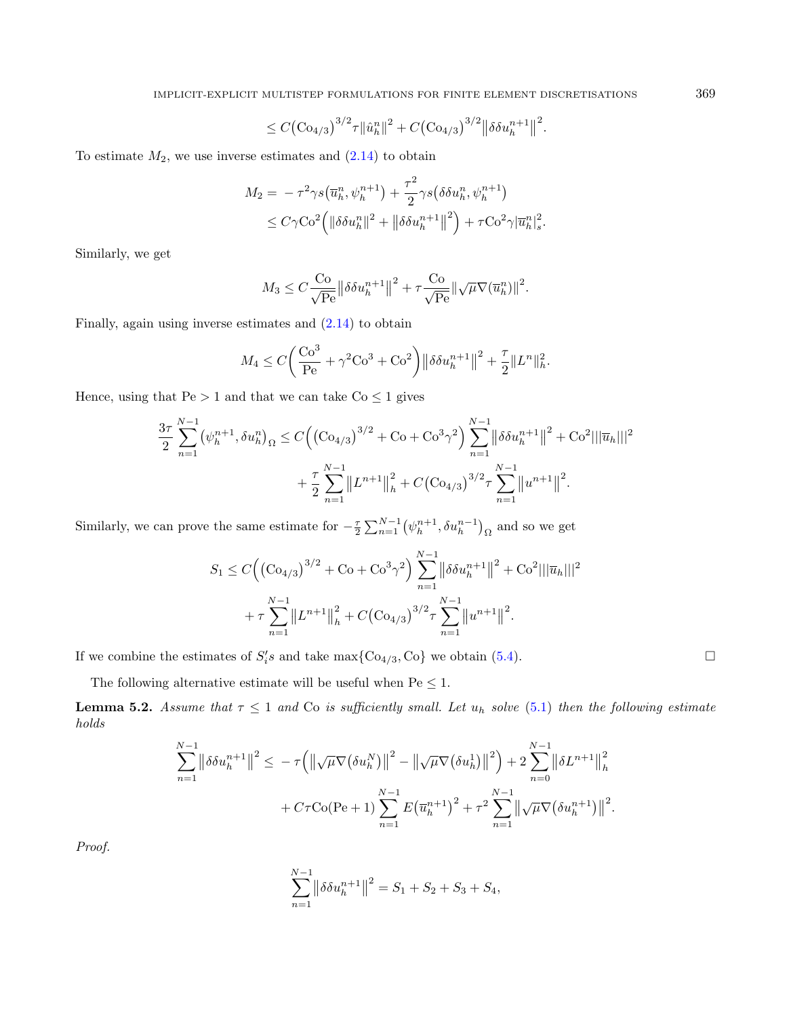$$
\leq C \big( \text{Co}_{4/3} \big)^{3/2} \tau \| \hat{u}_h^n \|^2 + C \big( \text{Co}_{4/3} \big)^{3/2} \big\| \delta \delta u_h^{n+1} \big\|^2.
$$

To estimate  $M_2$ , we use inverse estimates and  $(2.14)$  to obtain

$$
M_2 = -\tau^2 \gamma s \left(\overline{u}_h^n, \psi_h^{n+1}\right) + \frac{\tau^2}{2} \gamma s \left(\delta \delta u_h^n, \psi_h^{n+1}\right)
$$
  

$$
\leq C \gamma \text{Co}^2 \left(\left\|\delta \delta u_h^n\right\|^2 + \left\|\delta \delta u_h^{n+1}\right\|^2\right) + \tau \text{Co}^2 \gamma \left|\overline{u}_h^n\right|_s^2.
$$

Similarly, we get

$$
M_3 \leq C \frac{\text{Co}}{\sqrt{\text{Pe}}} \left\| \delta \delta u_h^{n+1} \right\|^2 + \tau \frac{\text{Co}}{\sqrt{\text{Pe}}} \left\| \sqrt{\mu} \nabla (\overline{u}_h^n) \right\|^2.
$$

Finally, again using inverse estimates and [\(2.14\)](#page-5-5) to obtain

$$
M_4 \le C \bigg( \frac{\text{Co}^3}{\text{Pe}} + \gamma^2 \text{Co}^3 + \text{Co}^2 \bigg) \big\| \delta \delta u_h^{n+1} \big\|^2 + \frac{\tau}{2} \| L^n \|_h^2.
$$

Hence, using that  $Pe > 1$  and that we can take  $Co \leq 1$  gives

$$
\frac{3\tau}{2} \sum_{n=1}^{N-1} (\psi_h^{n+1}, \delta u_h^n)_{\Omega} \le C \Big( \big( C_{04/3} \big)^{3/2} + C_0 + C_0^3 \gamma^2 \Big) \sum_{n=1}^{N-1} \left\| \delta \delta u_h^{n+1} \right\|^2 + C_0^2 ||\overline{u}_h|||^2
$$

$$
+ \frac{\tau}{2} \sum_{n=1}^{N-1} \left\| L^{n+1} \right\|_h^2 + C \big( C_{04/3} \big)^{3/2} \tau \sum_{n=1}^{N-1} \left\| u^{n+1} \right\|^2.
$$

Similarly, we can prove the same estimate for  $-\frac{\tau}{2} \sum_{n=1}^{N-1} (\psi_h^{n+1}, \delta u_h^{n-1})_{\Omega}$  and so we get

<span id="page-20-0"></span>
$$
S_1 \leq C \Big( \big( \text{Co}_{4/3} \big)^{3/2} + \text{Co} + \text{Co}^3 \gamma^2 \Big) \sum_{n=1}^{N-1} \left\| \delta \delta u_h^{n+1} \right\|^2 + \text{Co}^2 |||\overline{u}_h|||^2
$$

$$
+ \tau \sum_{n=1}^{N-1} \left\| L^{n+1} \right\|_h^2 + C \big( \text{Co}_{4/3} \big)^{3/2} \tau \sum_{n=1}^{N-1} \left\| u^{n+1} \right\|^2.
$$

If we combine the estimates of  $S_i$ 's and take max{Co<sub>4/3</sub>, Co} we obtain [\(5.4\)](#page-18-2).

The following alternative estimate will be useful when  $\text{Pe}\leq 1.$ 

**Lemma 5.2.** Assume that  $\tau \leq 1$  and Co is sufficiently small. Let  $u_h$  solve [\(5.1\)](#page-17-1) then the following estimate holds

$$
\sum_{n=1}^{N-1} \left\| \delta \delta u_h^{n+1} \right\|^2 \leq -\tau \left( \left\| \sqrt{\mu} \nabla \left( \delta u_h^N \right) \right\|^2 - \left\| \sqrt{\mu} \nabla \left( \delta u_h^1 \right) \right\|^2 \right) + 2 \sum_{n=0}^{N-1} \left\| \delta L^{n+1} \right\|_h^2
$$

$$
+ C\tau \text{Co}(\text{Pe} + 1) \sum_{n=1}^{N-1} E(\overline{u}_h^{n+1})^2 + \tau^2 \sum_{n=1}^{N-1} \left\| \sqrt{\mu} \nabla \left( \delta u_h^{n+1} \right) \right\|^2.
$$

Proof.

$$
\sum_{n=1}^{N-1} \left\| \delta \delta u_h^{n+1} \right\|^2 = S_1 + S_2 + S_3 + S_4,
$$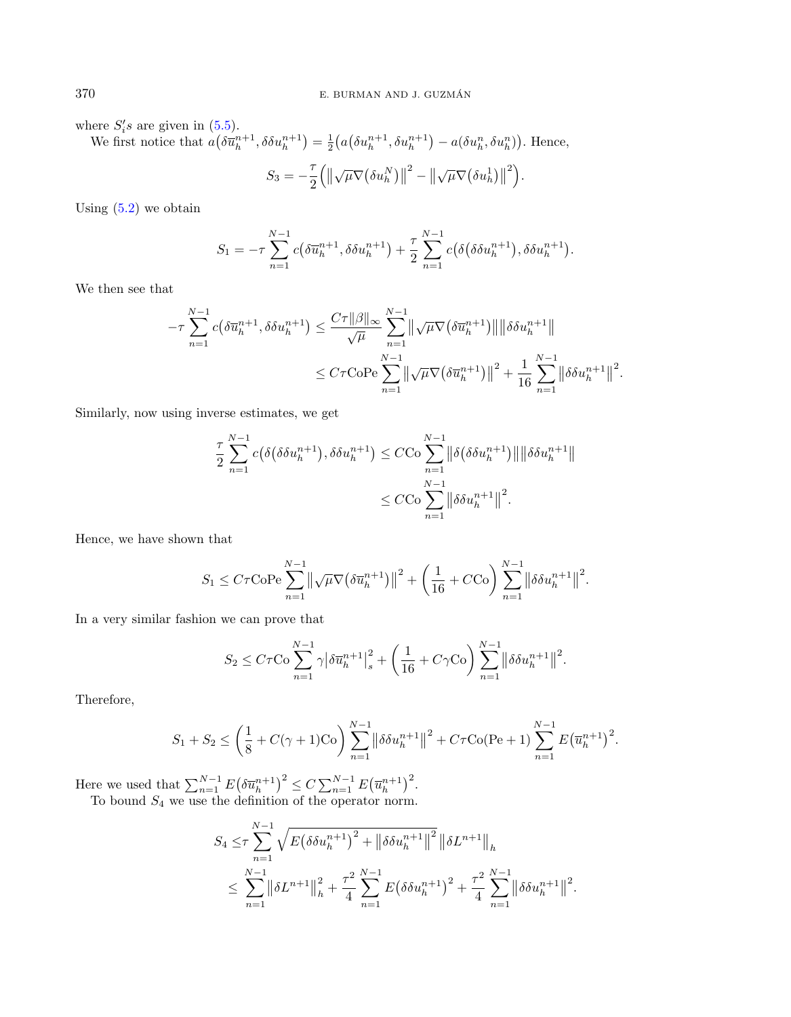where  $S_i$ 's are given in  $(5.5)$ .

We first notice that  $a(\delta \overline{u}_h^{n+1}, \delta \delta u_h^{n+1}) = \frac{1}{2} (a(\delta u_h^{n+1}, \delta u_h^{n+1}) - a(\delta u_h^n, \delta u_h^n))$ . Hence,  $S_3 = -\frac{7}{5}$ 2  $(\Vert$  $\sqrt{\mu}\nabla\big(\delta u_h^N\big)\big\|$  $2^{2} - \parallel$  $\sqrt{\mu}\nabla\big(\delta u^1_h\big)\big\|$  $\left( \frac{2}{3} \right)$ .

Using  $(5.2)$  we obtain

$$
S_1 = -\tau \sum_{n=1}^{N-1} c(\delta \overline{u}_h^{n+1}, \delta \delta u_h^{n+1}) + \frac{\tau}{2} \sum_{n=1}^{N-1} c(\delta(\delta \delta u_h^{n+1}), \delta \delta u_h^{n+1}).
$$

We then see that

$$
-\tau \sum_{n=1}^{N-1} c(\delta \overline{u}_h^{n+1}, \delta \delta u_h^{n+1}) \le \frac{C\tau ||\beta||_{\infty}}{\sqrt{\mu}} \sum_{n=1}^{N-1} ||\sqrt{\mu} \nabla (\delta \overline{u}_h^{n+1})|| ||\delta \delta u_h^{n+1}||
$$
  

$$
\le C\tau \text{CoPe} \sum_{n=1}^{N-1} ||\sqrt{\mu} \nabla (\delta \overline{u}_h^{n+1})||^2 + \frac{1}{16} \sum_{n=1}^{N-1} ||\delta \delta u_h^{n+1}||^2.
$$

Similarly, now using inverse estimates, we get

$$
\frac{\tau}{2} \sum_{n=1}^{N-1} c(\delta(\delta \delta u_h^{n+1}), \delta \delta u_h^{n+1}) \leq C C \sigma \sum_{n=1}^{N-1} \|\delta(\delta \delta u_h^{n+1})\| \|\delta \delta u_h^{n+1}\|
$$
  

$$
\leq C C \sigma \sum_{n=1}^{N-1} \|\delta \delta u_h^{n+1}\|^2.
$$

Hence, we have shown that

$$
S_1 \leq C\tau \text{CoPe} \sum_{n=1}^{N-1} \left\| \sqrt{\mu} \nabla \left( \delta \overline{u}_h^{n+1} \right) \right\|^2 + \left( \frac{1}{16} + C C \text{o} \right) \sum_{n=1}^{N-1} \left\| \delta \delta u_h^{n+1} \right\|^2.
$$

In a very similar fashion we can prove that

$$
S_2 \leq C\tau {\rm{Co}}\sum_{n=1}^{N-1} \gamma \big\vert \delta \overline{u}^{n+1}_h \big\vert_s^2 + \bigg(\frac{1}{16} + C\gamma {\rm{Co}}\bigg) \sum_{n=1}^{N-1} \big\vert \big\vert \delta \delta u^{n+1}_h \big\vert \big\vert^2.
$$

Therefore,

$$
S_1 + S_2 \le \left(\frac{1}{8} + C(\gamma + 1) \text{Co}\right) \sum_{n=1}^{N-1} \left\|\delta \delta u_h^{n+1}\right\|^2 + C\tau \text{Co}(\text{Pe} + 1) \sum_{n=1}^{N-1} E(\overline{u}_h^{n+1})^2.
$$

Here we used that  $\sum_{n=1}^{N-1} E(\delta \overline{u}_h^{n+1})^2 \le C \sum_{n=1}^{N-1} E(\overline{u}_h^{n+1})^2$ . To bound  $S_4$  we use the definition of the operator norm.

$$
S_4 \leq \tau \sum_{n=1}^{N-1} \sqrt{E(\delta \delta u_h^{n+1})^2 + ||\delta \delta u_h^{n+1}||^2} ||\delta L^{n+1}||_h
$$
  

$$
\leq \sum_{n=1}^{N-1} ||\delta L^{n+1}||_h^2 + \frac{\tau^2}{4} \sum_{n=1}^{N-1} E(\delta \delta u_h^{n+1})^2 + \frac{\tau^2}{4} \sum_{n=1}^{N-1} ||\delta \delta u_h^{n+1}||^2
$$

.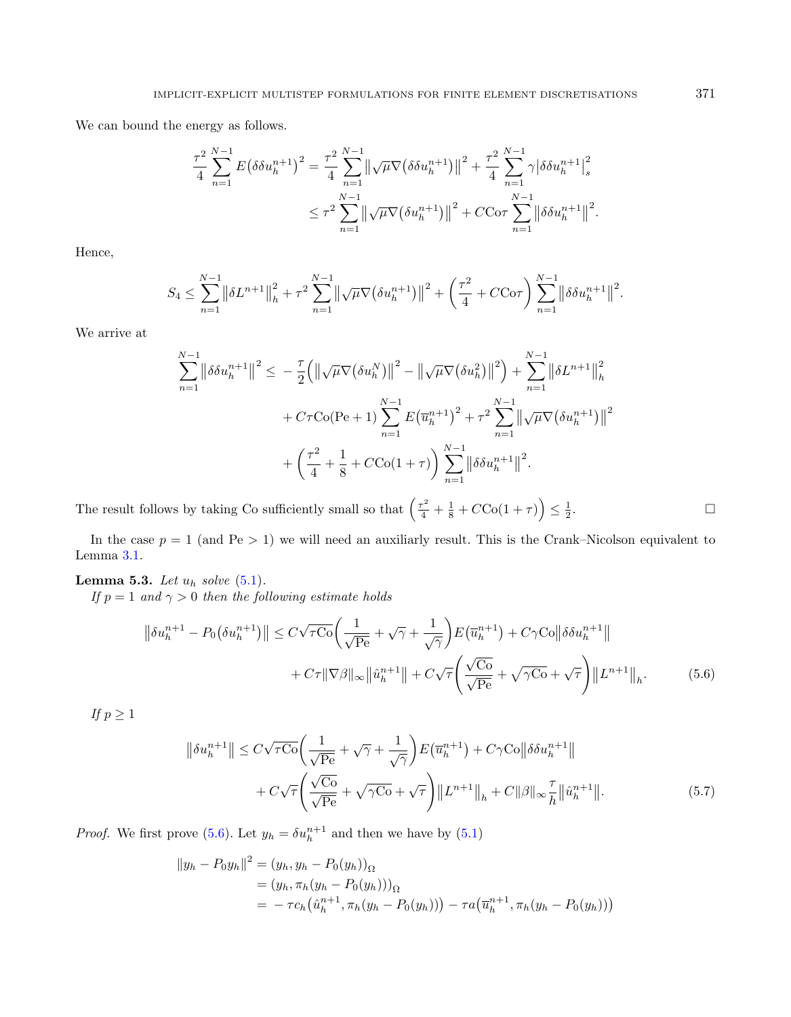We can bound the energy as follows.

$$
\frac{\tau^2}{4} \sum_{n=1}^{N-1} E(\delta \delta u_h^{n+1})^2 = \frac{\tau^2}{4} \sum_{n=1}^{N-1} \left\| \sqrt{\mu} \nabla (\delta \delta u_h^{n+1}) \right\|^2 + \frac{\tau^2}{4} \sum_{n=1}^{N-1} \gamma \left| \delta \delta u_h^{n+1} \right|_s^2
$$
  

$$
\leq \tau^2 \sum_{n=1}^{N-1} \left\| \sqrt{\mu} \nabla (\delta u_h^{n+1}) \right\|^2 + C C \sigma \tau \sum_{n=1}^{N-1} \left\| \delta \delta u_h^{n+1} \right\|^2.
$$

Hence,

$$
S_4 \leq \sum_{n=1}^{N-1} \left\| \delta L^{n+1} \right\|_{h}^2 + \tau^2 \sum_{n=1}^{N-1} \left\| \sqrt{\mu} \nabla \left( \delta u_h^{n+1} \right) \right\|^2 + \left( \frac{\tau^2}{4} + C C \sigma \tau \right) \sum_{n=1}^{N-1} \left\| \delta \delta u_h^{n+1} \right\|^2.
$$

We arrive at

<span id="page-22-0"></span>
$$
\sum_{n=1}^{N-1} \left\| \delta \delta u_h^{n+1} \right\|^2 \leq -\frac{\tau}{2} \left( \left\| \sqrt{\mu} \nabla \left( \delta u_h^N \right) \right\|^2 - \left\| \sqrt{\mu} \nabla \left( \delta u_h^2 \right) \right\|^2 \right) + \sum_{n=1}^{N-1} \left\| \delta L^{n+1} \right\|_h^2
$$

$$
+ C\tau C o(Pe+1) \sum_{n=1}^{N-1} E \left( \overline{u}_h^{n+1} \right)^2 + \tau^2 \sum_{n=1}^{N-1} \left\| \sqrt{\mu} \nabla \left( \delta u_h^{n+1} \right) \right\|^2
$$

$$
+ \left( \frac{\tau^2}{4} + \frac{1}{8} + C C o(1+\tau) \right) \sum_{n=1}^{N-1} \left\| \delta \delta u_h^{n+1} \right\|^2.
$$

The result follows by taking Co sufficiently small so that  $\left(\frac{\tau^2}{4} + \frac{1}{8} + C\text{Co}(1+\tau)\right) \leq \frac{1}{2}$ .

In the case  $p = 1$  (and Pe > 1) we will need an auxiliarly result. This is the Crank–Nicolson equivalent to Lemma [3.1.](#page-8-4)

## Lemma 5.3. Let  $u_h$  solve  $(5.1)$ .

If  $p = 1$  and  $\gamma > 0$  then the following estimate holds

$$
\left\|\delta u_h^{n+1} - P_0\big(\delta u_h^{n+1}\big)\right\| \le C\sqrt{\tau\mathrm{Co}}\bigg(\frac{1}{\sqrt{\mathrm{Pe}}} + \sqrt{\gamma} + \frac{1}{\sqrt{\gamma}}\bigg)E\big(\overline{u}_h^{n+1}\big) + C\gamma\mathrm{Co}\big\|\delta\delta u_h^{n+1}\big\| + C\tau\|\nabla\beta\|_{\infty}\big\|\hat{u}_h^{n+1}\big\| + C\sqrt{\tau}\bigg(\frac{\sqrt{\mathrm{Co}}}{\sqrt{\mathrm{Pe}}} + \sqrt{\gamma\mathrm{Co}} + \sqrt{\tau}\bigg)\big\|L^{n+1}\big\|_h.
$$
 (5.6)

If  $p \geq 1$ 

<span id="page-22-1"></span>
$$
\left\|\delta u_h^{n+1}\right\| \le C\sqrt{\tau\mathrm{Co}}\left(\frac{1}{\sqrt{\mathrm{Pe}}} + \sqrt{\gamma} + \frac{1}{\sqrt{\gamma}}\right) E\left(\overline{u}_h^{n+1}\right) + C\gamma\mathrm{Co}\left\|\delta\delta u_h^{n+1}\right\| + C\sqrt{\tau}\left(\frac{\sqrt{\mathrm{Co}}}{\sqrt{\mathrm{Pe}}} + \sqrt{\gamma\mathrm{Co}} + \sqrt{\tau}\right) \left\|L^{n+1}\right\|_h + C\|\beta\|_{\infty} \frac{\tau}{h}\|\hat{u}_h^{n+1}\|.\tag{5.7}
$$

*Proof.* We first prove [\(5.6\)](#page-22-0). Let  $y_h = \delta u_h^{n+1}$  and then we have by [\(5.1\)](#page-17-1)

$$
||y_h - P_0 y_h||^2 = (y_h, y_h - P_0(y_h))_{\Omega}
$$
  
=  $(y_h, \pi_h(y_h - P_0(y_h)))_{\Omega}$   
=  $-\tau c_h(\hat{u}_h^{n+1}, \pi_h(y_h - P_0(y_h))) - \tau a(\overline{u}_h^{n+1}, \pi_h(y_h - P_0(y_h)))$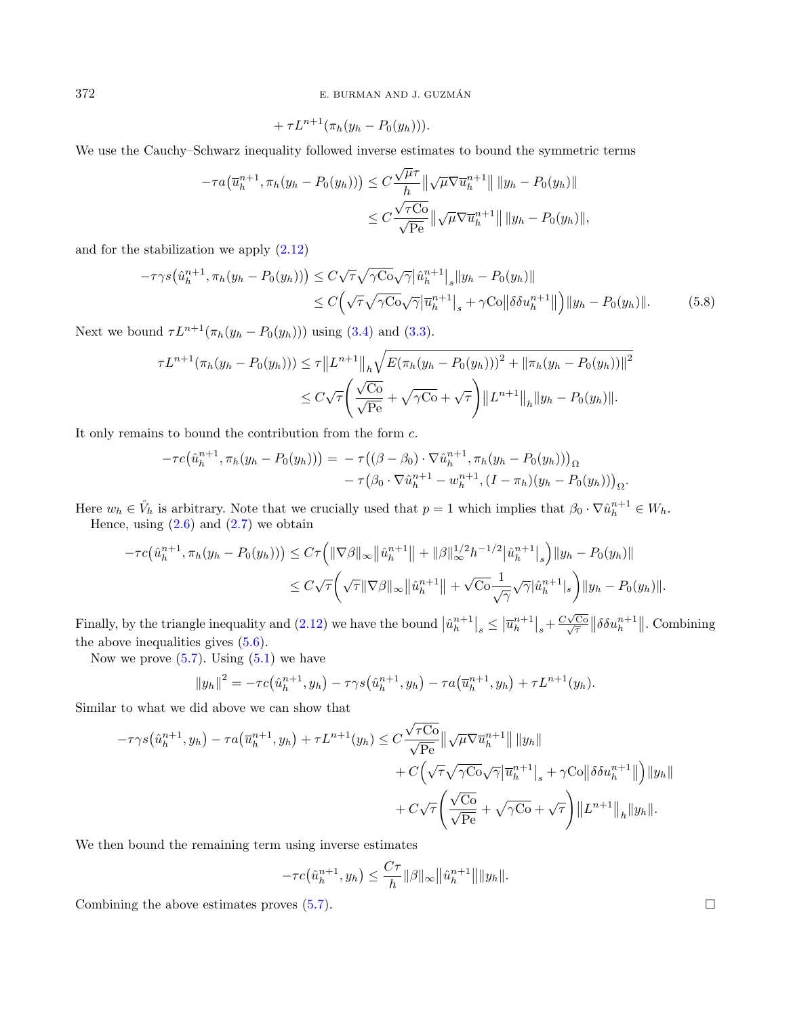372 E. BURMAN AND J. GUZMAN´

$$
+\tau L^{n+1}(\pi_h(y_h-P_0(y_h))).
$$

We use the Cauchy–Schwarz inequality followed inverse estimates to bound the symmetric terms

$$
- \tau a \big( \overline{u}_h^{n+1}, \pi_h(y_h - P_0(y_h)) \big) \leq C \frac{\sqrt{\mu} \tau}{h} \|\sqrt{\mu} \nabla \overline{u}_h^{n+1} \| \|y_h - P_0(y_h)\|
$$
  

$$
\leq C \frac{\sqrt{\tau C_0}}{\sqrt{\text{Pe}}} \|\sqrt{\mu} \nabla \overline{u}_h^{n+1} \| \|y_h - P_0(y_h)\|,
$$

and for the stabilization we apply [\(2.12\)](#page-4-1)

$$
-\tau\gamma s(\hat{u}_h^{n+1}, \pi_h(y_h - P_0(y_h))) \leq C\sqrt{\tau}\sqrt{\gamma C_0}\sqrt{\gamma}|\hat{u}_h^{n+1}|_s\|y_h - P_0(y_h)\|
$$
  
 
$$
\leq C\Big(\sqrt{\tau}\sqrt{\gamma C_0}\sqrt{\gamma}|\overline{u}_h^{n+1}|_s + \gamma C_0\|\delta \delta u_h^{n+1}\|\Big)\|y_h - P_0(y_h)\|.
$$
 (5.8)

Next we bound  $\tau L^{n+1}(\pi_h(y_h - P_0(y_h)))$  using [\(3.4\)](#page-8-0) and [\(3.3\)](#page-8-1).

$$
\tau L^{n+1}(\pi_h(y_h - P_0(y_h))) \le \tau ||L^{n+1}||_h \sqrt{E(\pi_h(y_h - P_0(y_h)))^2 + ||\pi_h(y_h - P_0(y_h))||^2}
$$
  

$$
\le C\sqrt{\tau} \left(\frac{\sqrt{C_0}}{\sqrt{Pe}} + \sqrt{\gamma C_0} + \sqrt{\tau}\right) ||L^{n+1}||_h ||y_h - P_0(y_h)||.
$$

It only remains to bound the contribution from the form  $c$ .

$$
- \tau c(\hat{u}_h^{n+1}, \pi_h(y_h - P_0(y_h))) = - \tau((\beta - \beta_0) \cdot \nabla \hat{u}_h^{n+1}, \pi_h(y_h - P_0(y_h)))_{\Omega} - \tau(\beta_0 \cdot \nabla \hat{u}_h^{n+1} - w_h^{n+1}, (I - \pi_h)(y_h - P_0(y_h)))_{\Omega}.
$$

Here  $w_h \in V_h$  is arbitrary. Note that we crucially used that  $p = 1$  which implies that  $\beta_0 \cdot \nabla \hat{u}_h^{n+1} \in W_h$ . Hence, using  $(2.6)$  and  $(2.7)$  we obtain

$$
-\tau c(\hat{u}_h^{n+1}, \pi_h(y_h - P_0(y_h))) \leq C\tau \left( \|\nabla \beta\|_{\infty} \|\hat{u}_h^{n+1}\| + \|\beta\|_{\infty}^{1/2} h^{-1/2} |\hat{u}_h^{n+1}|_s \right) \|y_h - P_0(y_h)\|
$$
  

$$
\leq C\sqrt{\tau} \left( \sqrt{\tau} \|\nabla \beta\|_{\infty} \|\hat{u}_h^{n+1}\| + \sqrt{C\sigma} \frac{1}{\sqrt{\gamma}} \sqrt{\gamma} |\hat{u}_h^{n+1}|_s \right) \|y_h - P_0(y_h)\|.
$$

Finally, by the triangle inequality and [\(2.12\)](#page-4-1) we have the bound  $|\hat{u}_h^{n+1}|_s \leq |\overline{u}_h^{n+1}|_s + \frac{C\sqrt{2}}{\sqrt{2}}$  $\frac{\sqrt{\zeta\sigma}}{\sqrt{\tau}}\|\delta\delta u_h^{n+1}\|$ . Combining the above inequalities gives [\(5.6\)](#page-22-0).

Now we prove  $(5.7)$ . Using  $(5.1)$  we have

$$
||y_h||^2 = -\tau c(\hat{u}_h^{n+1}, y_h) - \tau \gamma s(\hat{u}_h^{n+1}, y_h) - \tau a(\overline{u}_h^{n+1}, y_h) + \tau L^{n+1}(y_h).
$$

Similar to what we did above we can show that

$$
-\tau\gamma s(\hat{u}_h^{n+1}, y_h) - \tau a(\overline{u}_h^{n+1}, y_h) + \tau L^{n+1}(y_h) \leq C \frac{\sqrt{\tau C_0}}{\sqrt{\text{Pe}}} \|\sqrt{\mu} \nabla \overline{u}_h^{n+1}\| \|y_h\|
$$
  
+  $C \Big(\sqrt{\tau} \sqrt{\gamma C_0} \sqrt{\gamma} |\overline{u}_h^{n+1}|_s + \gamma C_0 \|\delta \delta u_h^{n+1}\| \Big) \|y_h\|$   
+  $C \sqrt{\tau} \Big(\frac{\sqrt{C_0}}{\sqrt{\text{Pe}}} + \sqrt{\gamma C_0} + \sqrt{\tau} \Big) \|L^{n+1}\|_h \|y_h\|.$ 

We then bound the remaining term using inverse estimates

$$
-\tau c(\hat{u}_h^{n+1}, y_h) \leq \frac{C\tau}{h} ||\beta||_{\infty} ||\hat{u}_h^{n+1}|| ||y_h||.
$$

Combining the above estimates proves  $(5.7)$ .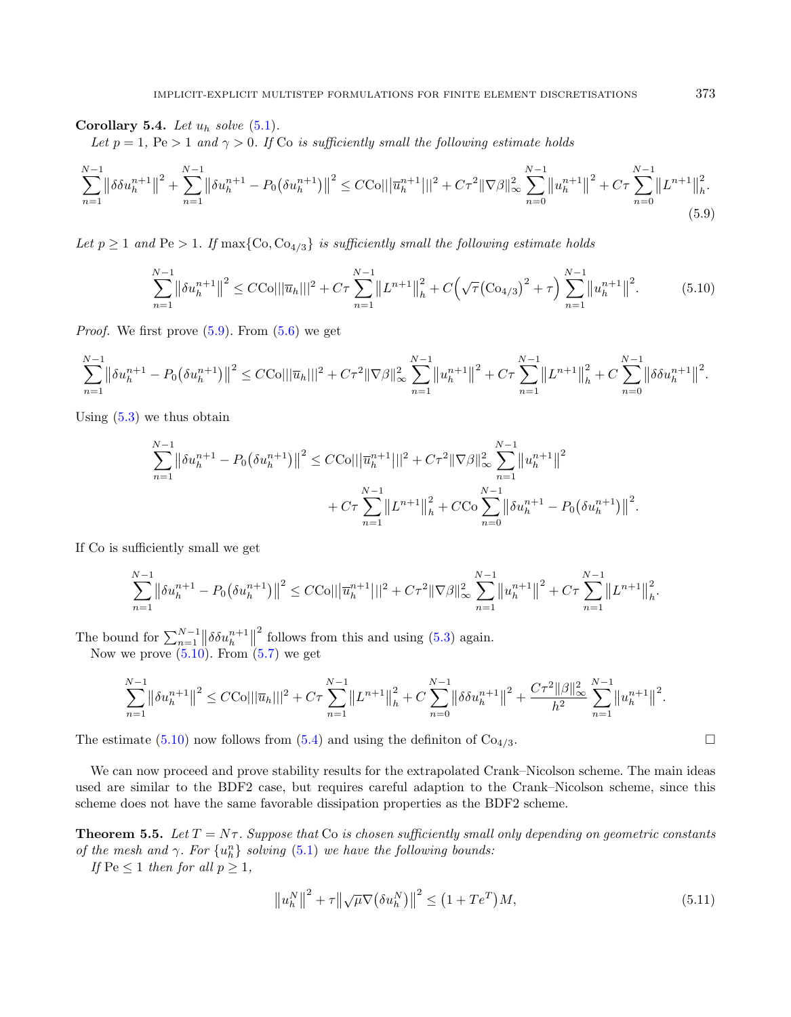Corollary 5.4. Let  $u_h$  solve  $(5.1)$ .

Let  $p = 1$ ,  $Pe > 1$  and  $\gamma > 0$ . If Co is sufficiently small the following estimate holds

$$
\sum_{n=1}^{N-1} \left\| \delta \delta u_h^{n+1} \right\|^2 + \sum_{n=1}^{N-1} \left\| \delta u_h^{n+1} - P_0 \left( \delta u_h^{n+1} \right) \right\|^2 \leq C C \text{O} \left( \left\| \overline{u}_h^{n+1} \right\| \right)^2 + C \tau^2 \left\| \nabla \beta \right\|_{\infty}^2 \sum_{n=0}^{N-1} \left\| u_h^{n+1} \right\|^2 + C \tau \sum_{n=0}^{N-1} \left\| L^{n+1} \right\|_h^2. \tag{5.9}
$$

Let  $p \geq 1$  and Pe  $> 1$ . If max{Co, Co<sub>4/3</sub>} is sufficiently small the following estimate holds

<span id="page-24-1"></span><span id="page-24-0"></span>
$$
\sum_{n=1}^{N-1} \left\| \delta u_h^{n+1} \right\|^2 \le C C \cdot \left\| |\overline{u}_h|||^2 + C\tau \sum_{n=1}^{N-1} \left\| L^{n+1} \right\|_h^2 + C \left( \sqrt{\tau} \left( C \cdot \sigma_{4/3} \right)^2 + \tau \right) \sum_{n=1}^{N-1} \left\| u_h^{n+1} \right\|^2. \tag{5.10}
$$

*Proof.* We first prove  $(5.9)$ . From  $(5.6)$  we get

$$
\sum_{n=1}^{N-1} \left\| \delta u_h^{n+1} - P_0 \left( \delta u_h^{n+1} \right) \right\|^2 \leq C C \epsilon \| \left\| \overline{u}_h \right\| \left\|^2 + C \tau^2 \| \nabla \beta \|_\infty^2 \sum_{n=1}^{N-1} \left\| u_h^{n+1} \right\|^2 + C \tau \sum_{n=1}^{N-1} \left\| L^{n+1} \right\|_h^2 + C \sum_{n=0}^{N-1} \left\| \delta \delta u_h^{n+1} \right\|^2.
$$

Using  $(5.3)$  we thus obtain

$$
\sum_{n=1}^{N-1} \left\| \delta u_h^{n+1} - P_0(\delta u_h^{n+1}) \right\|^2 \le C C O ||\left\| \overline{u}_h^{n+1} \right\| ||^2 + C \tau^2 \|\nabla \beta\|_{\infty}^2 \sum_{n=1}^{N-1} \left\| u_h^{n+1} \right\|^2 + C \tau \sum_{n=1}^{N-1} \left\| L^{n+1} \right\|_h^2 + C C O \sum_{n=0}^{N-1} \left\| \delta u_h^{n+1} - P_0(\delta u_h^{n+1}) \right\|^2.
$$

If Co is sufficiently small we get

$$
\sum_{n=1}^{N-1} \left\| \delta u_h^{n+1} - P_0(\delta u_h^{n+1}) \right\|^2 \leq C C \|\overline{u}_h^{n+1}\|_1^2 + C\tau^2 \|\nabla \beta\|_{\infty}^2 \sum_{n=1}^{N-1} \left\| u_h^{n+1} \right\|^2 + C\tau \sum_{n=1}^{N-1} \left\| L^{n+1} \right\|_h^2.
$$

The bound for  $\sum_{n=1}^{N-1} ||\delta \delta u_h^{n+1}||$  $^2$  follows from this and using  $(5.3)$  again.

Now we prove  $(5.10)$ . From  $(5.7)$  we get

$$
\sum_{n=1}^{N-1} \left\| \delta u_h^{n+1} \right\|^2 \leq C C o \|\|\overline{u}_h\| \|^2 + C \tau \sum_{n=1}^{N-1} \left\| L^{n+1} \right\|_h^2 + C \sum_{n=0}^{N-1} \left\| \delta \delta u_h^{n+1} \right\|^2 + \frac{C \tau^2 \|\beta\|_{\infty}^2}{h^2} \sum_{n=1}^{N-1} \left\| u_h^{n+1} \right\|^2.
$$

The estimate [\(5.10\)](#page-24-1) now follows from [\(5.4\)](#page-18-2) and using the definiton of  $Co<sub>4/3</sub>$ .

We can now proceed and prove stability results for the extrapolated Crank–Nicolson scheme. The main ideas used are similar to the BDF2 case, but requires careful adaption to the Crank–Nicolson scheme, since this scheme does not have the same favorable dissipation properties as the BDF2 scheme.

**Theorem 5.5.** Let  $T = N\tau$ . Suppose that Co is chosen sufficiently small only depending on geometric constants of the mesh and  $\gamma$ . For  $\{u_h^n\}$  solving [\(5.1\)](#page-17-1) we have the following bounds:

If  $\text{Pe} \leq 1$  then for all  $p \geq 1$ ,

<span id="page-24-2"></span>
$$
\left\|u_h^N\right\|^2 + \tau \left\|\sqrt{\mu}\nabla\left(\delta u_h^N\right)\right\|^2 \le \left(1 + Te^T\right)M,\tag{5.11}
$$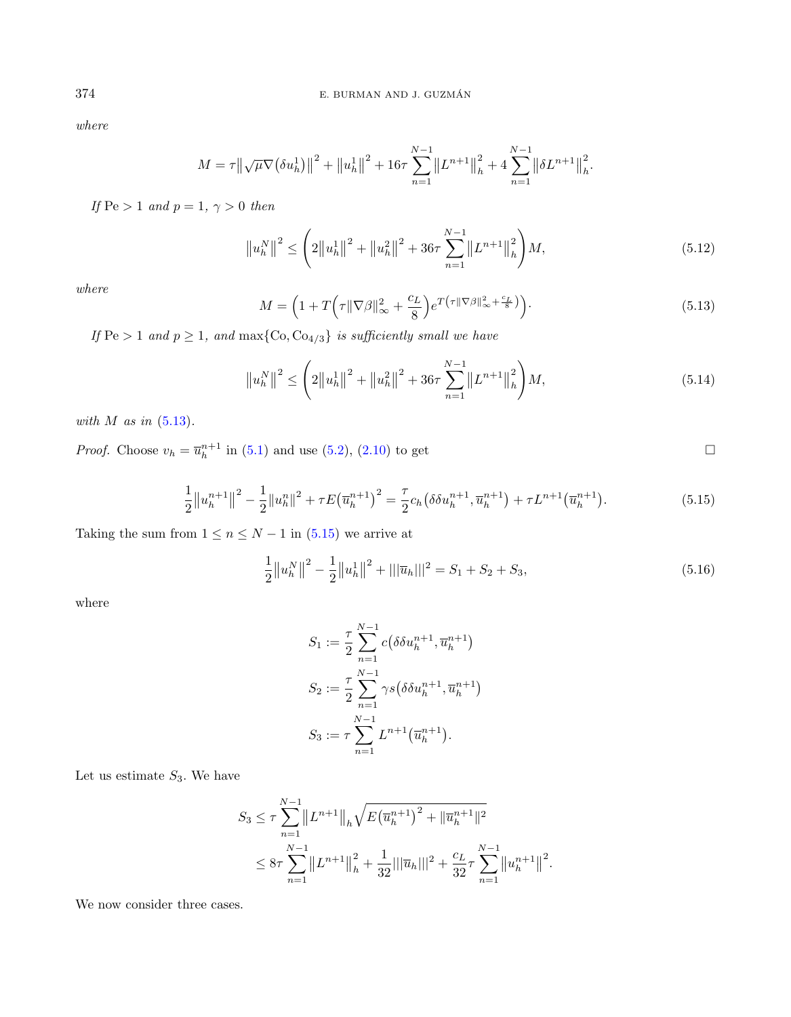where

$$
M = \tau \left\| \sqrt{\mu} \nabla \left( \delta u_h^1 \right) \right\|^2 + \left\| u_h^1 \right\|^2 + 16\tau \sum_{n=1}^{N-1} \left\| L^{n+1} \right\|_h^2 + 4 \sum_{n=1}^{N-1} \left\| \delta L^{n+1} \right\|_h^2.
$$

If  $Pe > 1$  and  $p = 1, \gamma > 0$  then

<span id="page-25-3"></span>
$$
\left\|u_{h}^{N}\right\|^{2} \leq \left(2\left\|u_{h}^{1}\right\|^{2} + \left\|u_{h}^{2}\right\|^{2} + 36\tau \sum_{n=1}^{N-1} \left\|L^{n+1}\right\|_{h}^{2}\right)M, \tag{5.12}
$$

where

<span id="page-25-2"></span><span id="page-25-1"></span>
$$
M = \left(1 + T\left(\tau \|\nabla \beta\|_{\infty}^2 + \frac{c_L}{8}\right) e^{T\left(\tau \|\nabla \beta\|_{\infty}^2 + \frac{c_L}{8}\right)}\right).
$$
\n(5.13)

If  $\text{Pe} > 1$  and  $p \geq 1$ , and  $\max\{\text{Co}, \text{Co}_{4/3}\}\$ is sufficiently small we have

$$
\left\|u_{h}^{N}\right\|^{2} \leq \left(2\left\|u_{h}^{1}\right\|^{2} + \left\|u_{h}^{2}\right\|^{2} + 36\tau \sum_{n=1}^{N-1} \left\|L^{n+1}\right\|_{h}^{2}\right)M, \tag{5.14}
$$

with  $M$  as in  $(5.13)$ .

*Proof.* Choose  $v_h = \overline{u}_h^{n+1}$  in [\(5.1\)](#page-17-1) and use [\(5.2\)](#page-18-0), [\(2.10\)](#page-4-2) to get

$$
\frac{1}{2}||u_h^{n+1}||^2 - \frac{1}{2}||u_h^{n}||^2 + \tau E(\overline{u}_h^{n+1})^2 = \frac{\tau}{2}c_h(\delta \delta u_h^{n+1}, \overline{u}_h^{n+1}) + \tau L^{n+1}(\overline{u}_h^{n+1}).
$$
\n(5.15)

Taking the sum from  $1 \leq n \leq N-1$  in  $(5.15)$  we arrive at

$$
\frac{1}{2}||u_h^N||^2 - \frac{1}{2}||u_h^1||^2 + |||\overline{u}_h|||^2 = S_1 + S_2 + S_3,
$$
\n(5.16)

.

where

$$
S_1 := \frac{\tau}{2} \sum_{n=1}^{N-1} c(\delta \delta u_h^{n+1}, \overline{u}_h^{n+1})
$$
  
\n
$$
S_2 := \frac{\tau}{2} \sum_{n=1}^{N-1} \gamma s(\delta \delta u_h^{n+1}, \overline{u}_h^{n+1})
$$
  
\n
$$
S_3 := \tau \sum_{n=1}^{N-1} L^{n+1}(\overline{u}_h^{n+1}).
$$

Let us estimate  $S_3$ . We have

$$
S_3 \leq \tau \sum_{n=1}^{N-1} ||L^{n+1}||_h \sqrt{E(\overline{u}_h^{n+1})^2 + ||\overline{u}_h^{n+1}||^2}
$$
  

$$
\leq 8\tau \sum_{n=1}^{N-1} ||L^{n+1}||_h^2 + \frac{1}{32} ||\overline{u}_h|||^2 + \frac{c_L}{32} \tau \sum_{n=1}^{N-1} ||u_h^{n+1}||^2
$$

We now consider three cases.

<span id="page-25-0"></span>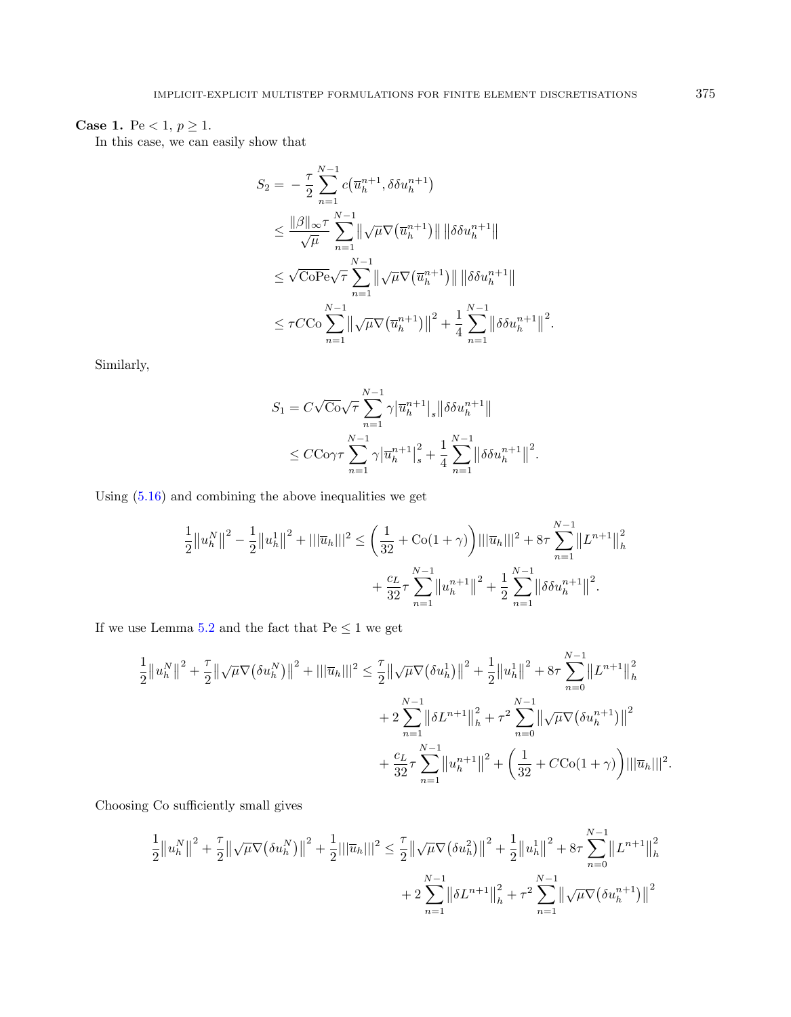## **Case 1.** Pe < 1,  $p \ge 1$ .

In this case, we can easily show that

$$
S_2 = -\frac{\tau}{2} \sum_{n=1}^{N-1} c(\overline{u}_h^{n+1}, \delta \delta u_h^{n+1})
$$
  
\n
$$
\leq \frac{\|\beta\|_{\infty} \tau}{\sqrt{\mu}} \sum_{n=1}^{N-1} \|\sqrt{\mu} \nabla (\overline{u}_h^{n+1})\| \|\delta \delta u_h^{n+1}\|
$$
  
\n
$$
\leq \sqrt{\text{CoPe}} \sqrt{\tau} \sum_{n=1}^{N-1} \|\sqrt{\mu} \nabla (\overline{u}_h^{n+1})\| \|\delta \delta u_h^{n+1}\|
$$
  
\n
$$
\leq \tau C C \sigma \sum_{n=1}^{N-1} \|\sqrt{\mu} \nabla (\overline{u}_h^{n+1})\|^2 + \frac{1}{4} \sum_{n=1}^{N-1} \|\delta \delta u_h^{n+1}\|^2.
$$

Similarly,

$$
S_1 = C\sqrt{\mathcal{C}o}\sqrt{\tau} \sum_{n=1}^{N-1} \gamma |\overline{u}_h^{n+1}|_s \|\delta \delta u_h^{n+1}\|
$$
  

$$
\leq C\mathcal{C}o\gamma \tau \sum_{n=1}^{N-1} \gamma |\overline{u}_h^{n+1}|_s^2 + \frac{1}{4} \sum_{n=1}^{N-1} ||\delta \delta u_h^{n+1}||^2.
$$

Using  $(5.16)$  and combining the above inequalities we get

$$
\frac{1}{2} ||u_h^N||^2 - \frac{1}{2} ||u_h^1||^2 + |||\overline{u}_h|||^2 \le \left(\frac{1}{32} + \text{Co}(1+\gamma)\right) |||\overline{u}_h|||^2 + 8\tau \sum_{n=1}^{N-1} ||L^{n+1}||_h^2 + \frac{c_L}{32} \tau \sum_{n=1}^{N-1} ||u_h^{n+1}||^2 + \frac{1}{2} \sum_{n=1}^{N-1} ||\delta \delta u_h^{n+1}||^2.
$$

If we use Lemma [5.2](#page-20-0) and the fact that  $\text{Pe}\leq 1$  we get

$$
\frac{1}{2} ||u_h^N||^2 + \frac{\tau}{2} ||\sqrt{\mu} \nabla (\delta u_h^N)||^2 + |||\overline{u}_h|||^2 \leq \frac{\tau}{2} ||\sqrt{\mu} \nabla (\delta u_h^1)||^2 + \frac{1}{2} ||u_h^1||^2 + 8\tau \sum_{n=0}^{N-1} ||L^{n+1}||_h^2 + 2 \sum_{n=1}^{N-1} ||\delta L^{n+1}||_h^2 + \tau^2 \sum_{n=0}^{N-1} ||\sqrt{\mu} \nabla (\delta u_h^{n+1})||^2 + \frac{c_L}{32} \tau \sum_{n=1}^{N-1} ||u_h^{n+1}||^2 + \left(\frac{1}{32} + C\text{Co}(1+\gamma)\right) |||\overline{u}_h|||^2
$$

Choosing Co sufficiently small gives

$$
\frac{1}{2} ||u_h^N||^2 + \frac{\tau}{2} ||\sqrt{\mu} \nabla (\delta u_h^N)||^2 + \frac{1}{2} ||\overline{u}_h|||^2 \leq \frac{\tau}{2} ||\sqrt{\mu} \nabla (\delta u_h^2)||^2 + \frac{1}{2} ||u_h^1||^2 + 8\tau \sum_{n=0}^{N-1} ||L^{n+1}||_h^2 + 2\sum_{n=1}^{N-1} ||\delta L^{n+1}||_h^2 + \tau^2 \sum_{n=1}^{N-1} ||\sqrt{\mu} \nabla (\delta u_h^{n+1})||^2
$$

.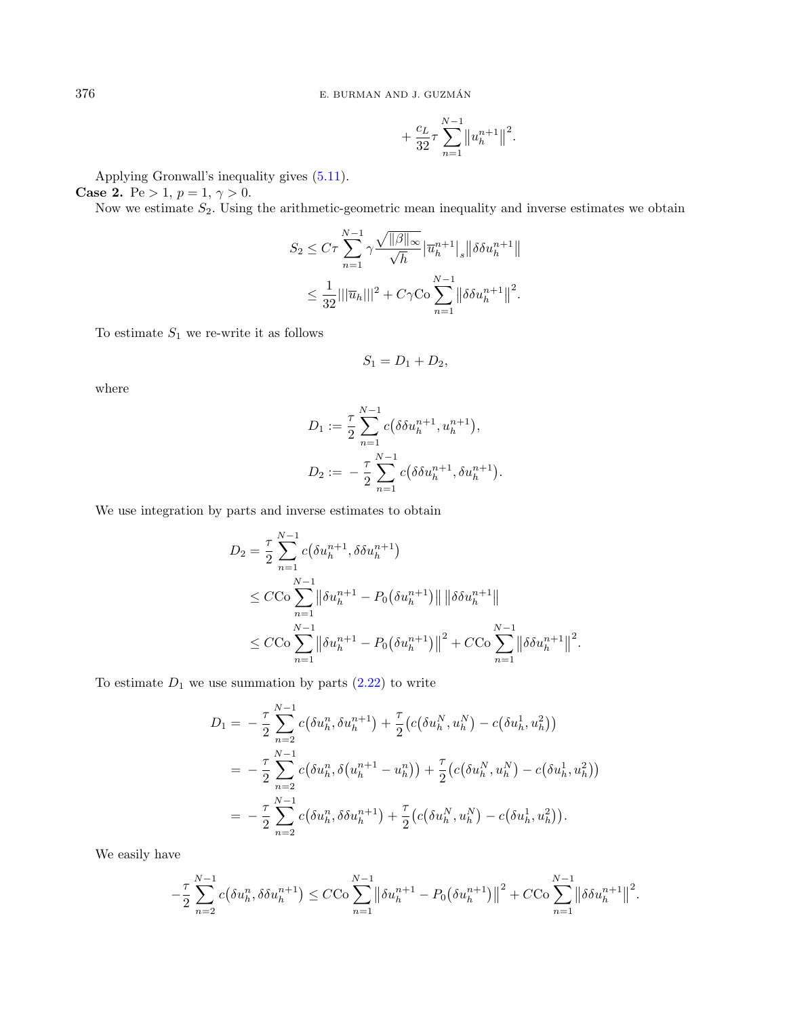$$
+\frac{c_L}{32}\tau\sum_{n=1}^{N-1} \|u_h^{n+1}\|^2.
$$

Applying Gronwall's inequality gives [\(5.11\)](#page-24-2).

**Case 2.** Pe > 1,  $p = 1, \gamma > 0$ .

Now we estimate  $S_2$ . Using the arithmetic-geometric mean inequality and inverse estimates we obtain

$$
S_2 \leq C\tau \sum_{n=1}^{N-1} \gamma \frac{\sqrt{\|\beta\|_{\infty}}}{\sqrt{h}} |\overline{u}_h^{n+1}|_s \|\delta \delta u_h^{n+1}\|
$$
  

$$
\leq \frac{1}{32} |||\overline{u}_h|||^2 + C\gamma \text{Co} \sum_{n=1}^{N-1} \|\delta \delta u_h^{n+1}\|^2.
$$

To estimate  $S_1$  we re-write it as follows

$$
S_1=D_1+D_2,
$$

where

$$
D_1 := \frac{\tau}{2} \sum_{n=1}^{N-1} c(\delta \delta u_h^{n+1}, u_h^{n+1}),
$$
  

$$
D_2 := -\frac{\tau}{2} \sum_{n=1}^{N-1} c(\delta \delta u_h^{n+1}, \delta u_h^{n+1}).
$$

We use integration by parts and inverse estimates to obtain

$$
D_2 = \frac{\tau}{2} \sum_{n=1}^{N-1} c(\delta u_h^{n+1}, \delta \delta u_h^{n+1})
$$
  
\n
$$
\leq C C \sigma \sum_{n=1}^{N-1} \left\| \delta u_h^{n+1} - P_0(\delta u_h^{n+1}) \right\| \left\| \delta \delta u_h^{n+1} \right\|
$$
  
\n
$$
\leq C C \sigma \sum_{n=1}^{N-1} \left\| \delta u_h^{n+1} - P_0(\delta u_h^{n+1}) \right\|^2 + C C \sigma \sum_{n=1}^{N-1} \left\| \delta \delta u_h^{n+1} \right\|^2.
$$

To estimate  $D_1$  we use summation by parts [\(2.22\)](#page-7-3) to write

$$
D_1 = -\frac{\tau}{2} \sum_{n=2}^{N-1} c(\delta u_h^n, \delta u_h^{n+1}) + \frac{\tau}{2} (c(\delta u_h^N, u_h^N) - c(\delta u_h^1, u_h^2))
$$
  
= 
$$
-\frac{\tau}{2} \sum_{n=2}^{N-1} c(\delta u_h^n, \delta(u_h^{n+1} - u_h^n)) + \frac{\tau}{2} (c(\delta u_h^N, u_h^N) - c(\delta u_h^1, u_h^2))
$$
  
= 
$$
-\frac{\tau}{2} \sum_{n=2}^{N-1} c(\delta u_h^n, \delta \delta u_h^{n+1}) + \frac{\tau}{2} (c(\delta u_h^N, u_h^N) - c(\delta u_h^1, u_h^2)).
$$

We easily have

$$
-\frac{\tau}{2}\sum_{n=2}^{N-1}c(\delta u_h^n,\delta \delta u_h^{n+1}) \leq C C\sigma\sum_{n=1}^{N-1} \left\|\delta u_h^{n+1} - P_0(\delta u_h^{n+1})\right\|^2 + C C\sigma\sum_{n=1}^{N-1} \left\|\delta \delta u_h^{n+1}\right\|^2.
$$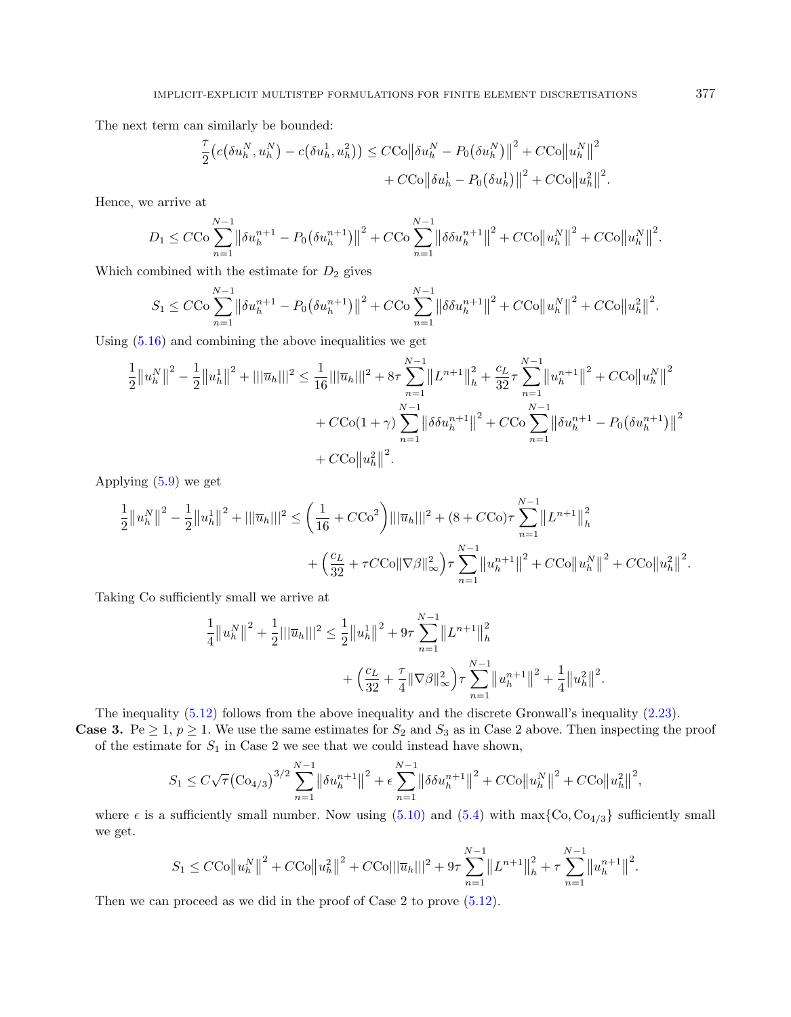The next term can similarly be bounded:

$$
\frac{\tau}{2} \big( c \big( \delta u_h^N, u_h^N \big) - c \big( \delta u_h^1, u_h^2 \big) \big) \leq C C O \big\| \delta u_h^N - P_0 \big( \delta u_h^N \big) \big\|^2 + C C O \big\| u_h^N \big\|^2
$$

$$
+ C C O \big\| \delta u_h^1 - P_0 \big( \delta u_h^1 \big) \big\|^2 + C C O \big\| u_h^2 \big\|^2.
$$

Hence, we arrive at

$$
D_1 \leq C \cos \sum_{n=1}^{N-1} \left\| \delta u_h^{n+1} - P_0 \left( \delta u_h^{n+1} \right) \right\|^2 + C C \cos \sum_{n=1}^{N-1} \left\| \delta \delta u_h^{n+1} \right\|^2 + C C \cos \left\| u_h^N \right\|^2 + C C \cos \left\| u_h^N \right\|^2.
$$

Which combined with the estimate for  $D_2$  gives

$$
S_1 \leq C C \sigma \sum_{n=1}^{N-1} \left\| \delta u_h^{n+1} - P_0 \left( \delta u_h^{n+1} \right) \right\|^2 + C C \sigma \sum_{n=1}^{N-1} \left\| \delta \delta u_h^{n+1} \right\|^2 + C C \sigma \left\| u_h^N \right\|^2 + C C \sigma \left\| u_h^2 \right\|^2.
$$

Using  $(5.16)$  and combining the above inequalities we get

$$
\frac{1}{2} ||u_h^N||^2 - \frac{1}{2} ||u_h^1||^2 + ||\overline{u}_h|||^2 \le \frac{1}{16} ||\overline{u}_h|||^2 + 8\tau \sum_{n=1}^{N-1} ||L^{n+1}||_h^2 + \frac{c_L}{32} \tau \sum_{n=1}^{N-1} ||u_h^{n+1}||^2 + C \text{Co} ||u_h^N||^2
$$

$$
+ C \text{Co}(1+\gamma) \sum_{n=1}^{N-1} ||\delta \delta u_h^{n+1}||^2 + C \text{Co} \sum_{n=1}^{N-1} ||\delta u_h^{n+1} - P_0(\delta u_h^{n+1})||^2
$$

$$
+ C \text{Co} ||u_h^2||^2.
$$

Applying [\(5.9\)](#page-24-0) we get

$$
\frac{1}{2} ||u_h^N||^2 - \frac{1}{2} ||u_h^1||^2 + |||\overline{u}_h|||^2 \le \left(\frac{1}{16} + C C \sigma^2\right) |||\overline{u}_h|||^2 + (8 + C C \sigma) \tau \sum_{n=1}^{N-1} ||L^{n+1}||_h^2 + \left(\frac{c_L}{32} + \tau C C \sigma ||\nabla \beta||_\infty^2\right) \tau \sum_{n=1}^{N-1} ||u_h^{n+1}||^2 + C C \sigma ||u_h^N||^2 + C C \sigma ||u_h^2||^2.
$$

Taking Co sufficiently small we arrive at

$$
\frac{1}{4} ||u_h^N||^2 + \frac{1}{2} ||\overline{u}_h||^2 \le \frac{1}{2} ||u_h^1||^2 + 9\tau \sum_{n=1}^{N-1} ||L^{n+1}||_h^2 + \left(\frac{c_L}{32} + \frac{\tau}{4} ||\nabla\beta||_\infty^2\right) \tau \sum_{n=1}^{N-1} ||u_h^{n+1}||^2 + \frac{1}{4} ||u_h^2||^2.
$$

The inequality [\(5.12\)](#page-25-3) follows from the above inequality and the discrete Gronwall's inequality [\(2.23\)](#page-7-2).

**Case 3.** Pe  $\geq 1$ ,  $p \geq 1$ . We use the same estimates for  $S_2$  and  $S_3$  as in Case 2 above. Then inspecting the proof of the estimate for  $S_1$  in Case 2 we see that we could instead have shown,

$$
S_1 \leq C\sqrt{\tau} \left( \text{Co}_{4/3} \right)^{3/2} \sum_{n=1}^{N-1} \left\| \delta u_h^{n+1} \right\|^2 + \epsilon \sum_{n=1}^{N-1} \left\| \delta \delta u_h^{n+1} \right\|^2 + C \text{Co} \left\| u_h^N \right\|^2 + C \text{Co} \left\| u_h^2 \right\|^2,
$$

where  $\epsilon$  is a sufficiently small number. Now using [\(5.10\)](#page-24-1) and [\(5.4\)](#page-18-2) with max{Co, Co<sub>4/3</sub>} sufficiently small we get.

$$
S_1 \leq C C O \left\| u_h^N \right\|^2 + C C O \left\| u_h^2 \right\|^2 + C C O \left\| \left| \overline{u}_h \right\| \right\|^2 + 9\tau \sum_{n=1}^{N-1} \left\| L^{n+1} \right\|_h^2 + \tau \sum_{n=1}^{N-1} \left\| u_h^{n+1} \right\|^2.
$$

Then we can proceed as we did in the proof of Case 2 to prove  $(5.12)$ .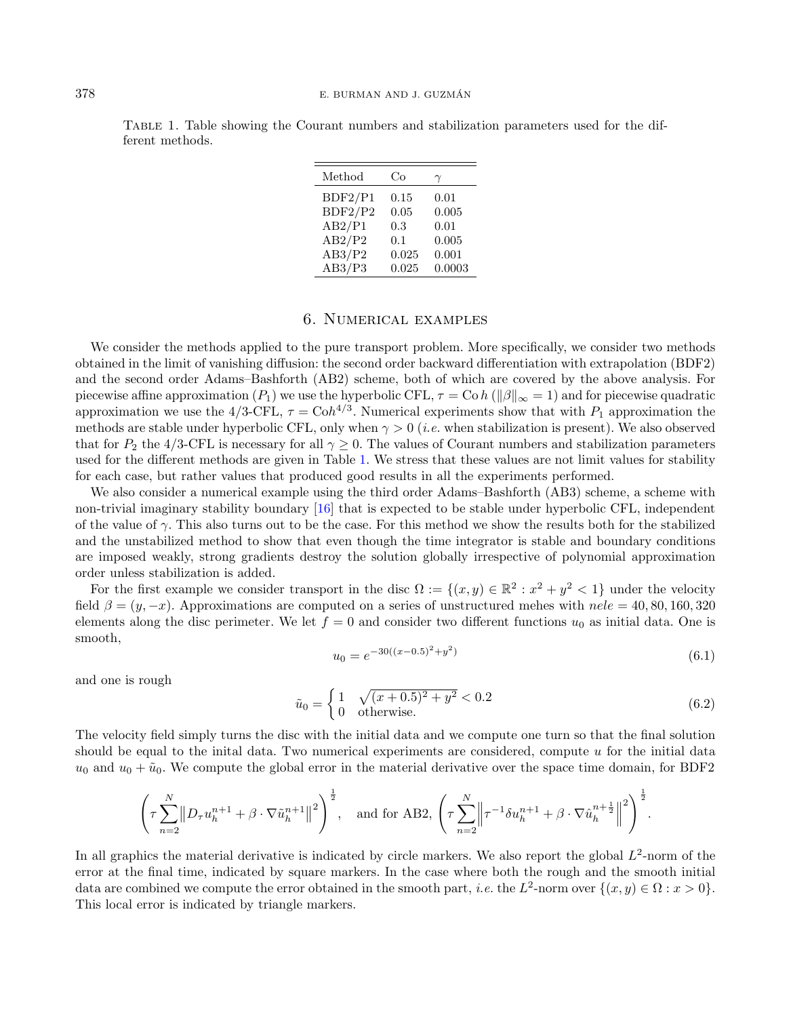| Method  | Co    | $\gamma$ |
|---------|-------|----------|
| BDF2/P1 | 0.15  | 0.01     |
| BDF2/P2 | 0.05  | 0.005    |
| AB2/P1  | 0.3   | 0.01     |
| AB2/P2  | 0.1   | 0.005    |
| AB3/P2  | 0.025 | 0.001    |
| AB3/P3  | 0.025 | 0.0003   |

<span id="page-29-1"></span>Table 1. Table showing the Courant numbers and stabilization parameters used for the different methods.

#### 6. Numerical examples

<span id="page-29-0"></span>We consider the methods applied to the pure transport problem. More specifically, we consider two methods obtained in the limit of vanishing diffusion: the second order backward differentiation with extrapolation (BDF2) and the second order Adams–Bashforth (AB2) scheme, both of which are covered by the above analysis. For piecewise affine approximation  $(P_1)$  we use the hyperbolic CFL,  $\tau = \text{Co } h$  ( $\|\beta\|_{\infty} = 1$ ) and for piecewise quadratic approximation we use the 4/3-CFL,  $\tau = \text{C} \circ h^{4/3}$ . Numerical experiments show that with  $P_1$  approximation the methods are stable under hyperbolic CFL, only when  $\gamma > 0$  (*i.e.* when stabilization is present). We also observed that for  $P_2$  the 4/3-CFL is necessary for all  $\gamma \geq 0$ . The values of Courant numbers and stabilization parameters used for the different methods are given in Table [1.](#page-29-1) We stress that these values are not limit values for stability for each case, but rather values that produced good results in all the experiments performed.

<span id="page-29-3"></span><span id="page-29-2"></span>We also consider a numerical example using the third order Adams–Bashforth (AB3) scheme, a scheme with non-trivial imaginary stability boundary [\[16\]](#page-34-18) that is expected to be stable under hyperbolic CFL, independent of the value of  $\gamma$ . This also turns out to be the case. For this method we show the results both for the stabilized and the unstabilized method to show that even though the time integrator is stable and boundary conditions are imposed weakly, strong gradients destroy the solution globally irrespective of polynomial approximation order unless stabilization is added.

For the first example we consider transport in the disc  $\Omega := \{(x, y) \in \mathbb{R}^2 : x^2 + y^2 < 1\}$  under the velocity field  $\beta = (y, -x)$ . Approximations are computed on a series of unstructured mehes with  $nele = 40, 80, 160, 320$ elements along the disc perimeter. We let  $f = 0$  and consider two different functions  $u_0$  as initial data. One is smooth,

$$
u_0 = e^{-30((x-0.5)^2 + y^2)}
$$
\n(6.1)

and one is rough

$$
\tilde{u}_0 = \begin{cases} 1 & \sqrt{(x+0.5)^2 + y^2} < 0.2\\ 0 & \text{otherwise.} \end{cases}
$$
\n(6.2)

The velocity field simply turns the disc with the initial data and we compute one turn so that the final solution should be equal to the initial data. Two numerical experiments are considered, compute  $u$  for the initial data  $u_0$  and  $u_0 + \tilde{u}_0$ . We compute the global error in the material derivative over the space time domain, for BDF2

$$
\left(\tau \sum_{n=2}^{N} \left\| D_{\tau} u_{h}^{n+1} + \beta \cdot \nabla \tilde{u}_{h}^{n+1} \right\|^{2}\right)^{\frac{1}{2}}, \text{ and for AB2, } \left(\tau \sum_{n=2}^{N} \left\|\tau^{-1} \delta u_{h}^{n+1} + \beta \cdot \nabla \hat{u}_{h}^{n+\frac{1}{2}} \right\|^{2}\right)^{\frac{1}{2}}.
$$

In all graphics the material derivative is indicated by circle markers. We also report the global  $L^2$ -norm of the error at the final time, indicated by square markers. In the case where both the rough and the smooth initial data are combined we compute the error obtained in the smooth part, *i.e.* the  $L^2$ -norm over  $\{(x, y) \in \Omega : x > 0\}$ . This local error is indicated by triangle markers.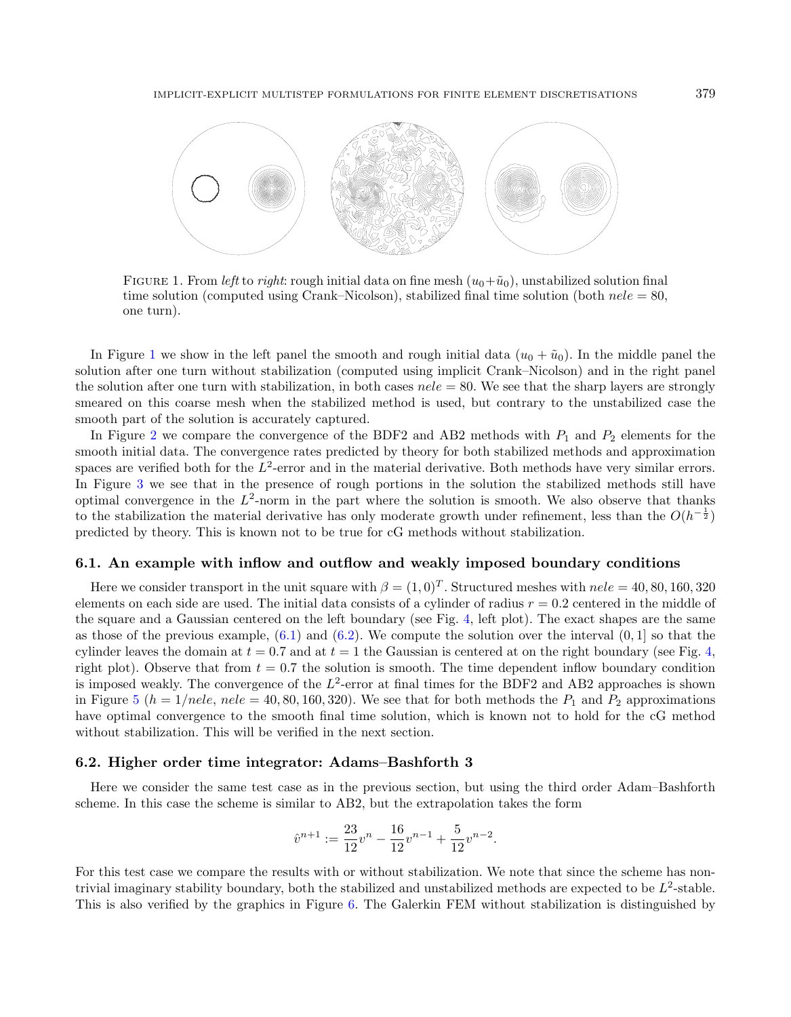<span id="page-30-0"></span>

FIGURE 1. From left to right: rough initial data on fine mesh  $(u_0+\tilde{u}_0)$ , unstabilized solution final time solution (computed using Crank–Nicolson), stabilized final time solution (both  $nele = 80$ , one turn).

In Figure [1](#page-30-0) we show in the left panel the smooth and rough initial data  $(u_0 + \tilde{u}_0)$ . In the middle panel the solution after one turn without stabilization (computed using implicit Crank–Nicolson) and in the right panel the solution after one turn with stabilization, in both cases  $_{\text{ne}} = 80$ . We see that the sharp layers are strongly smeared on this coarse mesh when the stabilized method is used, but contrary to the unstabilized case the smooth part of the solution is accurately captured.

In Figure [2](#page-31-0) we compare the convergence of the BDF2 and AB2 methods with  $P_1$  and  $P_2$  elements for the smooth initial data. The convergence rates predicted by theory for both stabilized methods and approximation spaces are verified both for the  $L^2$ -error and in the material derivative. Both methods have very similar errors. In Figure [3](#page-31-1) we see that in the presence of rough portions in the solution the stabilized methods still have optimal convergence in the  $L^2$ -norm in the part where the solution is smooth. We also observe that thanks to the stabilization the material derivative has only moderate growth under refinement, less than the  $O(h^{-\frac{1}{2}})$ predicted by theory. This is known not to be true for cG methods without stabilization.

#### 6.1. An example with inflow and outflow and weakly imposed boundary conditions

Here we consider transport in the unit square with  $\beta = (1,0)^T$ . Structured meshes with  $nele = 40, 80, 160, 320$ elements on each side are used. The initial data consists of a cylinder of radius  $r = 0.2$  centered in the middle of the square and a Gaussian centered on the left boundary (see Fig. [4,](#page-32-0) left plot). The exact shapes are the same as those of the previous example,  $(6.1)$  and  $(6.2)$ . We compute the solution over the interval  $(0, 1]$  so that the cylinder leaves the domain at  $t = 0.7$  and at  $t = 1$  the Gaussian is centered at on the right boundary (see Fig. [4,](#page-32-0) right plot). Observe that from  $t = 0.7$  the solution is smooth. The time dependent inflow boundary condition is imposed weakly. The convergence of the  $L^2$ -error at final times for the BDF2 and AB2 approaches is shown in Figure [5](#page-32-1) ( $h = 1/nele$ ,  $nele = 40, 80, 160, 320$ ). We see that for both methods the  $P_1$  and  $P_2$  approximations have optimal convergence to the smooth final time solution, which is known not to hold for the cG method without stabilization. This will be verified in the next section.

#### 6.2. Higher order time integrator: Adams–Bashforth 3

Here we consider the same test case as in the previous section, but using the third order Adam–Bashforth scheme. In this case the scheme is similar to AB2, but the extrapolation takes the form

$$
\hat{v}^{n+1} := \frac{23}{12}v^n - \frac{16}{12}v^{n-1} + \frac{5}{12}v^{n-2}.
$$

For this test case we compare the results with or without stabilization. We note that since the scheme has nontrivial imaginary stability boundary, both the stabilized and unstabilized methods are expected to be  $L^2$ -stable. This is also verified by the graphics in Figure [6.](#page-33-6) The Galerkin FEM without stabilization is distinguished by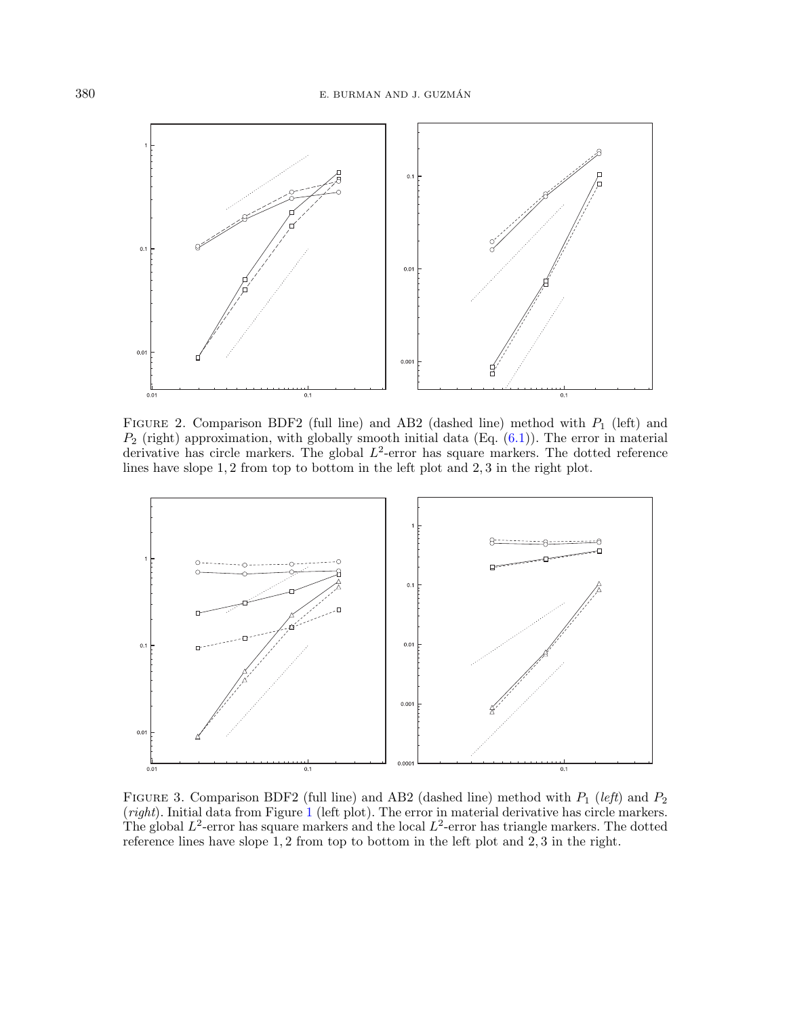<span id="page-31-0"></span>

FIGURE 2. Comparison BDF2 (full line) and AB2 (dashed line) method with  $P_1$  (left) and  $P_2$  (right) approximation, with globally smooth initial data (Eq.  $(6.1)$ ). The error in material derivative has circle markers. The global  $L^2$ -error has square markers. The dotted reference lines have slope 1, 2 from top to bottom in the left plot and 2, 3 in the right plot.

<span id="page-31-1"></span>

FIGURE 3. Comparison BDF2 (full line) and AB2 (dashed line) method with  $P_1$  (left) and  $P_2$ (right). Initial data from Figure [1](#page-30-0) (left plot). The error in material derivative has circle markers. The global  $L^2$ -error has square markers and the local  $L^2$ -error has triangle markers. The dotted reference lines have slope 1, 2 from top to bottom in the left plot and 2, 3 in the right.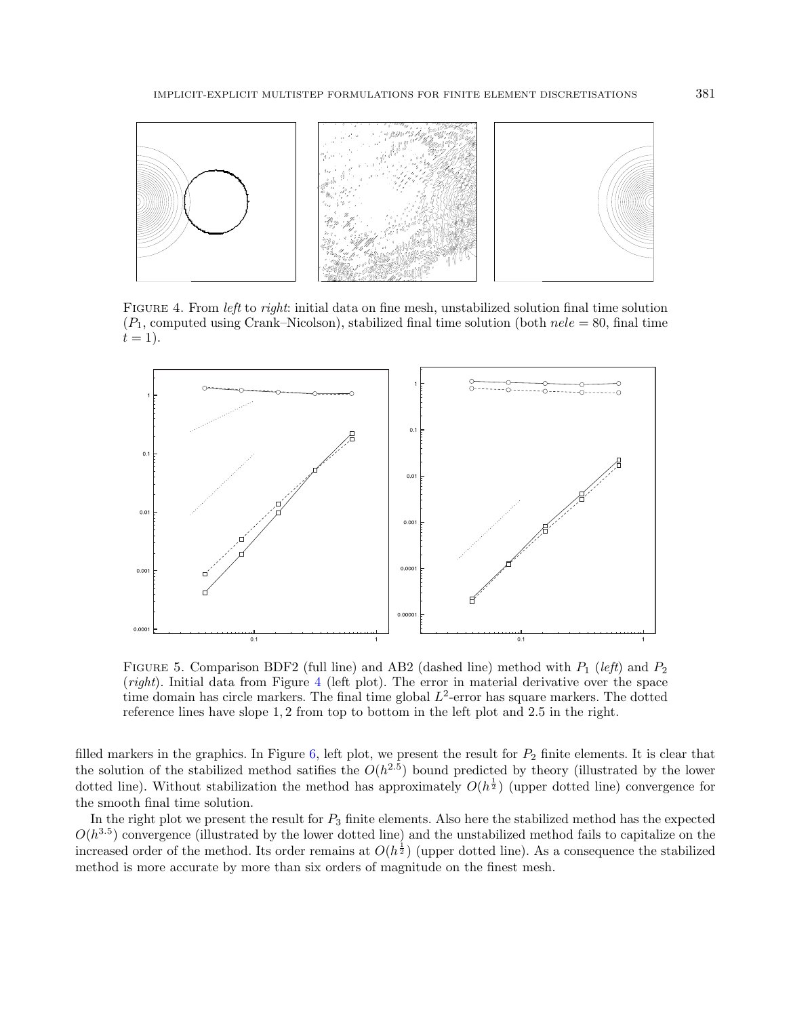<span id="page-32-0"></span>

FIGURE 4. From *left* to *right*: initial data on fine mesh, unstabilized solution final time solution  $(P_1,$  computed using Crank–Nicolson), stabilized final time solution (both  $nele = 80$ , final time  $t = 1$ .

<span id="page-32-1"></span>

FIGURE 5. Comparison BDF2 (full line) and AB2 (dashed line) method with  $P_1$  (left) and  $P_2$ (right). Initial data from Figure [4](#page-32-0) (left plot). The error in material derivative over the space time domain has circle markers. The final time global  $L^2$ -error has square markers. The dotted reference lines have slope 1, 2 from top to bottom in the left plot and 2.5 in the right.

filled markers in the graphics. In Figure [6,](#page-33-6) left plot, we present the result for  $P_2$  finite elements. It is clear that the solution of the stabilized method satifies the  $O(h^{2.5})$  bound predicted by theory (illustrated by the lower dotted line). Without stabilization the method has approximately  $O(h^{\frac{1}{2}})$  (upper dotted line) convergence for the smooth final time solution.

In the right plot we present the result for  $P_3$  finite elements. Also here the stabilized method has the expected  $O(h^{3.5})$  convergence (illustrated by the lower dotted line) and the unstabilized method fails to capitalize on the increased order of the method. Its order remains at  $O(h^{\frac{1}{2}})$  (upper dotted line). As a consequence the stabilized method is more accurate by more than six orders of magnitude on the finest mesh.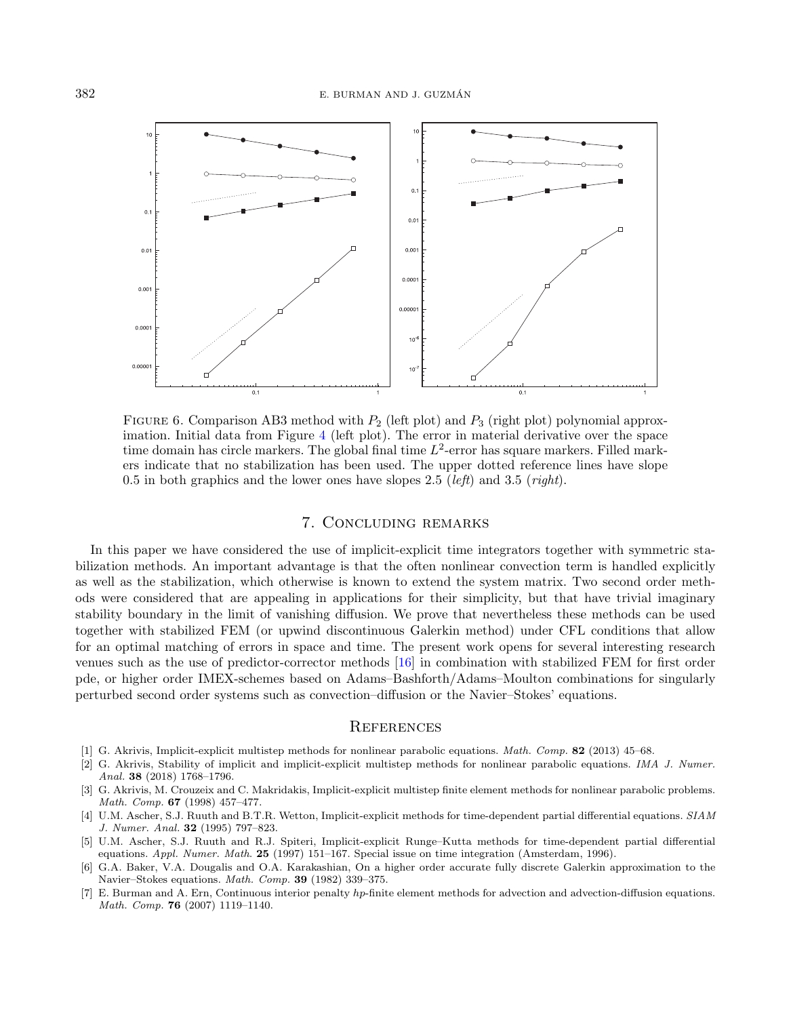<span id="page-33-6"></span>

FIGURE 6. Comparison AB3 method with  $P_2$  (left plot) and  $P_3$  (right plot) polynomial approximation. Initial data from Figure [4](#page-32-0) (left plot). The error in material derivative over the space time domain has circle markers. The global final time  $L^2$ -error has square markers. Filled markers indicate that no stabilization has been used. The upper dotted reference lines have slope 0.5 in both graphics and the lower ones have slopes 2.5 (*left*) and 3.5 (*right*).

#### 7. Concluding remarks

<span id="page-33-2"></span><span id="page-33-1"></span><span id="page-33-0"></span>In this paper we have considered the use of implicit-explicit time integrators together with symmetric stabilization methods. An important advantage is that the often nonlinear convection term is handled explicitly as well as the stabilization, which otherwise is known to extend the system matrix. Two second order methods were considered that are appealing in applications for their simplicity, but that have trivial imaginary stability boundary in the limit of vanishing diffusion. We prove that nevertheless these methods can be used together with stabilized FEM (or upwind discontinuous Galerkin method) under CFL conditions that allow for an optimal matching of errors in space and time. The present work opens for several interesting research venues such as the use of predictor-corrector methods [\[16\]](#page-34-18) in combination with stabilized FEM for first order pde, or higher order IMEX-schemes based on Adams–Bashforth/Adams–Moulton combinations for singularly perturbed second order systems such as convection–diffusion or the Navier–Stokes' equations.

#### **REFERENCES**

- <span id="page-33-5"></span><span id="page-33-4"></span><span id="page-33-3"></span>[1] G. Akrivis, Implicit-explicit multistep methods for nonlinear parabolic equations. Math. Comp. 82 (2013) 45–68.
- [2] G. Akrivis, Stability of implicit and implicit-explicit multistep methods for nonlinear parabolic equations. IMA J. Numer. Anal. 38 (2018) 1768–1796.
- [3] G. Akrivis, M. Crouzeix and C. Makridakis, Implicit-explicit multistep finite element methods for nonlinear parabolic problems. Math. Comp. 67 (1998) 457–477.
- [4] U.M. Ascher, S.J. Ruuth and B.T.R. Wetton, Implicit-explicit methods for time-dependent partial differential equations. SIAM J. Numer. Anal. 32 (1995) 797–823.
- [5] U.M. Ascher, S.J. Ruuth and R.J. Spiteri, Implicit-explicit Runge–Kutta methods for time-dependent partial differential equations. Appl. Numer. Math. 25 (1997) 151–167. Special issue on time integration (Amsterdam, 1996).
- [6] G.A. Baker, V.A. Dougalis and O.A. Karakashian, On a higher order accurate fully discrete Galerkin approximation to the Navier–Stokes equations. Math. Comp. 39 (1982) 339–375.
- [7] E. Burman and A. Ern, Continuous interior penalty *hp*-finite element methods for advection and advection-diffusion equations. Math. Comp. 76 (2007) 1119–1140.